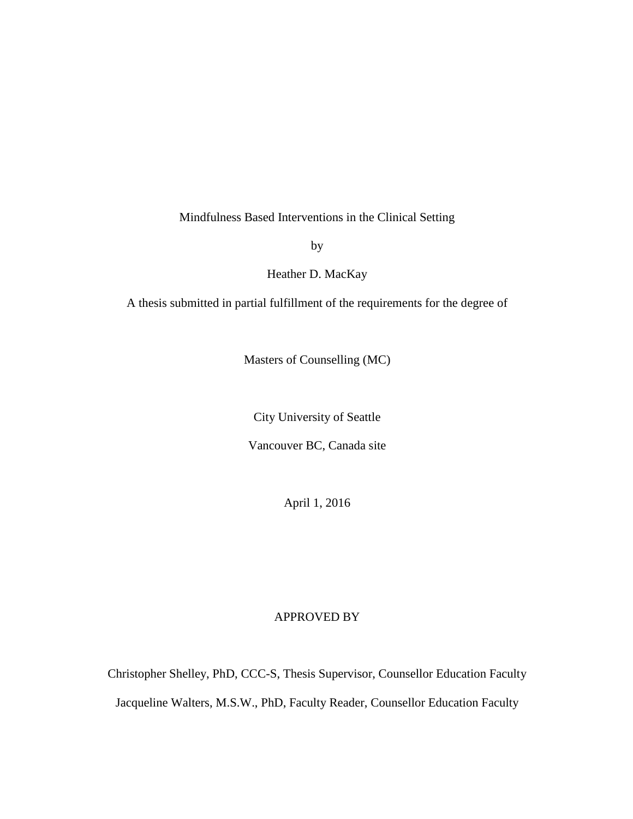Mindfulness Based Interventions in the Clinical Setting

by

Heather D. MacKay

A thesis submitted in partial fulfillment of the requirements for the degree of

Masters of Counselling (MC)

City University of Seattle

Vancouver BC, Canada site

April 1, 2016

# APPROVED BY

Christopher Shelley, PhD, CCC-S, Thesis Supervisor, Counsellor Education Faculty Jacqueline Walters, M.S.W., PhD, Faculty Reader, Counsellor Education Faculty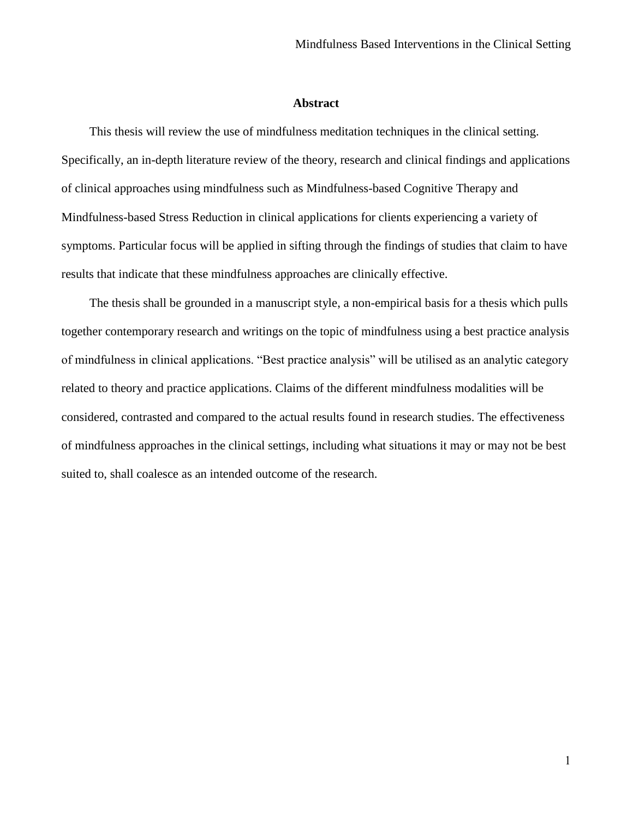### **Abstract**

<span id="page-1-0"></span>This thesis will review the use of mindfulness meditation techniques in the clinical setting. Specifically, an in-depth literature review of the theory, research and clinical findings and applications of clinical approaches using mindfulness such as Mindfulness-based Cognitive Therapy and Mindfulness-based Stress Reduction in clinical applications for clients experiencing a variety of symptoms. Particular focus will be applied in sifting through the findings of studies that claim to have results that indicate that these mindfulness approaches are clinically effective.

The thesis shall be grounded in a manuscript style, a non-empirical basis for a thesis which pulls together contemporary research and writings on the topic of mindfulness using a best practice analysis of mindfulness in clinical applications. "Best practice analysis" will be utilised as an analytic category related to theory and practice applications. Claims of the different mindfulness modalities will be considered, contrasted and compared to the actual results found in research studies. The effectiveness of mindfulness approaches in the clinical settings, including what situations it may or may not be best suited to, shall coalesce as an intended outcome of the research.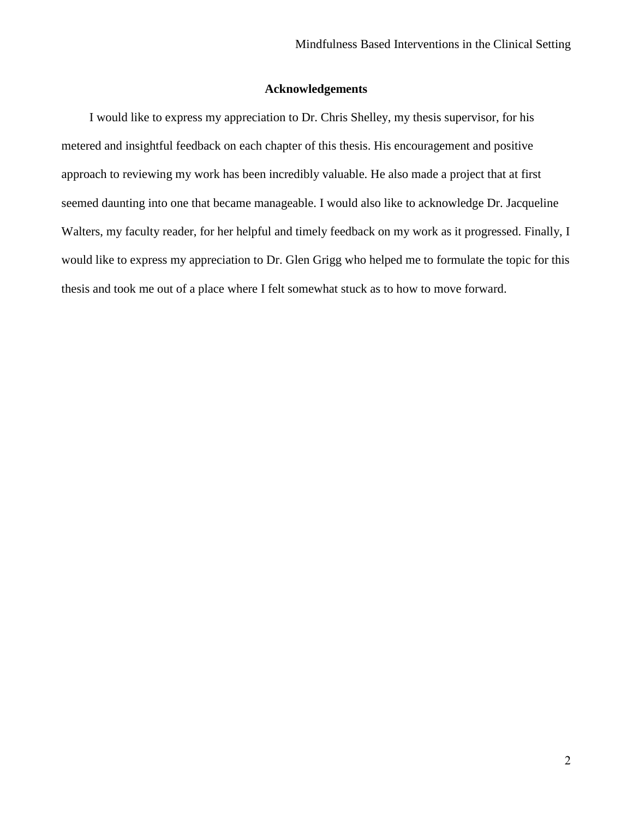# **Acknowledgements**

<span id="page-2-0"></span>I would like to express my appreciation to Dr. Chris Shelley, my thesis supervisor, for his metered and insightful feedback on each chapter of this thesis. His encouragement and positive approach to reviewing my work has been incredibly valuable. He also made a project that at first seemed daunting into one that became manageable. I would also like to acknowledge Dr. Jacqueline Walters, my faculty reader, for her helpful and timely feedback on my work as it progressed. Finally, I would like to express my appreciation to Dr. Glen Grigg who helped me to formulate the topic for this thesis and took me out of a place where I felt somewhat stuck as to how to move forward.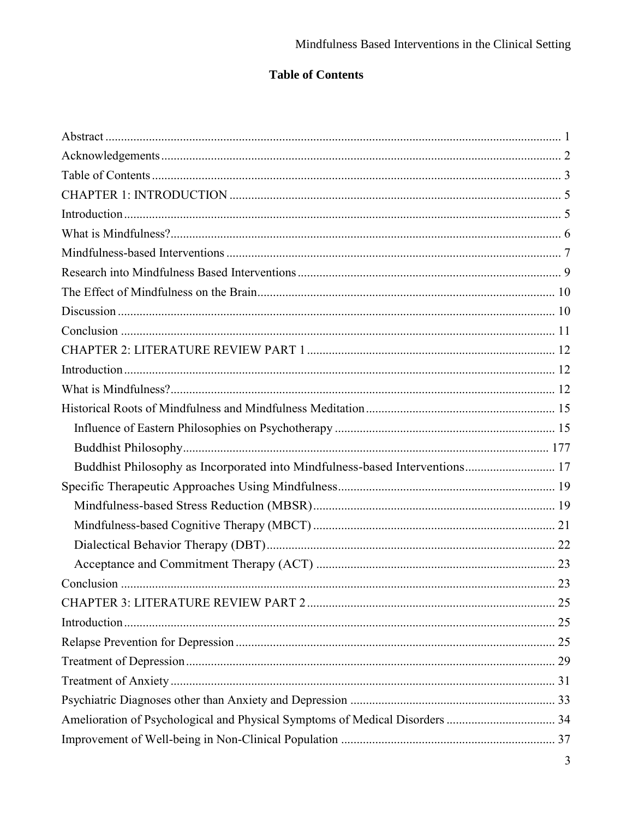# **Table of Contents**

<span id="page-3-0"></span>

| Buddhist Philosophy as Incorporated into Mindfulness-based Interventions 17 |  |
|-----------------------------------------------------------------------------|--|
|                                                                             |  |
|                                                                             |  |
|                                                                             |  |
|                                                                             |  |
|                                                                             |  |
|                                                                             |  |
|                                                                             |  |
|                                                                             |  |
|                                                                             |  |
|                                                                             |  |
|                                                                             |  |
|                                                                             |  |
|                                                                             |  |
|                                                                             |  |
|                                                                             |  |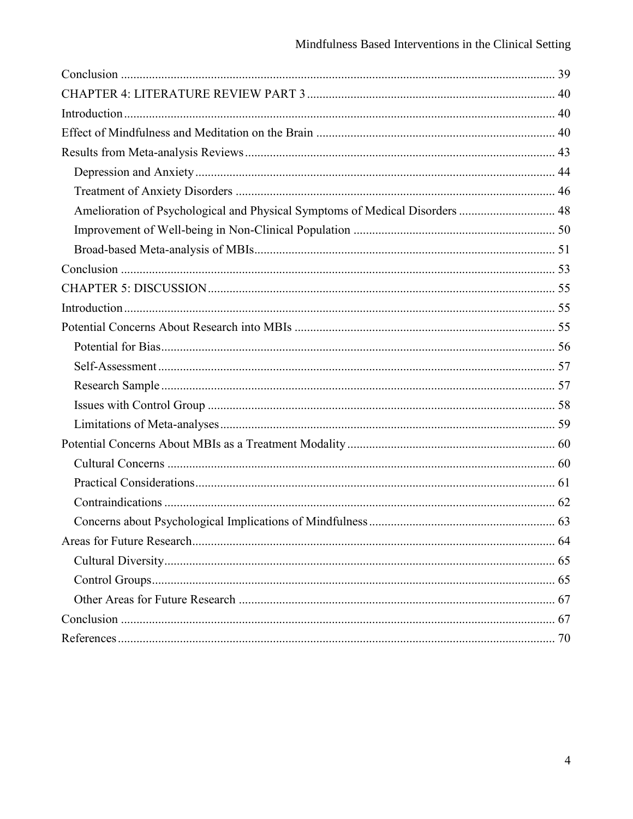| Amelioration of Psychological and Physical Symptoms of Medical Disorders  48 |  |
|------------------------------------------------------------------------------|--|
|                                                                              |  |
|                                                                              |  |
|                                                                              |  |
|                                                                              |  |
|                                                                              |  |
|                                                                              |  |
|                                                                              |  |
|                                                                              |  |
|                                                                              |  |
|                                                                              |  |
|                                                                              |  |
|                                                                              |  |
|                                                                              |  |
|                                                                              |  |
|                                                                              |  |
|                                                                              |  |
|                                                                              |  |
|                                                                              |  |
|                                                                              |  |
|                                                                              |  |
|                                                                              |  |
|                                                                              |  |
|                                                                              |  |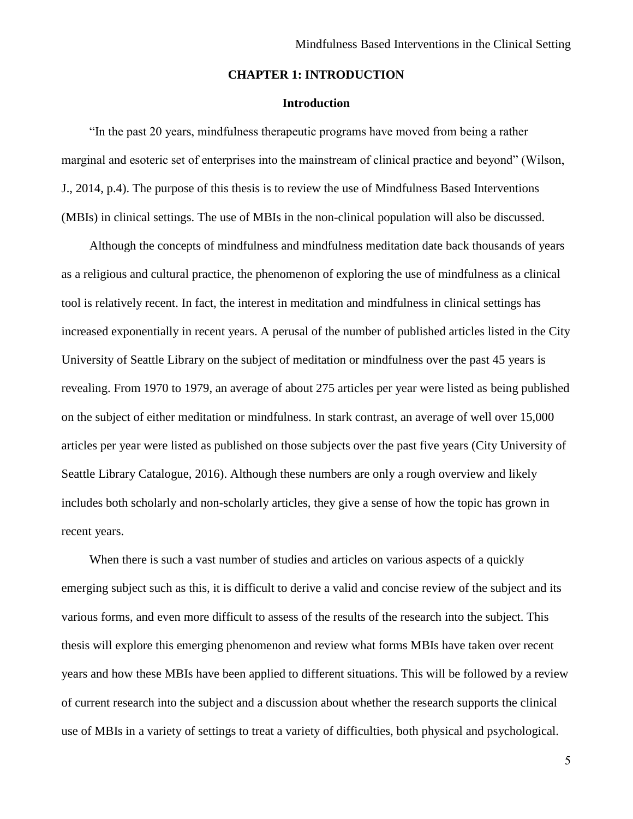# **CHAPTER 1: INTRODUCTION**

# **Introduction**

<span id="page-5-1"></span><span id="page-5-0"></span>"In the past 20 years, mindfulness therapeutic programs have moved from being a rather marginal and esoteric set of enterprises into the mainstream of clinical practice and beyond" (Wilson, J., 2014, p.4). The purpose of this thesis is to review the use of Mindfulness Based Interventions (MBIs) in clinical settings. The use of MBIs in the non-clinical population will also be discussed.

Although the concepts of mindfulness and mindfulness meditation date back thousands of years as a religious and cultural practice, the phenomenon of exploring the use of mindfulness as a clinical tool is relatively recent. In fact, the interest in meditation and mindfulness in clinical settings has increased exponentially in recent years. A perusal of the number of published articles listed in the City University of Seattle Library on the subject of meditation or mindfulness over the past 45 years is revealing. From 1970 to 1979, an average of about 275 articles per year were listed as being published on the subject of either meditation or mindfulness. In stark contrast, an average of well over 15,000 articles per year were listed as published on those subjects over the past five years (City University of Seattle Library Catalogue, 2016). Although these numbers are only a rough overview and likely includes both scholarly and non-scholarly articles, they give a sense of how the topic has grown in recent years.

When there is such a vast number of studies and articles on various aspects of a quickly emerging subject such as this, it is difficult to derive a valid and concise review of the subject and its various forms, and even more difficult to assess of the results of the research into the subject. This thesis will explore this emerging phenomenon and review what forms MBIs have taken over recent years and how these MBIs have been applied to different situations. This will be followed by a review of current research into the subject and a discussion about whether the research supports the clinical use of MBIs in a variety of settings to treat a variety of difficulties, both physical and psychological.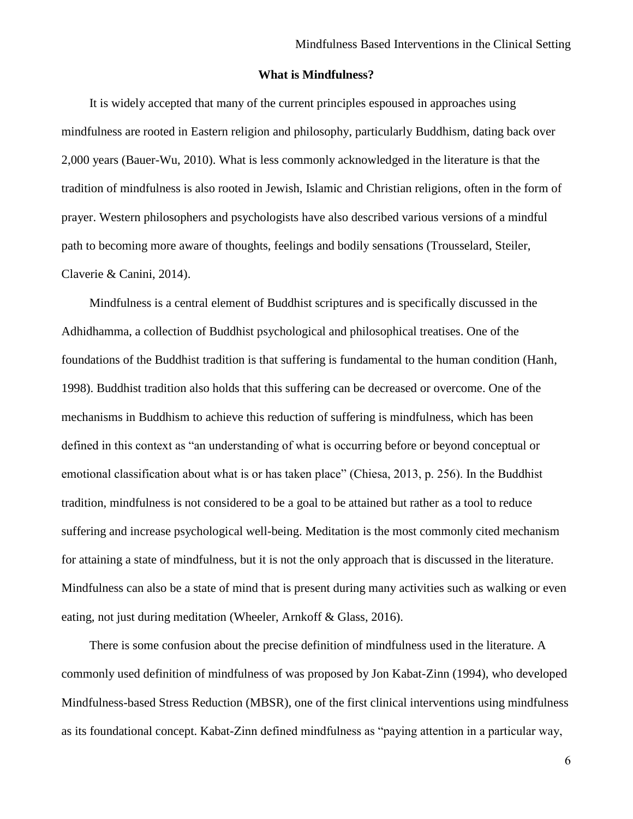# **What is Mindfulness?**

<span id="page-6-0"></span>It is widely accepted that many of the current principles espoused in approaches using mindfulness are rooted in Eastern religion and philosophy, particularly Buddhism, dating back over 2,000 years (Bauer-Wu, 2010). What is less commonly acknowledged in the literature is that the tradition of mindfulness is also rooted in Jewish, Islamic and Christian religions, often in the form of prayer. Western philosophers and psychologists have also described various versions of a mindful path to becoming more aware of thoughts, feelings and bodily sensations (Trousselard, Steiler, Claverie & Canini, 2014).

Mindfulness is a central element of Buddhist scriptures and is specifically discussed in the Adhidhamma, a collection of Buddhist psychological and philosophical treatises. One of the foundations of the Buddhist tradition is that suffering is fundamental to the human condition (Hanh, 1998). Buddhist tradition also holds that this suffering can be decreased or overcome. One of the mechanisms in Buddhism to achieve this reduction of suffering is mindfulness, which has been defined in this context as "an understanding of what is occurring before or beyond conceptual or emotional classification about what is or has taken place" (Chiesa, 2013, p. 256). In the Buddhist tradition, mindfulness is not considered to be a goal to be attained but rather as a tool to reduce suffering and increase psychological well-being. Meditation is the most commonly cited mechanism for attaining a state of mindfulness, but it is not the only approach that is discussed in the literature. Mindfulness can also be a state of mind that is present during many activities such as walking or even eating, not just during meditation (Wheeler, Arnkoff & Glass, 2016).

There is some confusion about the precise definition of mindfulness used in the literature. A commonly used definition of mindfulness of was proposed by Jon Kabat-Zinn (1994), who developed Mindfulness-based Stress Reduction (MBSR), one of the first clinical interventions using mindfulness as its foundational concept. Kabat-Zinn defined mindfulness as "paying attention in a particular way,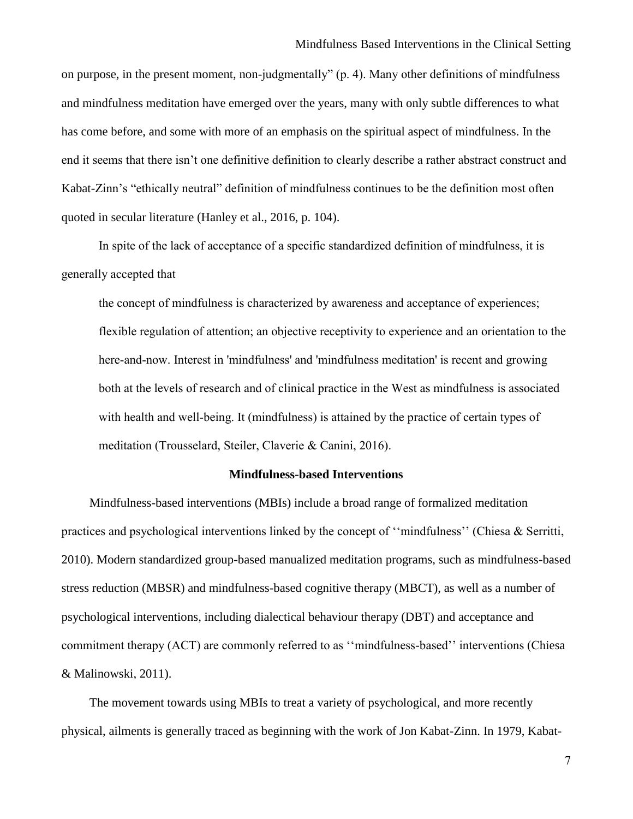on purpose, in the present moment, non-judgmentally" (p. 4). Many other definitions of mindfulness and mindfulness meditation have emerged over the years, many with only subtle differences to what has come before, and some with more of an emphasis on the spiritual aspect of mindfulness. In the end it seems that there isn't one definitive definition to clearly describe a rather abstract construct and Kabat-Zinn's "ethically neutral" definition of mindfulness continues to be the definition most often quoted in secular literature (Hanley et al., 2016, p. 104).

In spite of the lack of acceptance of a specific standardized definition of mindfulness, it is generally accepted that

the concept of mindfulness is characterized by awareness and acceptance of experiences; flexible regulation of attention; an objective receptivity to experience and an orientation to the here-and-now. Interest in 'mindfulness' and 'mindfulness meditation' is recent and growing both at the levels of research and of clinical practice in the West as mindfulness is associated with health and well-being. It (mindfulness) is attained by the practice of certain types of meditation (Trousselard, Steiler, Claverie & Canini, 2016).

# **Mindfulness-based Interventions**

<span id="page-7-0"></span>Mindfulness-based interventions (MBIs) include a broad range of formalized meditation practices and psychological interventions linked by the concept of ''mindfulness'' (Chiesa & Serritti, 2010). Modern standardized group-based manualized meditation programs, such as mindfulness-based stress reduction (MBSR) and mindfulness-based cognitive therapy (MBCT), as well as a number of psychological interventions, including dialectical behaviour therapy (DBT) and acceptance and commitment therapy (ACT) are commonly referred to as ''mindfulness-based'' interventions (Chiesa & Malinowski, 2011).

The movement towards using MBIs to treat a variety of psychological, and more recently physical, ailments is generally traced as beginning with the work of Jon Kabat-Zinn. In 1979, Kabat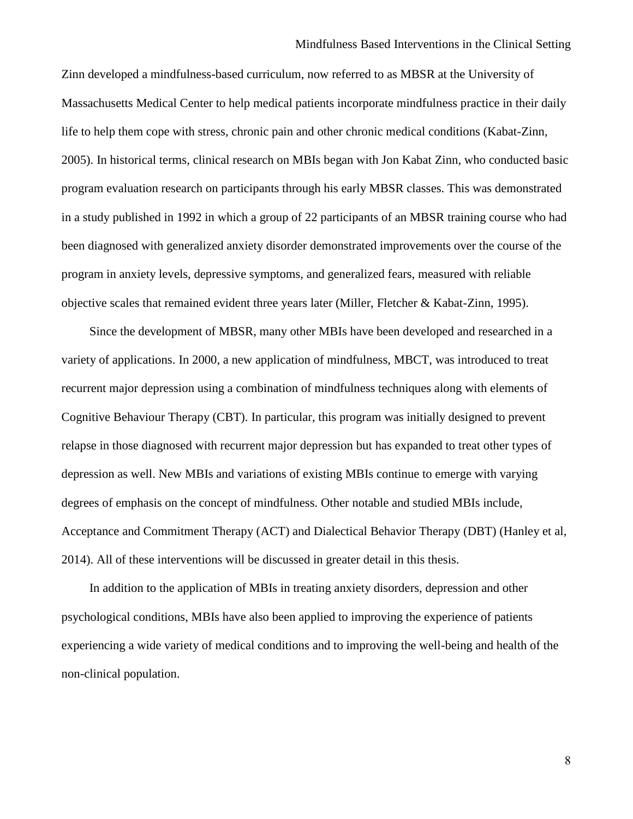Zinn developed a mindfulness-based curriculum, now referred to as MBSR at the University of Massachusetts Medical Center to help medical patients incorporate mindfulness practice in their daily life to help them cope with stress, chronic pain and other chronic medical conditions (Kabat-Zinn, 2005). In historical terms, clinical research on MBIs began with Jon Kabat Zinn, who conducted basic program evaluation research on participants through his early MBSR classes. This was demonstrated in a study published in 1992 in which a group of 22 participants of an MBSR training course who had been diagnosed with generalized anxiety disorder demonstrated improvements over the course of the program in anxiety levels, depressive symptoms, and generalized fears, measured with reliable objective scales that remained evident three years later (Miller, Fletcher & Kabat-Zinn, 1995).

Since the development of MBSR, many other MBIs have been developed and researched in a variety of applications. In 2000, a new application of mindfulness, MBCT, was introduced to treat recurrent major depression using a combination of mindfulness techniques along with elements of Cognitive Behaviour Therapy (CBT). In particular, this program was initially designed to prevent relapse in those diagnosed with recurrent major depression but has expanded to treat other types of depression as well. New MBIs and variations of existing MBIs continue to emerge with varying degrees of emphasis on the concept of mindfulness. Other notable and studied MBIs include, Acceptance and Commitment Therapy (ACT) and Dialectical Behavior Therapy (DBT) (Hanley et al, 2014). All of these interventions will be discussed in greater detail in this thesis.

In addition to the application of MBIs in treating anxiety disorders, depression and other psychological conditions, MBIs have also been applied to improving the experience of patients experiencing a wide variety of medical conditions and to improving the well-being and health of the non-clinical population.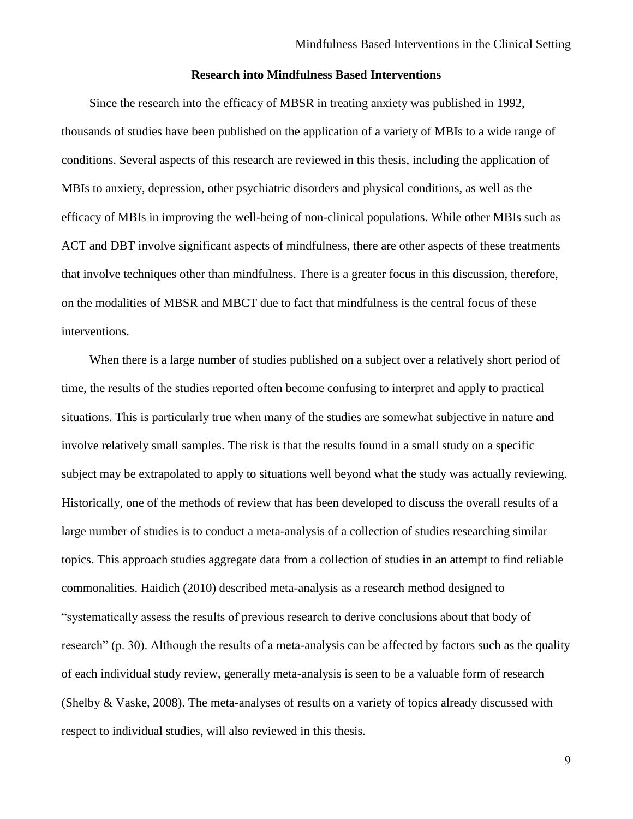## **Research into Mindfulness Based Interventions**

<span id="page-9-0"></span>Since the research into the efficacy of MBSR in treating anxiety was published in 1992, thousands of studies have been published on the application of a variety of MBIs to a wide range of conditions. Several aspects of this research are reviewed in this thesis, including the application of MBIs to anxiety, depression, other psychiatric disorders and physical conditions, as well as the efficacy of MBIs in improving the well-being of non-clinical populations. While other MBIs such as ACT and DBT involve significant aspects of mindfulness, there are other aspects of these treatments that involve techniques other than mindfulness. There is a greater focus in this discussion, therefore, on the modalities of MBSR and MBCT due to fact that mindfulness is the central focus of these interventions.

When there is a large number of studies published on a subject over a relatively short period of time, the results of the studies reported often become confusing to interpret and apply to practical situations. This is particularly true when many of the studies are somewhat subjective in nature and involve relatively small samples. The risk is that the results found in a small study on a specific subject may be extrapolated to apply to situations well beyond what the study was actually reviewing. Historically, one of the methods of review that has been developed to discuss the overall results of a large number of studies is to conduct a meta-analysis of a collection of studies researching similar topics. This approach studies aggregate data from a collection of studies in an attempt to find reliable commonalities. Haidich (2010) described meta-analysis as a research method designed to "systematically assess the results of previous research to derive conclusions about that body of research" (p. 30). Although the results of a meta-analysis can be affected by factors such as the quality of each individual study review, generally meta-analysis is seen to be a valuable form of research (Shelby & Vaske, 2008). The meta-analyses of results on a variety of topics already discussed with respect to individual studies, will also reviewed in this thesis.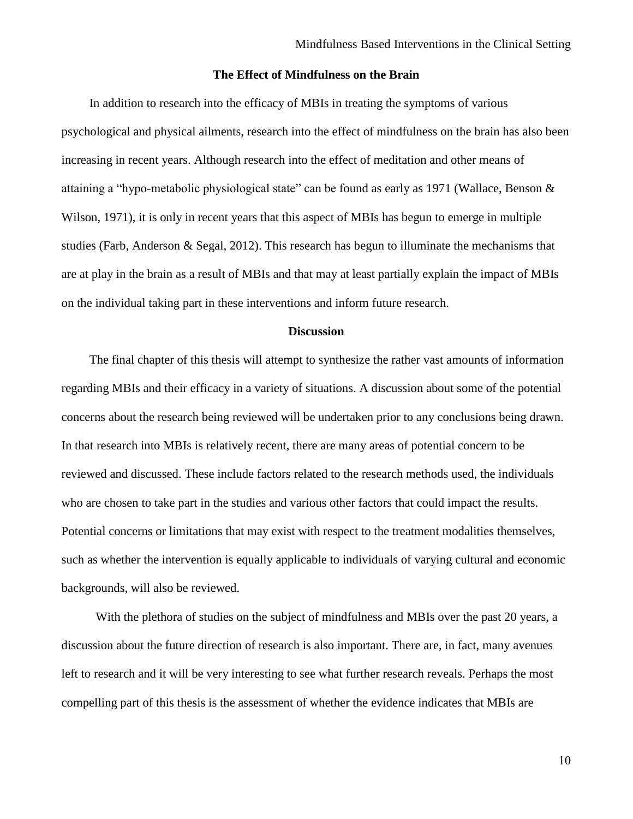# **The Effect of Mindfulness on the Brain**

<span id="page-10-0"></span>In addition to research into the efficacy of MBIs in treating the symptoms of various psychological and physical ailments, research into the effect of mindfulness on the brain has also been increasing in recent years. Although research into the effect of meditation and other means of attaining a "hypo-metabolic physiological state" can be found as early as 1971 (Wallace, Benson & Wilson, 1971), it is only in recent years that this aspect of MBIs has begun to emerge in multiple studies (Farb, Anderson & Segal, 2012). This research has begun to illuminate the mechanisms that are at play in the brain as a result of MBIs and that may at least partially explain the impact of MBIs on the individual taking part in these interventions and inform future research.

# **Discussion**

<span id="page-10-1"></span>The final chapter of this thesis will attempt to synthesize the rather vast amounts of information regarding MBIs and their efficacy in a variety of situations. A discussion about some of the potential concerns about the research being reviewed will be undertaken prior to any conclusions being drawn. In that research into MBIs is relatively recent, there are many areas of potential concern to be reviewed and discussed. These include factors related to the research methods used, the individuals who are chosen to take part in the studies and various other factors that could impact the results. Potential concerns or limitations that may exist with respect to the treatment modalities themselves, such as whether the intervention is equally applicable to individuals of varying cultural and economic backgrounds, will also be reviewed.

With the plethora of studies on the subject of mindfulness and MBIs over the past 20 years, a discussion about the future direction of research is also important. There are, in fact, many avenues left to research and it will be very interesting to see what further research reveals. Perhaps the most compelling part of this thesis is the assessment of whether the evidence indicates that MBIs are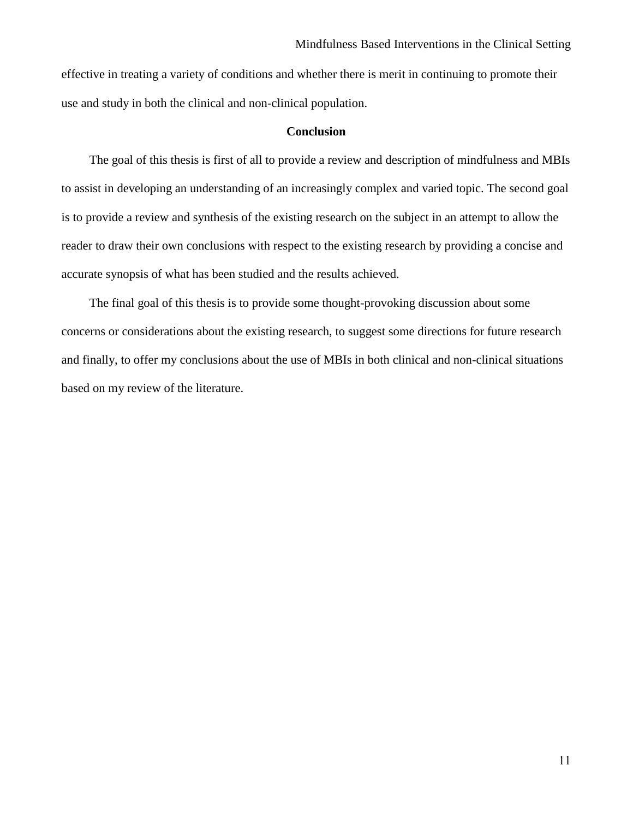effective in treating a variety of conditions and whether there is merit in continuing to promote their use and study in both the clinical and non-clinical population.

# **Conclusion**

<span id="page-11-0"></span>The goal of this thesis is first of all to provide a review and description of mindfulness and MBIs to assist in developing an understanding of an increasingly complex and varied topic. The second goal is to provide a review and synthesis of the existing research on the subject in an attempt to allow the reader to draw their own conclusions with respect to the existing research by providing a concise and accurate synopsis of what has been studied and the results achieved.

The final goal of this thesis is to provide some thought-provoking discussion about some concerns or considerations about the existing research, to suggest some directions for future research and finally, to offer my conclusions about the use of MBIs in both clinical and non-clinical situations based on my review of the literature.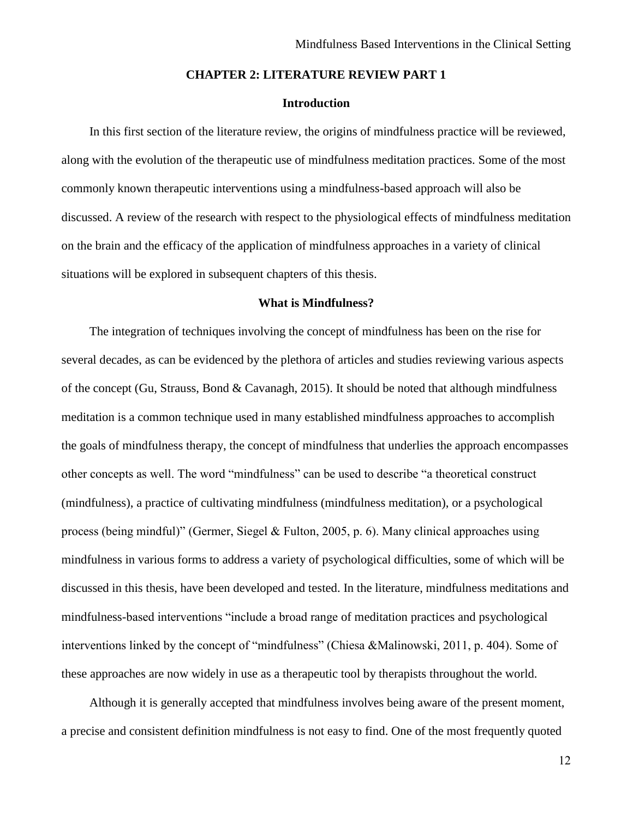# **CHAPTER 2: LITERATURE REVIEW PART 1**

# **Introduction**

<span id="page-12-1"></span><span id="page-12-0"></span>In this first section of the literature review, the origins of mindfulness practice will be reviewed, along with the evolution of the therapeutic use of mindfulness meditation practices. Some of the most commonly known therapeutic interventions using a mindfulness-based approach will also be discussed. A review of the research with respect to the physiological effects of mindfulness meditation on the brain and the efficacy of the application of mindfulness approaches in a variety of clinical situations will be explored in subsequent chapters of this thesis.

# **What is Mindfulness?**

<span id="page-12-2"></span>The integration of techniques involving the concept of mindfulness has been on the rise for several decades, as can be evidenced by the plethora of articles and studies reviewing various aspects of the concept (Gu, Strauss, Bond & Cavanagh, 2015). It should be noted that although mindfulness meditation is a common technique used in many established mindfulness approaches to accomplish the goals of mindfulness therapy, the concept of mindfulness that underlies the approach encompasses other concepts as well. The word "mindfulness" can be used to describe "a theoretical construct (mindfulness), a practice of cultivating mindfulness (mindfulness meditation), or a psychological process (being mindful)" (Germer, Siegel & Fulton, 2005, p. 6). Many clinical approaches using mindfulness in various forms to address a variety of psychological difficulties, some of which will be discussed in this thesis, have been developed and tested. In the literature, mindfulness meditations and mindfulness-based interventions "include a broad range of meditation practices and psychological interventions linked by the concept of "mindfulness" (Chiesa &Malinowski, 2011, p. 404). Some of these approaches are now widely in use as a therapeutic tool by therapists throughout the world.

Although it is generally accepted that mindfulness involves being aware of the present moment, a precise and consistent definition mindfulness is not easy to find. One of the most frequently quoted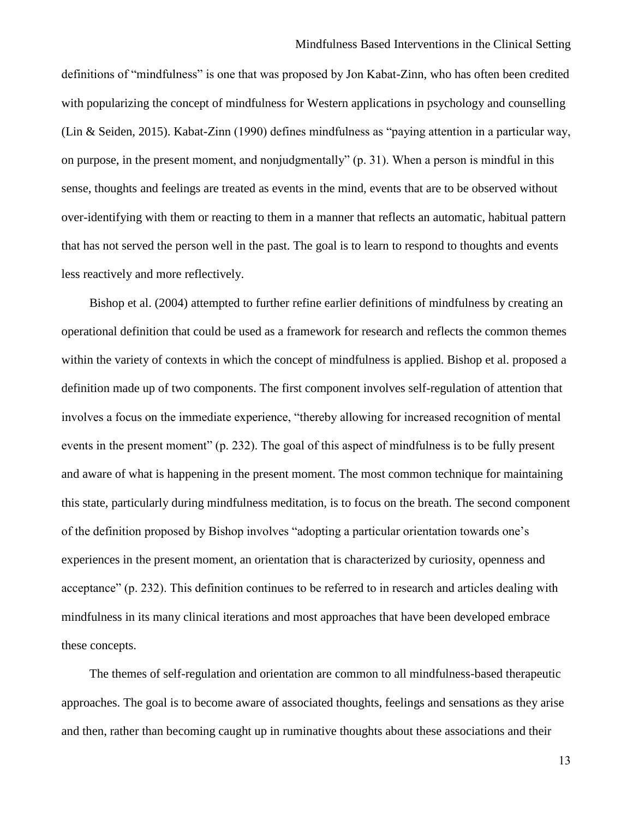definitions of "mindfulness" is one that was proposed by Jon Kabat-Zinn, who has often been credited with popularizing the concept of mindfulness for Western applications in psychology and counselling (Lin & Seiden, 2015). Kabat-Zinn (1990) defines mindfulness as "paying attention in a particular way, on purpose, in the present moment, and nonjudgmentally" (p. 31). When a person is mindful in this sense, thoughts and feelings are treated as events in the mind, events that are to be observed without over-identifying with them or reacting to them in a manner that reflects an automatic, habitual pattern that has not served the person well in the past. The goal is to learn to respond to thoughts and events less reactively and more reflectively.

Bishop et al. (2004) attempted to further refine earlier definitions of mindfulness by creating an operational definition that could be used as a framework for research and reflects the common themes within the variety of contexts in which the concept of mindfulness is applied. Bishop et al. proposed a definition made up of two components. The first component involves self-regulation of attention that involves a focus on the immediate experience, "thereby allowing for increased recognition of mental events in the present moment" (p. 232). The goal of this aspect of mindfulness is to be fully present and aware of what is happening in the present moment. The most common technique for maintaining this state, particularly during mindfulness meditation, is to focus on the breath. The second component of the definition proposed by Bishop involves "adopting a particular orientation towards one's experiences in the present moment, an orientation that is characterized by curiosity, openness and acceptance" (p. 232). This definition continues to be referred to in research and articles dealing with mindfulness in its many clinical iterations and most approaches that have been developed embrace these concepts.

The themes of self-regulation and orientation are common to all mindfulness-based therapeutic approaches. The goal is to become aware of associated thoughts, feelings and sensations as they arise and then, rather than becoming caught up in ruminative thoughts about these associations and their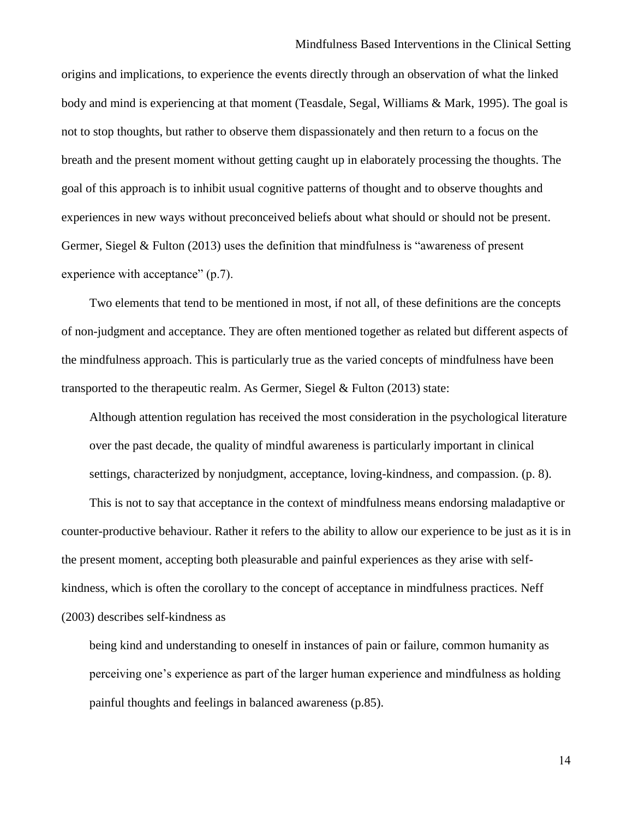origins and implications, to experience the events directly through an observation of what the linked body and mind is experiencing at that moment (Teasdale, Segal, Williams & Mark, 1995). The goal is not to stop thoughts, but rather to observe them dispassionately and then return to a focus on the breath and the present moment without getting caught up in elaborately processing the thoughts. The goal of this approach is to inhibit usual cognitive patterns of thought and to observe thoughts and experiences in new ways without preconceived beliefs about what should or should not be present. Germer, Siegel  $&$  Fulton (2013) uses the definition that mindfulness is "awareness of present experience with acceptance" (p.7).

Two elements that tend to be mentioned in most, if not all, of these definitions are the concepts of non-judgment and acceptance. They are often mentioned together as related but different aspects of the mindfulness approach. This is particularly true as the varied concepts of mindfulness have been transported to the therapeutic realm. As Germer, Siegel & Fulton (2013) state:

Although attention regulation has received the most consideration in the psychological literature over the past decade, the quality of mindful awareness is particularly important in clinical settings, characterized by nonjudgment, acceptance, loving-kindness, and compassion. (p. 8).

This is not to say that acceptance in the context of mindfulness means endorsing maladaptive or counter-productive behaviour. Rather it refers to the ability to allow our experience to be just as it is in the present moment, accepting both pleasurable and painful experiences as they arise with selfkindness, which is often the corollary to the concept of acceptance in mindfulness practices. Neff (2003) describes self-kindness as

being kind and understanding to oneself in instances of pain or failure, common humanity as perceiving one's experience as part of the larger human experience and mindfulness as holding painful thoughts and feelings in balanced awareness (p.85).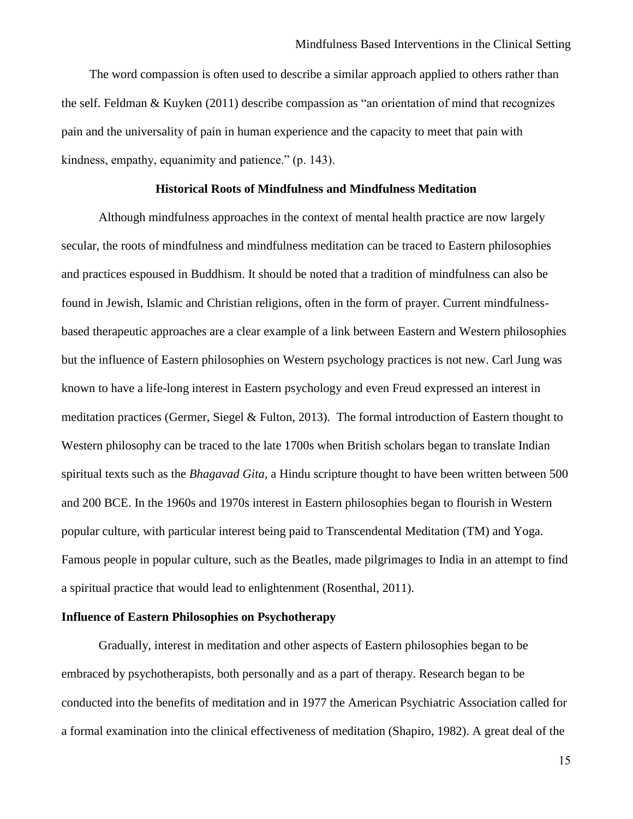The word compassion is often used to describe a similar approach applied to others rather than the self. Feldman & Kuyken (2011) describe compassion as "an orientation of mind that recognizes pain and the universality of pain in human experience and the capacity to meet that pain with kindness, empathy, equanimity and patience." (p. 143).

### **Historical Roots of Mindfulness and Mindfulness Meditation**

<span id="page-15-0"></span>Although mindfulness approaches in the context of mental health practice are now largely secular, the roots of mindfulness and mindfulness meditation can be traced to Eastern philosophies and practices espoused in Buddhism. It should be noted that a tradition of mindfulness can also be found in Jewish, Islamic and Christian religions, often in the form of prayer. Current mindfulnessbased therapeutic approaches are a clear example of a link between Eastern and Western philosophies but the influence of Eastern philosophies on Western psychology practices is not new. Carl Jung was known to have a life-long interest in Eastern psychology and even Freud expressed an interest in meditation practices (Germer, Siegel & Fulton, 2013). The formal introduction of Eastern thought to Western philosophy can be traced to the late 1700s when British scholars began to translate Indian spiritual texts such as the *Bhagavad Gita*, a Hindu scripture thought to have been written between 500 and 200 BCE. In the 1960s and 1970s interest in Eastern philosophies began to flourish in Western popular culture, with particular interest being paid to Transcendental Meditation (TM) and Yoga. Famous people in popular culture, such as the Beatles, made pilgrimages to India in an attempt to find a spiritual practice that would lead to enlightenment (Rosenthal, 2011).

#### <span id="page-15-1"></span>**Influence of Eastern Philosophies on Psychotherapy**

Gradually, interest in meditation and other aspects of Eastern philosophies began to be embraced by psychotherapists, both personally and as a part of therapy. Research began to be conducted into the benefits of meditation and in 1977 the American Psychiatric Association called for a formal examination into the clinical effectiveness of meditation (Shapiro, 1982). A great deal of the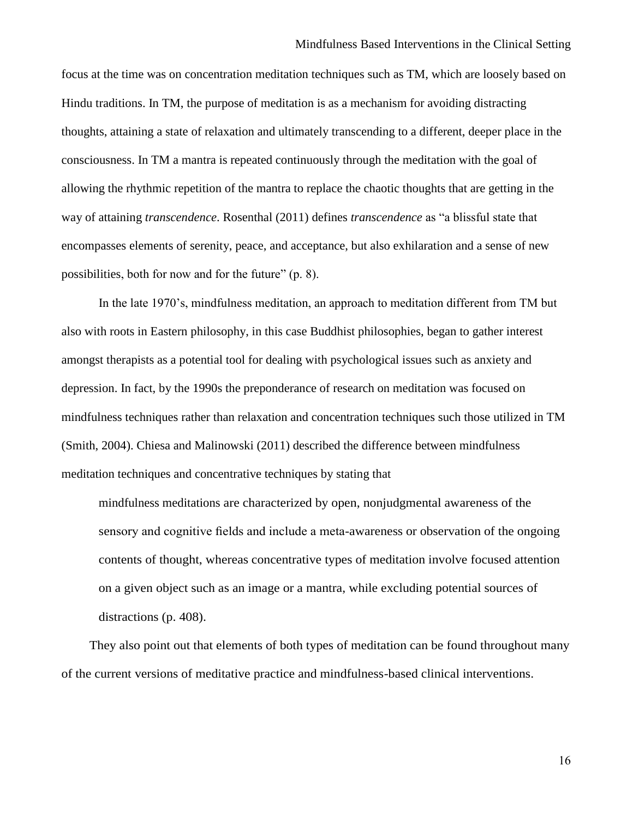focus at the time was on concentration meditation techniques such as TM, which are loosely based on Hindu traditions. In TM, the purpose of meditation is as a mechanism for avoiding distracting thoughts, attaining a state of relaxation and ultimately transcending to a different, deeper place in the consciousness. In TM a mantra is repeated continuously through the meditation with the goal of allowing the rhythmic repetition of the mantra to replace the chaotic thoughts that are getting in the way of attaining *transcendence*. Rosenthal (2011) defines *transcendence* as "a blissful state that encompasses elements of serenity, peace, and acceptance, but also exhilaration and a sense of new possibilities, both for now and for the future" (p. 8).

In the late 1970's, mindfulness meditation, an approach to meditation different from TM but also with roots in Eastern philosophy, in this case Buddhist philosophies, began to gather interest amongst therapists as a potential tool for dealing with psychological issues such as anxiety and depression. In fact, by the 1990s the preponderance of research on meditation was focused on mindfulness techniques rather than relaxation and concentration techniques such those utilized in TM (Smith, 2004). Chiesa and Malinowski (2011) described the difference between mindfulness meditation techniques and concentrative techniques by stating that

mindfulness meditations are characterized by open, nonjudgmental awareness of the sensory and cognitive fields and include a meta-awareness or observation of the ongoing contents of thought, whereas concentrative types of meditation involve focused attention on a given object such as an image or a mantra, while excluding potential sources of distractions (p. 408).

<span id="page-16-0"></span>They also point out that elements of both types of meditation can be found throughout many of the current versions of meditative practice and mindfulness-based clinical interventions.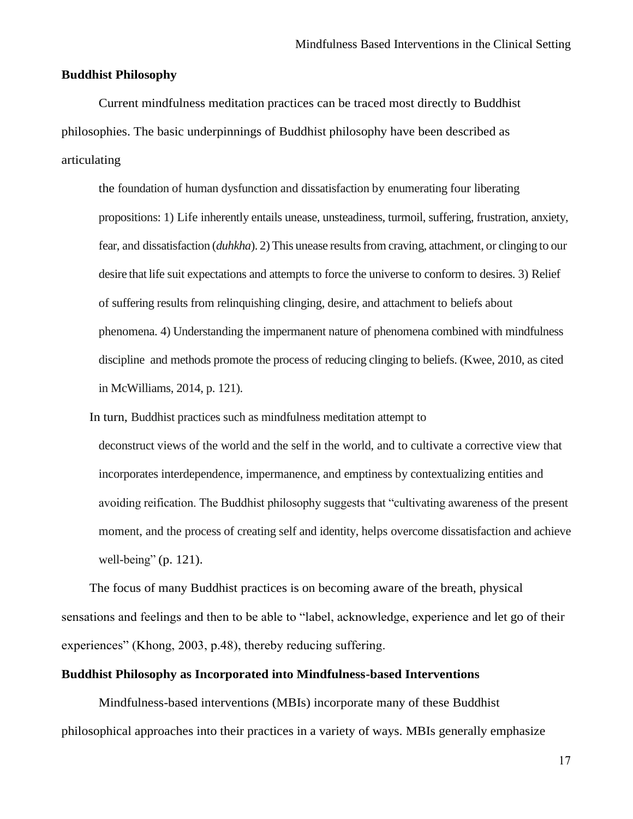# **Buddhist Philosophy**

Current mindfulness meditation practices can be traced most directly to Buddhist philosophies. The basic underpinnings of Buddhist philosophy have been described as articulating

the foundation of human dysfunction and dissatisfaction by enumerating four liberating propositions: 1) Life inherently entails unease, unsteadiness, turmoil, suffering, frustration, anxiety, fear, and dissatisfaction (*duhkha*). 2) This unease resultsfrom craving, attachment, or clinging to our desire that life suit expectations and attempts to force the universe to conform to desires. 3) Relief of suffering results from relinquishing clinging, desire, and attachment to beliefs about phenomena. 4) Understanding the impermanent nature of phenomena combined with mindfulness discipline and methods promote the process of reducing clinging to beliefs. (Kwee, 2010, as cited in McWilliams, 2014, p. 121).

In turn, Buddhist practices such as mindfulness meditation attempt to

deconstruct views of the world and the self in the world, and to cultivate a corrective view that incorporates interdependence, impermanence, and emptiness by contextualizing entities and avoiding reification. The Buddhist philosophy suggests that "cultivating awareness of the present moment, and the process of creating self and identity, helps overcome dissatisfaction and achieve well-being" (p. 121).

The focus of many Buddhist practices is on becoming aware of the breath, physical sensations and feelings and then to be able to "label, acknowledge, experience and let go of their experiences" (Khong, 2003, p.48), thereby reducing suffering.

#### <span id="page-17-0"></span>**Buddhist Philosophy as Incorporated into Mindfulness-based Interventions**

Mindfulness-based interventions (MBIs) incorporate many of these Buddhist philosophical approaches into their practices in a variety of ways. MBIs generally emphasize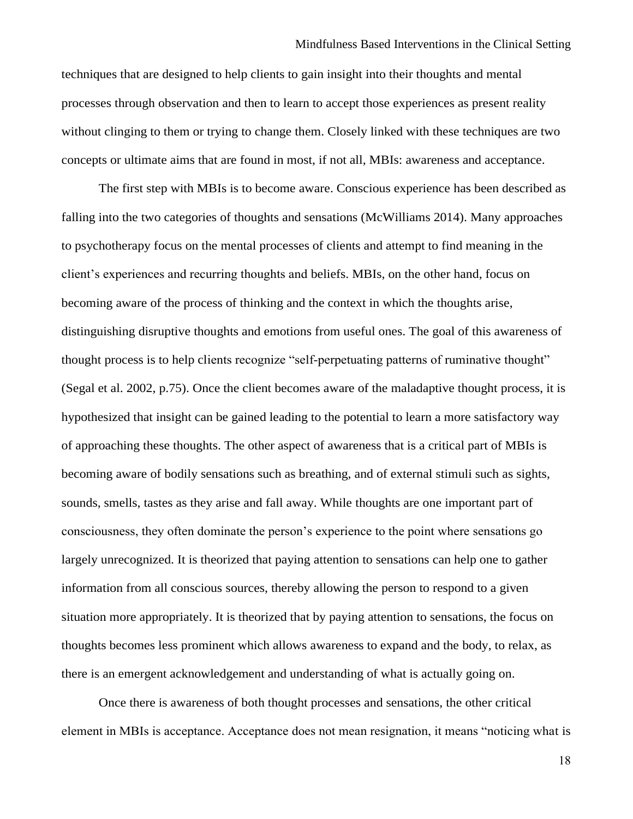#### Mindfulness Based Interventions in the Clinical Setting

techniques that are designed to help clients to gain insight into their thoughts and mental processes through observation and then to learn to accept those experiences as present reality without clinging to them or trying to change them. Closely linked with these techniques are two concepts or ultimate aims that are found in most, if not all, MBIs: awareness and acceptance.

The first step with MBIs is to become aware. Conscious experience has been described as falling into the two categories of thoughts and sensations (McWilliams 2014). Many approaches to psychotherapy focus on the mental processes of clients and attempt to find meaning in the client's experiences and recurring thoughts and beliefs. MBIs, on the other hand, focus on becoming aware of the process of thinking and the context in which the thoughts arise, distinguishing disruptive thoughts and emotions from useful ones. The goal of this awareness of thought process is to help clients recognize "self-perpetuating patterns of ruminative thought" (Segal et al. 2002, p.75). Once the client becomes aware of the maladaptive thought process, it is hypothesized that insight can be gained leading to the potential to learn a more satisfactory way of approaching these thoughts. The other aspect of awareness that is a critical part of MBIs is becoming aware of bodily sensations such as breathing, and of external stimuli such as sights, sounds, smells, tastes as they arise and fall away. While thoughts are one important part of consciousness, they often dominate the person's experience to the point where sensations go largely unrecognized. It is theorized that paying attention to sensations can help one to gather information from all conscious sources, thereby allowing the person to respond to a given situation more appropriately. It is theorized that by paying attention to sensations, the focus on thoughts becomes less prominent which allows awareness to expand and the body, to relax, as there is an emergent acknowledgement and understanding of what is actually going on.

Once there is awareness of both thought processes and sensations, the other critical element in MBIs is acceptance. Acceptance does not mean resignation, it means "noticing what is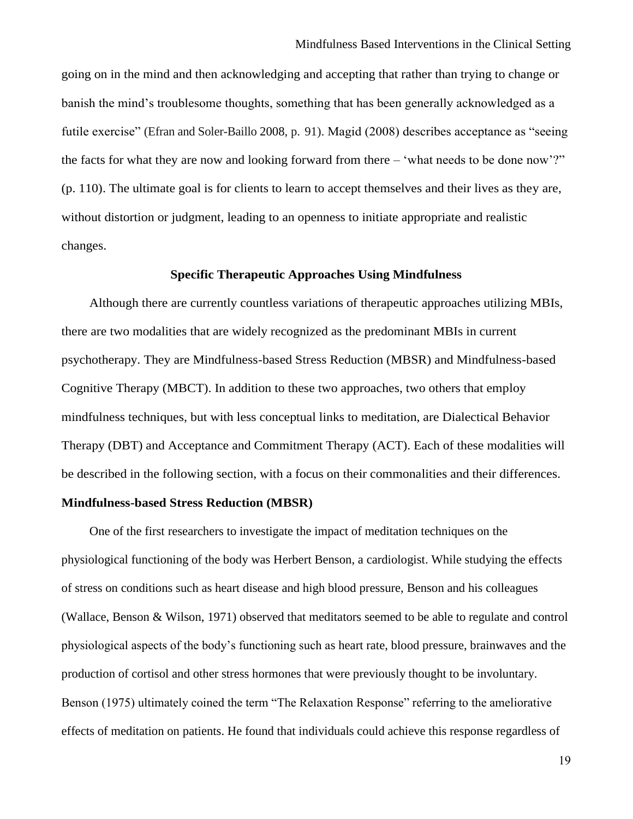going on in the mind and then acknowledging and accepting that rather than trying to change or banish the mind's troublesome thoughts, something that has been generally acknowledged as a futile exercise" (Efran and Soler-Baillo 2008, p. 91). Magid (2008) describes acceptance as "seeing the facts for what they are now and looking forward from there – 'what needs to be done now'?" (p. 110). The ultimate goal is for clients to learn to accept themselves and their lives as they are, without distortion or judgment, leading to an openness to initiate appropriate and realistic changes.

## **Specific Therapeutic Approaches Using Mindfulness**

<span id="page-19-0"></span>Although there are currently countless variations of therapeutic approaches utilizing MBIs, there are two modalities that are widely recognized as the predominant MBIs in current psychotherapy. They are Mindfulness-based Stress Reduction (MBSR) and Mindfulness-based Cognitive Therapy (MBCT). In addition to these two approaches, two others that employ mindfulness techniques, but with less conceptual links to meditation, are Dialectical Behavior Therapy (DBT) and Acceptance and Commitment Therapy (ACT). Each of these modalities will be described in the following section, with a focus on their commonalities and their differences.

### <span id="page-19-1"></span>**Mindfulness-based Stress Reduction (MBSR)**

One of the first researchers to investigate the impact of meditation techniques on the physiological functioning of the body was Herbert Benson, a cardiologist. While studying the effects of stress on conditions such as heart disease and high blood pressure, Benson and his colleagues (Wallace, Benson & Wilson, 1971) observed that meditators seemed to be able to regulate and control physiological aspects of the body's functioning such as heart rate, blood pressure, brainwaves and the production of cortisol and other stress hormones that were previously thought to be involuntary. Benson (1975) ultimately coined the term "The Relaxation Response" referring to the ameliorative effects of meditation on patients. He found that individuals could achieve this response regardless of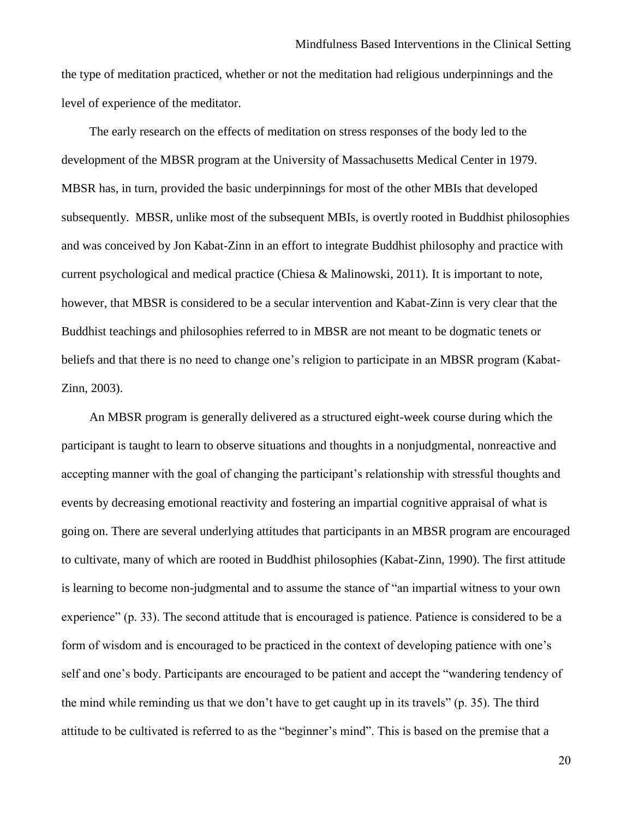the type of meditation practiced, whether or not the meditation had religious underpinnings and the level of experience of the meditator.

The early research on the effects of meditation on stress responses of the body led to the development of the MBSR program at the University of Massachusetts Medical Center in 1979. MBSR has, in turn, provided the basic underpinnings for most of the other MBIs that developed subsequently. MBSR, unlike most of the subsequent MBIs, is overtly rooted in Buddhist philosophies and was conceived by Jon Kabat-Zinn in an effort to integrate Buddhist philosophy and practice with current psychological and medical practice (Chiesa & Malinowski, 2011). It is important to note, however, that MBSR is considered to be a secular intervention and Kabat-Zinn is very clear that the Buddhist teachings and philosophies referred to in MBSR are not meant to be dogmatic tenets or beliefs and that there is no need to change one's religion to participate in an MBSR program (Kabat-Zinn, 2003).

An MBSR program is generally delivered as a structured eight-week course during which the participant is taught to learn to observe situations and thoughts in a nonjudgmental, nonreactive and accepting manner with the goal of changing the participant's relationship with stressful thoughts and events by decreasing emotional reactivity and fostering an impartial cognitive appraisal of what is going on. There are several underlying attitudes that participants in an MBSR program are encouraged to cultivate, many of which are rooted in Buddhist philosophies (Kabat-Zinn, 1990). The first attitude is learning to become non-judgmental and to assume the stance of "an impartial witness to your own experience" (p. 33). The second attitude that is encouraged is patience. Patience is considered to be a form of wisdom and is encouraged to be practiced in the context of developing patience with one's self and one's body. Participants are encouraged to be patient and accept the "wandering tendency of the mind while reminding us that we don't have to get caught up in its travels" (p. 35). The third attitude to be cultivated is referred to as the "beginner's mind". This is based on the premise that a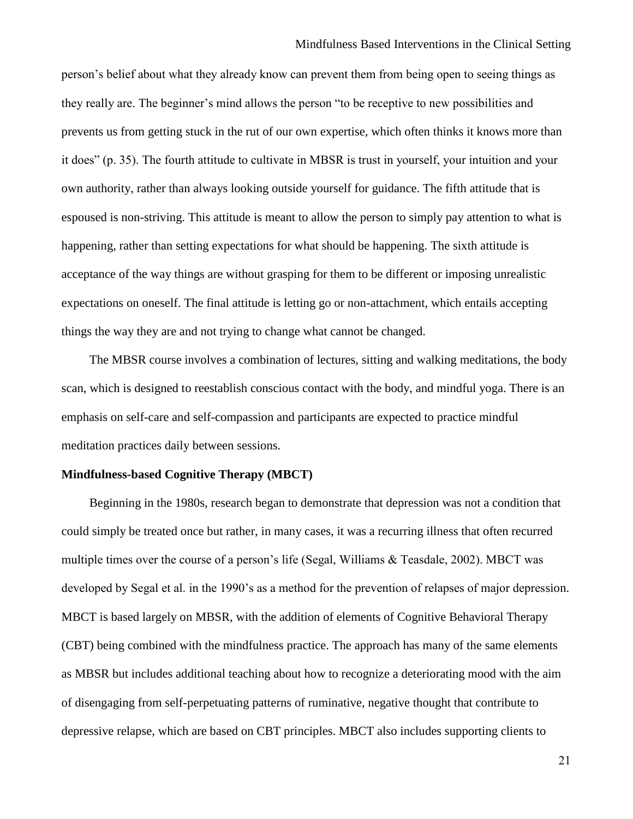person's belief about what they already know can prevent them from being open to seeing things as they really are. The beginner's mind allows the person "to be receptive to new possibilities and prevents us from getting stuck in the rut of our own expertise, which often thinks it knows more than it does" (p. 35). The fourth attitude to cultivate in MBSR is trust in yourself, your intuition and your own authority, rather than always looking outside yourself for guidance. The fifth attitude that is espoused is non-striving. This attitude is meant to allow the person to simply pay attention to what is happening, rather than setting expectations for what should be happening. The sixth attitude is acceptance of the way things are without grasping for them to be different or imposing unrealistic expectations on oneself. The final attitude is letting go or non-attachment, which entails accepting things the way they are and not trying to change what cannot be changed.

The MBSR course involves a combination of lectures, sitting and walking meditations, the body scan, which is designed to reestablish conscious contact with the body, and mindful yoga. There is an emphasis on self-care and self-compassion and participants are expected to practice mindful meditation practices daily between sessions.

# <span id="page-21-0"></span>**Mindfulness-based Cognitive Therapy (MBCT)**

Beginning in the 1980s, research began to demonstrate that depression was not a condition that could simply be treated once but rather, in many cases, it was a recurring illness that often recurred multiple times over the course of a person's life (Segal, Williams & Teasdale, 2002). MBCT was developed by Segal et al. in the 1990's as a method for the prevention of relapses of major depression. MBCT is based largely on MBSR, with the addition of elements of Cognitive Behavioral Therapy (CBT) being combined with the mindfulness practice. The approach has many of the same elements as MBSR but includes additional teaching about how to recognize a deteriorating mood with the aim of disengaging from self-perpetuating patterns of ruminative, negative thought that contribute to depressive relapse, which are based on CBT principles. MBCT also includes supporting clients to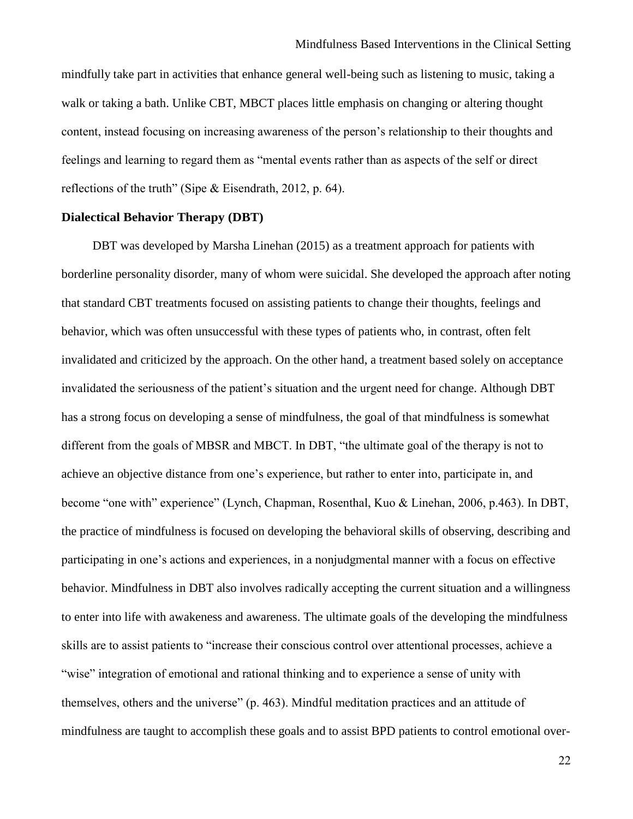mindfully take part in activities that enhance general well-being such as listening to music, taking a walk or taking a bath. Unlike CBT, MBCT places little emphasis on changing or altering thought content, instead focusing on increasing awareness of the person's relationship to their thoughts and feelings and learning to regard them as "mental events rather than as aspects of the self or direct reflections of the truth" (Sipe & Eisendrath, 2012, p. 64).

# <span id="page-22-0"></span>**Dialectical Behavior Therapy (DBT)**

DBT was developed by Marsha Linehan (2015) as a treatment approach for patients with borderline personality disorder, many of whom were suicidal. She developed the approach after noting that standard CBT treatments focused on assisting patients to change their thoughts, feelings and behavior, which was often unsuccessful with these types of patients who, in contrast, often felt invalidated and criticized by the approach. On the other hand, a treatment based solely on acceptance invalidated the seriousness of the patient's situation and the urgent need for change. Although DBT has a strong focus on developing a sense of mindfulness, the goal of that mindfulness is somewhat different from the goals of MBSR and MBCT. In DBT, "the ultimate goal of the therapy is not to achieve an objective distance from one's experience, but rather to enter into, participate in, and become "one with" experience" (Lynch, Chapman, Rosenthal, Kuo & Linehan, 2006, p.463). In DBT, the practice of mindfulness is focused on developing the behavioral skills of observing, describing and participating in one's actions and experiences, in a nonjudgmental manner with a focus on effective behavior. Mindfulness in DBT also involves radically accepting the current situation and a willingness to enter into life with awakeness and awareness. The ultimate goals of the developing the mindfulness skills are to assist patients to "increase their conscious control over attentional processes, achieve a "wise" integration of emotional and rational thinking and to experience a sense of unity with themselves, others and the universe" (p. 463). Mindful meditation practices and an attitude of mindfulness are taught to accomplish these goals and to assist BPD patients to control emotional over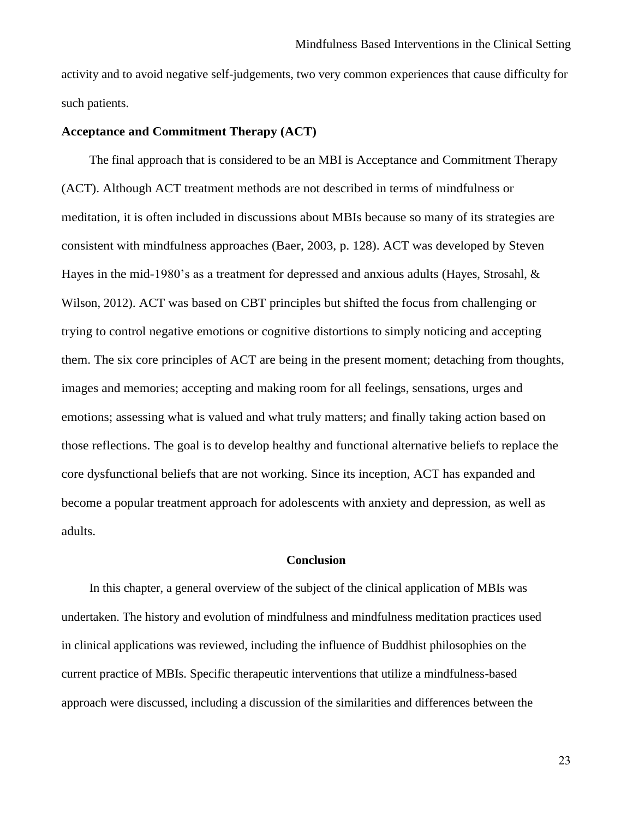activity and to avoid negative self-judgements, two very common experiences that cause difficulty for such patients.

# <span id="page-23-0"></span>**Acceptance and Commitment Therapy (ACT)**

The final approach that is considered to be an MBI is Acceptance and Commitment Therapy (ACT). Although ACT treatment methods are not described in terms of mindfulness or meditation, it is often included in discussions about MBIs because so many of its strategies are consistent with mindfulness approaches (Baer, 2003, p. 128). ACT was developed by Steven Hayes in the mid-1980's as a treatment for depressed and anxious adults (Hayes, Strosahl, & Wilson, 2012). ACT was based on CBT principles but shifted the focus from challenging or trying to control negative emotions or cognitive distortions to simply noticing and accepting them. The six core principles of ACT are being in the present moment; detaching from thoughts, images and memories; accepting and making room for all feelings, sensations, urges and emotions; assessing what is valued and what truly matters; and finally taking action based on those reflections. The goal is to develop healthy and functional alternative beliefs to replace the core dysfunctional beliefs that are not working. Since its inception, ACT has expanded and become a popular treatment approach for adolescents with anxiety and depression, as well as adults.

#### **Conclusion**

<span id="page-23-1"></span>In this chapter, a general overview of the subject of the clinical application of MBIs was undertaken. The history and evolution of mindfulness and mindfulness meditation practices used in clinical applications was reviewed, including the influence of Buddhist philosophies on the current practice of MBIs. Specific therapeutic interventions that utilize a mindfulness-based approach were discussed, including a discussion of the similarities and differences between the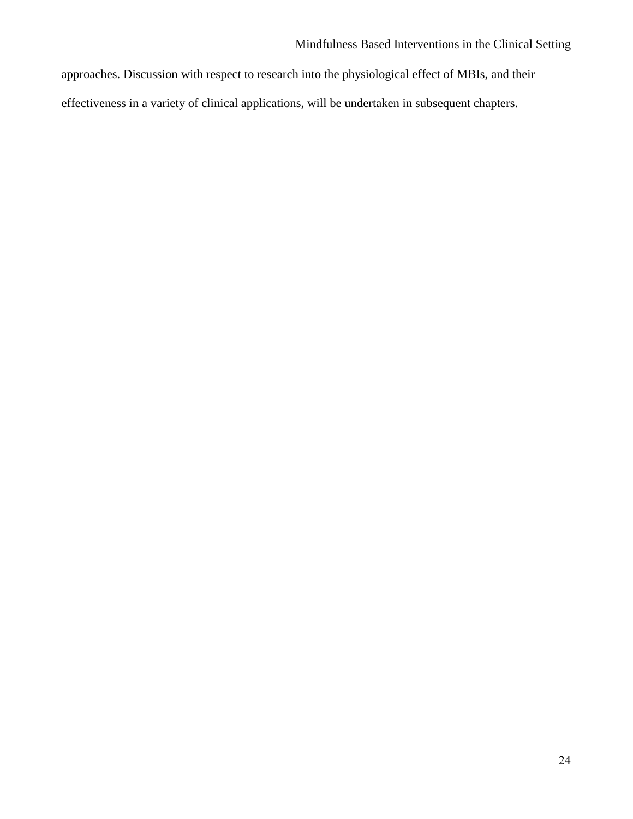approaches. Discussion with respect to research into the physiological effect of MBIs, and their effectiveness in a variety of clinical applications, will be undertaken in subsequent chapters.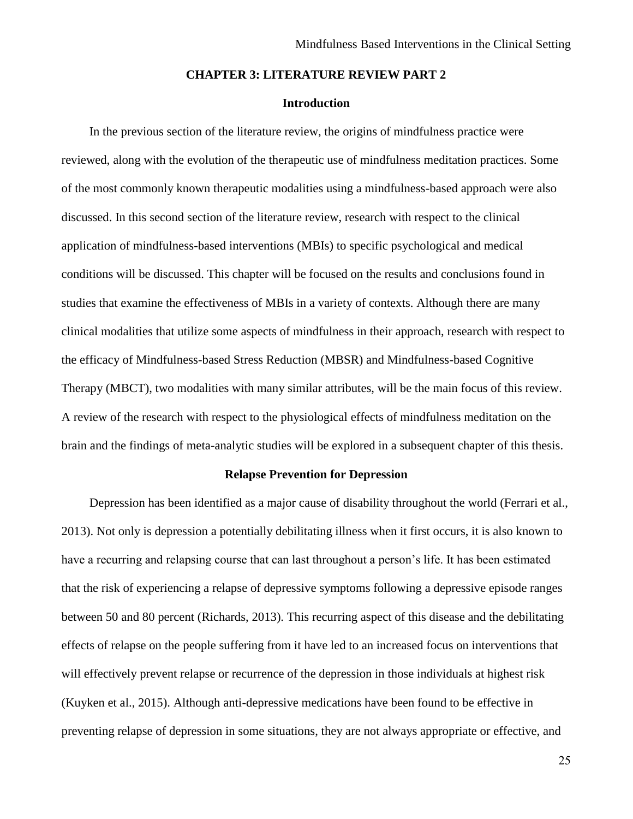## **CHAPTER 3: LITERATURE REVIEW PART 2**

# **Introduction**

<span id="page-25-1"></span><span id="page-25-0"></span>In the previous section of the literature review, the origins of mindfulness practice were reviewed, along with the evolution of the therapeutic use of mindfulness meditation practices. Some of the most commonly known therapeutic modalities using a mindfulness-based approach were also discussed. In this second section of the literature review, research with respect to the clinical application of mindfulness-based interventions (MBIs) to specific psychological and medical conditions will be discussed. This chapter will be focused on the results and conclusions found in studies that examine the effectiveness of MBIs in a variety of contexts. Although there are many clinical modalities that utilize some aspects of mindfulness in their approach, research with respect to the efficacy of Mindfulness-based Stress Reduction (MBSR) and Mindfulness-based Cognitive Therapy (MBCT), two modalities with many similar attributes, will be the main focus of this review. A review of the research with respect to the physiological effects of mindfulness meditation on the brain and the findings of meta-analytic studies will be explored in a subsequent chapter of this thesis.

### **Relapse Prevention for Depression**

<span id="page-25-2"></span>Depression has been identified as a major cause of disability throughout the world (Ferrari et al., 2013). Not only is depression a potentially debilitating illness when it first occurs, it is also known to have a recurring and relapsing course that can last throughout a person's life. It has been estimated that the risk of experiencing a relapse of depressive symptoms following a depressive episode ranges between 50 and 80 percent (Richards, 2013). This recurring aspect of this disease and the debilitating effects of relapse on the people suffering from it have led to an increased focus on interventions that will effectively prevent relapse or recurrence of the depression in those individuals at highest risk (Kuyken et al., 2015). Although anti-depressive medications have been found to be effective in preventing relapse of depression in some situations, they are not always appropriate or effective, and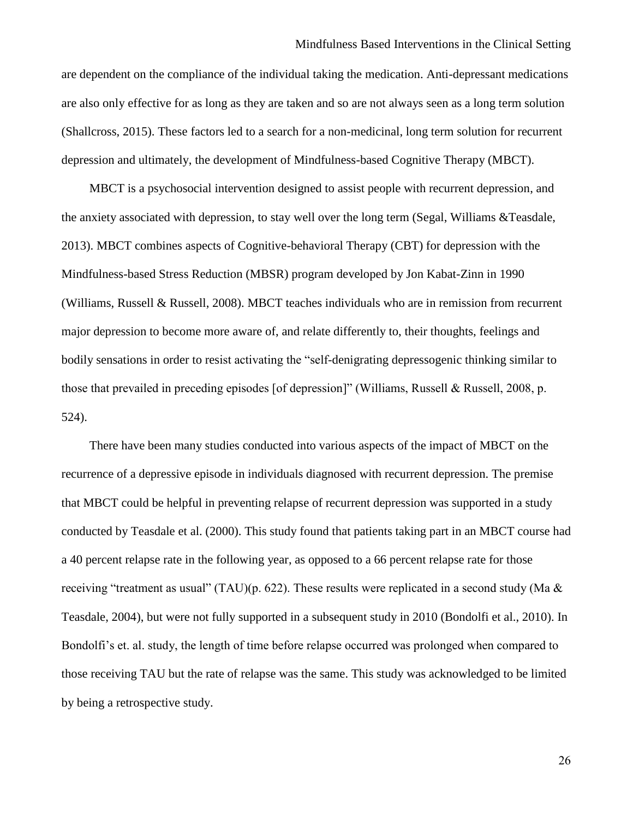#### Mindfulness Based Interventions in the Clinical Setting

are dependent on the compliance of the individual taking the medication. Anti-depressant medications are also only effective for as long as they are taken and so are not always seen as a long term solution (Shallcross, 2015). These factors led to a search for a non-medicinal, long term solution for recurrent depression and ultimately, the development of Mindfulness-based Cognitive Therapy (MBCT).

MBCT is a psychosocial intervention designed to assist people with recurrent depression, and the anxiety associated with depression, to stay well over the long term (Segal, Williams &Teasdale, 2013). MBCT combines aspects of Cognitive-behavioral Therapy (CBT) for depression with the Mindfulness-based Stress Reduction (MBSR) program developed by Jon Kabat-Zinn in 1990 (Williams, Russell & Russell, 2008). MBCT teaches individuals who are in remission from recurrent major depression to become more aware of, and relate differently to, their thoughts, feelings and bodily sensations in order to resist activating the "self-denigrating depressogenic thinking similar to those that prevailed in preceding episodes [of depression]" (Williams, Russell & Russell, 2008, p. 524).

There have been many studies conducted into various aspects of the impact of MBCT on the recurrence of a depressive episode in individuals diagnosed with recurrent depression. The premise that MBCT could be helpful in preventing relapse of recurrent depression was supported in a study conducted by Teasdale et al. (2000). This study found that patients taking part in an MBCT course had a 40 percent relapse rate in the following year, as opposed to a 66 percent relapse rate for those receiving "treatment as usual" (TAU)(p. 622). These results were replicated in a second study (Ma & Teasdale, 2004), but were not fully supported in a subsequent study in 2010 (Bondolfi et al., 2010). In Bondolfi's et. al. study, the length of time before relapse occurred was prolonged when compared to those receiving TAU but the rate of relapse was the same. This study was acknowledged to be limited by being a retrospective study.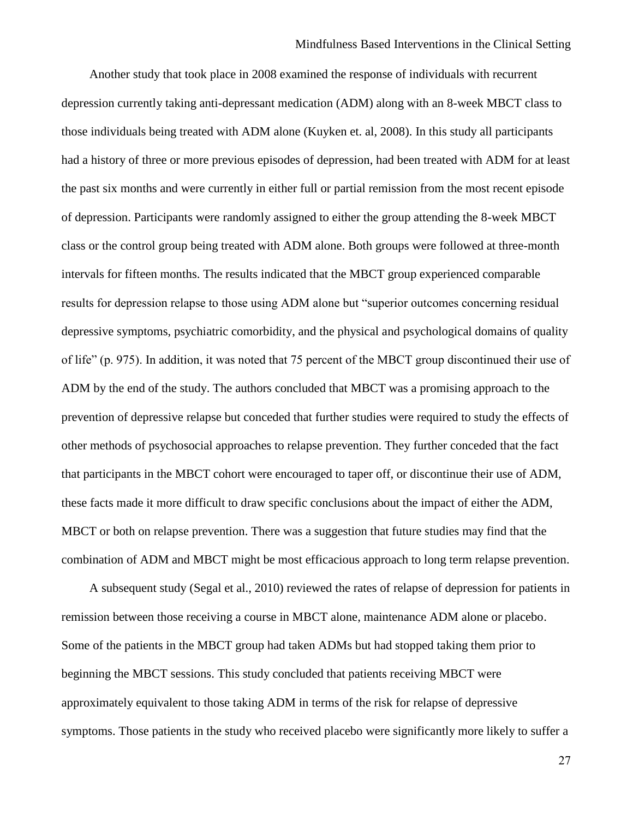Another study that took place in 2008 examined the response of individuals with recurrent depression currently taking anti-depressant medication (ADM) along with an 8-week MBCT class to those individuals being treated with ADM alone (Kuyken et. al, 2008). In this study all participants had a history of three or more previous episodes of depression, had been treated with ADM for at least the past six months and were currently in either full or partial remission from the most recent episode of depression. Participants were randomly assigned to either the group attending the 8-week MBCT class or the control group being treated with ADM alone. Both groups were followed at three-month intervals for fifteen months. The results indicated that the MBCT group experienced comparable results for depression relapse to those using ADM alone but "superior outcomes concerning residual depressive symptoms, psychiatric comorbidity, and the physical and psychological domains of quality of life" (p. 975). In addition, it was noted that 75 percent of the MBCT group discontinued their use of ADM by the end of the study. The authors concluded that MBCT was a promising approach to the prevention of depressive relapse but conceded that further studies were required to study the effects of other methods of psychosocial approaches to relapse prevention. They further conceded that the fact that participants in the MBCT cohort were encouraged to taper off, or discontinue their use of ADM, these facts made it more difficult to draw specific conclusions about the impact of either the ADM, MBCT or both on relapse prevention. There was a suggestion that future studies may find that the combination of ADM and MBCT might be most efficacious approach to long term relapse prevention.

A subsequent study (Segal et al., 2010) reviewed the rates of relapse of depression for patients in remission between those receiving a course in MBCT alone, maintenance ADM alone or placebo. Some of the patients in the MBCT group had taken ADMs but had stopped taking them prior to beginning the MBCT sessions. This study concluded that patients receiving MBCT were approximately equivalent to those taking ADM in terms of the risk for relapse of depressive symptoms. Those patients in the study who received placebo were significantly more likely to suffer a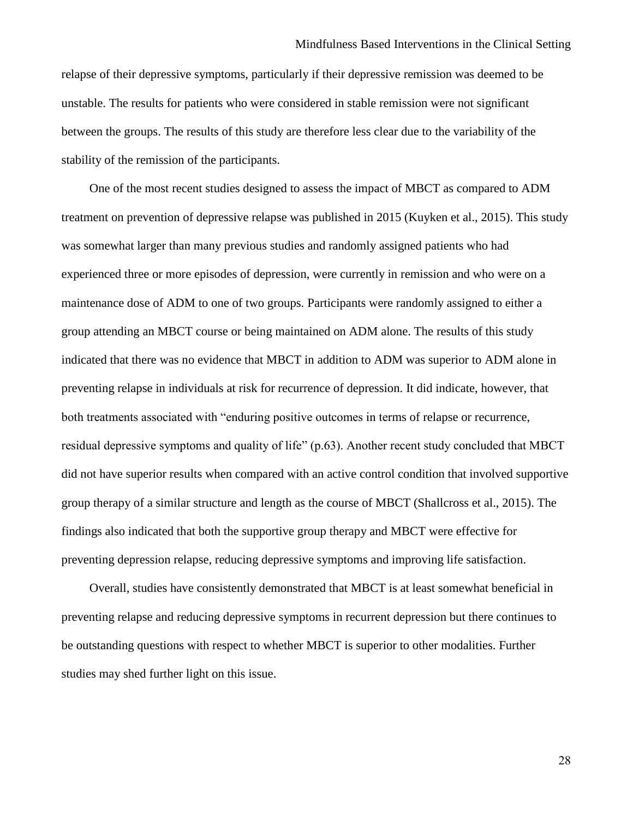relapse of their depressive symptoms, particularly if their depressive remission was deemed to be unstable. The results for patients who were considered in stable remission were not significant between the groups. The results of this study are therefore less clear due to the variability of the stability of the remission of the participants.

One of the most recent studies designed to assess the impact of MBCT as compared to ADM treatment on prevention of depressive relapse was published in 2015 (Kuyken et al., 2015). This study was somewhat larger than many previous studies and randomly assigned patients who had experienced three or more episodes of depression, were currently in remission and who were on a maintenance dose of ADM to one of two groups. Participants were randomly assigned to either a group attending an MBCT course or being maintained on ADM alone. The results of this study indicated that there was no evidence that MBCT in addition to ADM was superior to ADM alone in preventing relapse in individuals at risk for recurrence of depression. It did indicate, however, that both treatments associated with "enduring positive outcomes in terms of relapse or recurrence, residual depressive symptoms and quality of life" (p.63). Another recent study concluded that MBCT did not have superior results when compared with an active control condition that involved supportive group therapy of a similar structure and length as the course of MBCT (Shallcross et al., 2015). The findings also indicated that both the supportive group therapy and MBCT were effective for preventing depression relapse, reducing depressive symptoms and improving life satisfaction.

Overall, studies have consistently demonstrated that MBCT is at least somewhat beneficial in preventing relapse and reducing depressive symptoms in recurrent depression but there continues to be outstanding questions with respect to whether MBCT is superior to other modalities. Further studies may shed further light on this issue.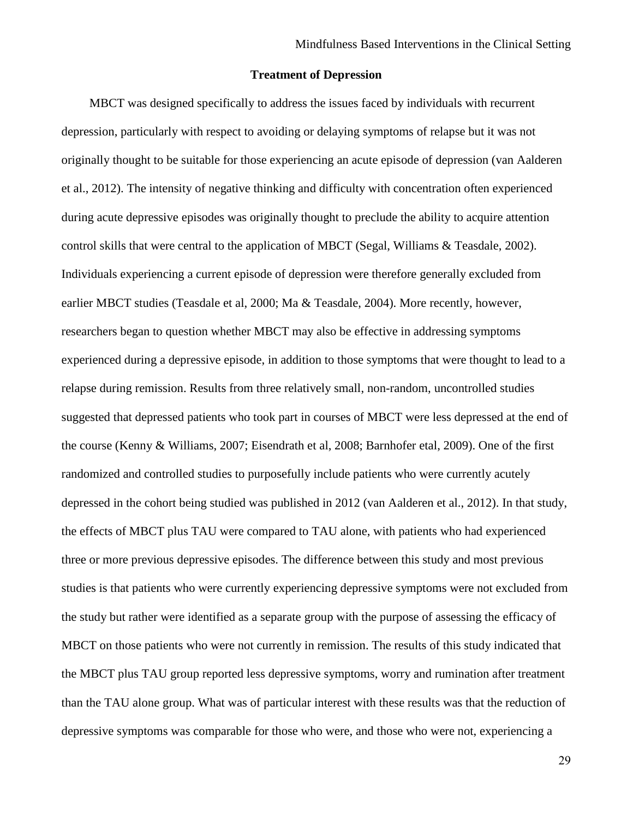# **Treatment of Depression**

<span id="page-29-0"></span>MBCT was designed specifically to address the issues faced by individuals with recurrent depression, particularly with respect to avoiding or delaying symptoms of relapse but it was not originally thought to be suitable for those experiencing an acute episode of depression (van Aalderen et al., 2012). The intensity of negative thinking and difficulty with concentration often experienced during acute depressive episodes was originally thought to preclude the ability to acquire attention control skills that were central to the application of MBCT (Segal, Williams & Teasdale, 2002). Individuals experiencing a current episode of depression were therefore generally excluded from earlier MBCT studies (Teasdale et al, 2000; Ma & Teasdale, 2004). More recently, however, researchers began to question whether MBCT may also be effective in addressing symptoms experienced during a depressive episode, in addition to those symptoms that were thought to lead to a relapse during remission. Results from three relatively small, non-random, uncontrolled studies suggested that depressed patients who took part in courses of MBCT were less depressed at the end of the course (Kenny & Williams, 2007; Eisendrath et al, 2008; Barnhofer etal, 2009). One of the first randomized and controlled studies to purposefully include patients who were currently acutely depressed in the cohort being studied was published in 2012 (van Aalderen et al., 2012). In that study, the effects of MBCT plus TAU were compared to TAU alone, with patients who had experienced three or more previous depressive episodes. The difference between this study and most previous studies is that patients who were currently experiencing depressive symptoms were not excluded from the study but rather were identified as a separate group with the purpose of assessing the efficacy of MBCT on those patients who were not currently in remission. The results of this study indicated that the MBCT plus TAU group reported less depressive symptoms, worry and rumination after treatment than the TAU alone group. What was of particular interest with these results was that the reduction of depressive symptoms was comparable for those who were, and those who were not, experiencing a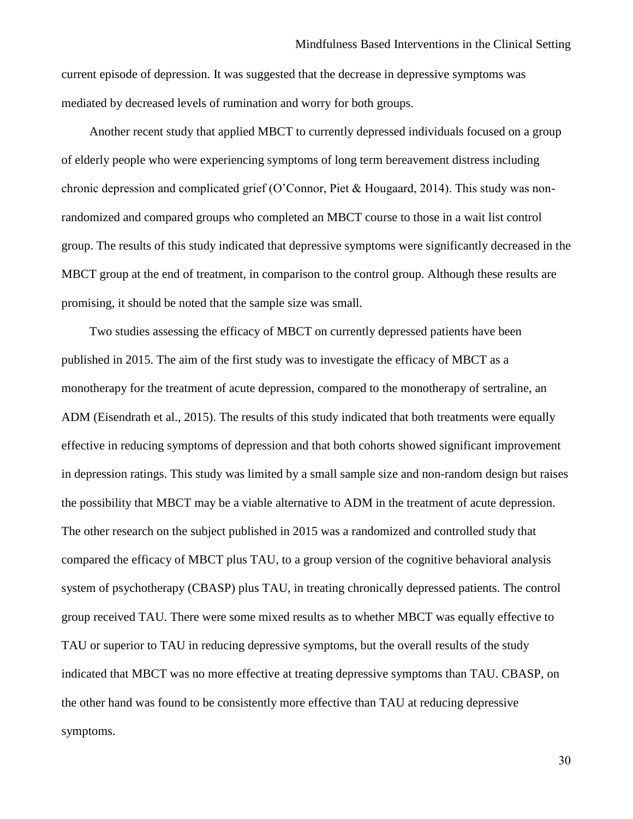current episode of depression. It was suggested that the decrease in depressive symptoms was mediated by decreased levels of rumination and worry for both groups.

Another recent study that applied MBCT to currently depressed individuals focused on a group of elderly people who were experiencing symptoms of long term bereavement distress including chronic depression and complicated grief (O'Connor, Piet & Hougaard, 2014). This study was nonrandomized and compared groups who completed an MBCT course to those in a wait list control group. The results of this study indicated that depressive symptoms were significantly decreased in the MBCT group at the end of treatment, in comparison to the control group. Although these results are promising, it should be noted that the sample size was small.

Two studies assessing the efficacy of MBCT on currently depressed patients have been published in 2015. The aim of the first study was to investigate the efficacy of MBCT as a monotherapy for the treatment of acute depression, compared to the monotherapy of sertraline, an ADM (Eisendrath et al., 2015). The results of this study indicated that both treatments were equally effective in reducing symptoms of depression and that both cohorts showed significant improvement in depression ratings. This study was limited by a small sample size and non-random design but raises the possibility that MBCT may be a viable alternative to ADM in the treatment of acute depression. The other research on the subject published in 2015 was a randomized and controlled study that compared the efficacy of MBCT plus TAU, to a group version of the cognitive behavioral analysis system of psychotherapy (CBASP) plus TAU, in treating chronically depressed patients. The control group received TAU. There were some mixed results as to whether MBCT was equally effective to TAU or superior to TAU in reducing depressive symptoms, but the overall results of the study indicated that MBCT was no more effective at treating depressive symptoms than TAU. CBASP, on the other hand was found to be consistently more effective than TAU at reducing depressive symptoms.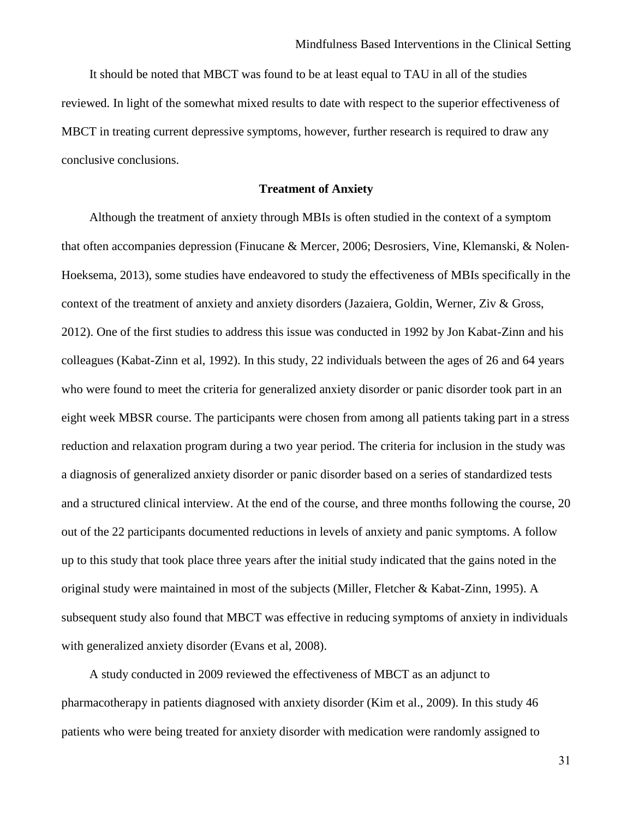It should be noted that MBCT was found to be at least equal to TAU in all of the studies reviewed. In light of the somewhat mixed results to date with respect to the superior effectiveness of MBCT in treating current depressive symptoms, however, further research is required to draw any conclusive conclusions.

#### **Treatment of Anxiety**

<span id="page-31-0"></span>Although the treatment of anxiety through MBIs is often studied in the context of a symptom that often accompanies depression (Finucane & Mercer, 2006; Desrosiers, Vine, Klemanski, & Nolen‐ Hoeksema, 2013), some studies have endeavored to study the effectiveness of MBIs specifically in the context of the treatment of anxiety and anxiety disorders (Jazaiera, Goldin, Werner, Ziv & Gross, 2012). One of the first studies to address this issue was conducted in 1992 by Jon Kabat-Zinn and his colleagues (Kabat-Zinn et al, 1992). In this study, 22 individuals between the ages of 26 and 64 years who were found to meet the criteria for generalized anxiety disorder or panic disorder took part in an eight week MBSR course. The participants were chosen from among all patients taking part in a stress reduction and relaxation program during a two year period. The criteria for inclusion in the study was a diagnosis of generalized anxiety disorder or panic disorder based on a series of standardized tests and a structured clinical interview. At the end of the course, and three months following the course, 20 out of the 22 participants documented reductions in levels of anxiety and panic symptoms. A follow up to this study that took place three years after the initial study indicated that the gains noted in the original study were maintained in most of the subjects (Miller, Fletcher & Kabat-Zinn, 1995). A subsequent study also found that MBCT was effective in reducing symptoms of anxiety in individuals with generalized anxiety disorder (Evans et al, 2008).

A study conducted in 2009 reviewed the effectiveness of MBCT as an adjunct to pharmacotherapy in patients diagnosed with anxiety disorder (Kim et al., 2009). In this study 46 patients who were being treated for anxiety disorder with medication were randomly assigned to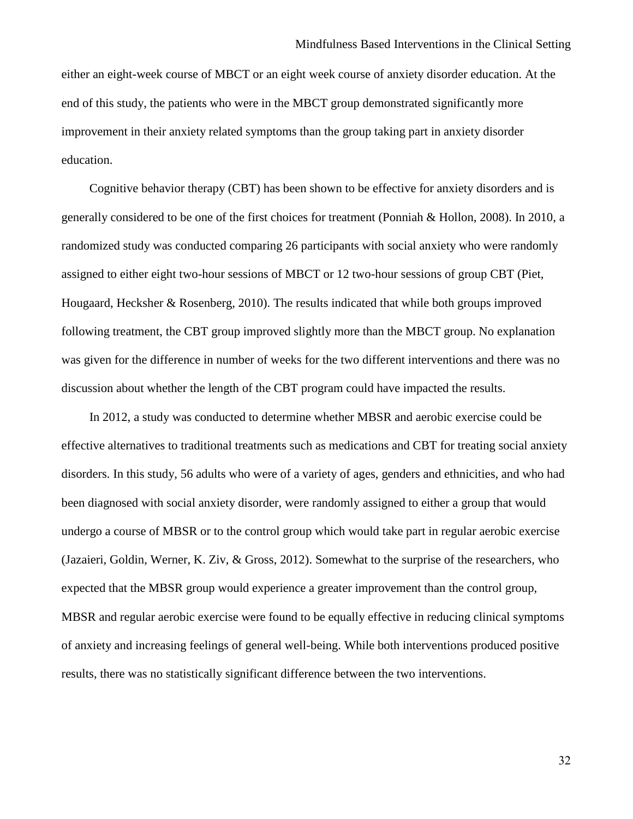either an eight-week course of MBCT or an eight week course of anxiety disorder education. At the end of this study, the patients who were in the MBCT group demonstrated significantly more improvement in their anxiety related symptoms than the group taking part in anxiety disorder education.

Cognitive behavior therapy (CBT) has been shown to be effective for anxiety disorders and is generally considered to be one of the first choices for treatment (Ponniah & Hollon, 2008). In 2010, a randomized study was conducted comparing 26 participants with social anxiety who were randomly assigned to either eight two-hour sessions of MBCT or 12 two-hour sessions of group CBT (Piet, Hougaard, Hecksher & Rosenberg, 2010). The results indicated that while both groups improved following treatment, the CBT group improved slightly more than the MBCT group. No explanation was given for the difference in number of weeks for the two different interventions and there was no discussion about whether the length of the CBT program could have impacted the results.

In 2012, a study was conducted to determine whether MBSR and aerobic exercise could be effective alternatives to traditional treatments such as medications and CBT for treating social anxiety disorders. In this study, 56 adults who were of a variety of ages, genders and ethnicities, and who had been diagnosed with social anxiety disorder, were randomly assigned to either a group that would undergo a course of MBSR or to the control group which would take part in regular aerobic exercise (Jazaieri, Goldin, Werner, K. Ziv, & Gross, 2012). Somewhat to the surprise of the researchers, who expected that the MBSR group would experience a greater improvement than the control group, MBSR and regular aerobic exercise were found to be equally effective in reducing clinical symptoms of anxiety and increasing feelings of general well-being. While both interventions produced positive results, there was no statistically significant difference between the two interventions.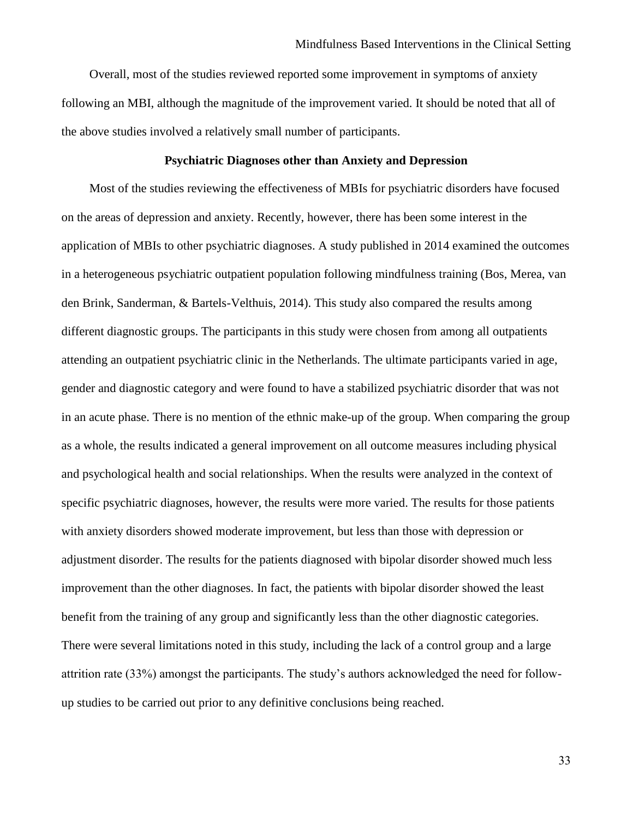Overall, most of the studies reviewed reported some improvement in symptoms of anxiety following an MBI, although the magnitude of the improvement varied. It should be noted that all of the above studies involved a relatively small number of participants.

# **Psychiatric Diagnoses other than Anxiety and Depression**

<span id="page-33-0"></span>Most of the studies reviewing the effectiveness of MBIs for psychiatric disorders have focused on the areas of depression and anxiety. Recently, however, there has been some interest in the application of MBIs to other psychiatric diagnoses. A study published in 2014 examined the outcomes in a heterogeneous psychiatric outpatient population following mindfulness training (Bos, Merea, van den Brink, Sanderman, & Bartels-Velthuis, 2014). This study also compared the results among different diagnostic groups. The participants in this study were chosen from among all outpatients attending an outpatient psychiatric clinic in the Netherlands. The ultimate participants varied in age, gender and diagnostic category and were found to have a stabilized psychiatric disorder that was not in an acute phase. There is no mention of the ethnic make-up of the group. When comparing the group as a whole, the results indicated a general improvement on all outcome measures including physical and psychological health and social relationships. When the results were analyzed in the context of specific psychiatric diagnoses, however, the results were more varied. The results for those patients with anxiety disorders showed moderate improvement, but less than those with depression or adjustment disorder. The results for the patients diagnosed with bipolar disorder showed much less improvement than the other diagnoses. In fact, the patients with bipolar disorder showed the least benefit from the training of any group and significantly less than the other diagnostic categories. There were several limitations noted in this study, including the lack of a control group and a large attrition rate (33%) amongst the participants. The study's authors acknowledged the need for followup studies to be carried out prior to any definitive conclusions being reached.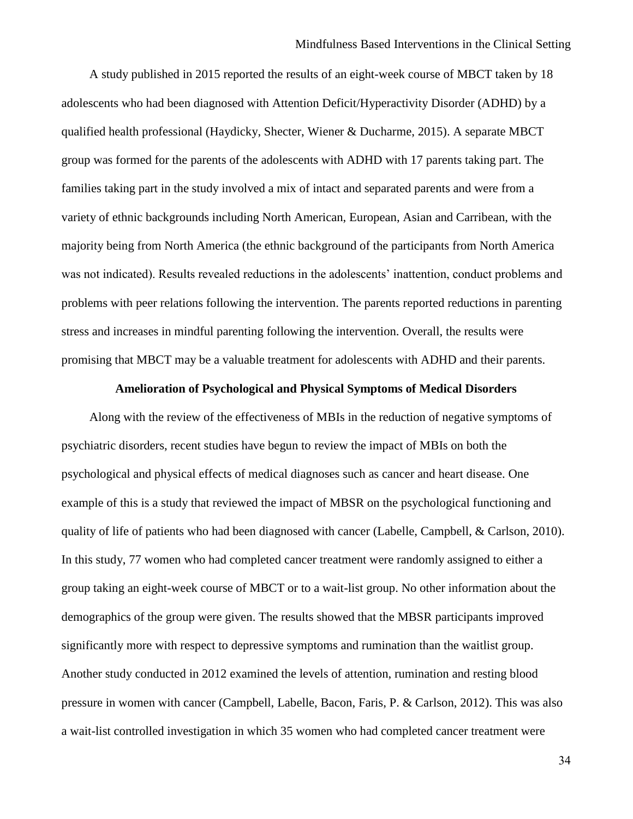A study published in 2015 reported the results of an eight-week course of MBCT taken by 18 adolescents who had been diagnosed with Attention Deficit/Hyperactivity Disorder (ADHD) by a qualified health professional (Haydicky, Shecter, Wiener & Ducharme, 2015). A separate MBCT group was formed for the parents of the adolescents with ADHD with 17 parents taking part. The families taking part in the study involved a mix of intact and separated parents and were from a variety of ethnic backgrounds including North American, European, Asian and Carribean, with the majority being from North America (the ethnic background of the participants from North America was not indicated). Results revealed reductions in the adolescents' inattention, conduct problems and problems with peer relations following the intervention. The parents reported reductions in parenting stress and increases in mindful parenting following the intervention. Overall, the results were promising that MBCT may be a valuable treatment for adolescents with ADHD and their parents.

#### **Amelioration of Psychological and Physical Symptoms of Medical Disorders**

<span id="page-34-0"></span>Along with the review of the effectiveness of MBIs in the reduction of negative symptoms of psychiatric disorders, recent studies have begun to review the impact of MBIs on both the psychological and physical effects of medical diagnoses such as cancer and heart disease. One example of this is a study that reviewed the impact of MBSR on the psychological functioning and quality of life of patients who had been diagnosed with cancer (Labelle, Campbell, & Carlson, 2010). In this study, 77 women who had completed cancer treatment were randomly assigned to either a group taking an eight-week course of MBCT or to a wait-list group. No other information about the demographics of the group were given. The results showed that the MBSR participants improved significantly more with respect to depressive symptoms and rumination than the waitlist group. Another study conducted in 2012 examined the levels of attention, rumination and resting blood pressure in women with cancer (Campbell, Labelle, Bacon, Faris, P. & Carlson, 2012). This was also a wait-list controlled investigation in which 35 women who had completed cancer treatment were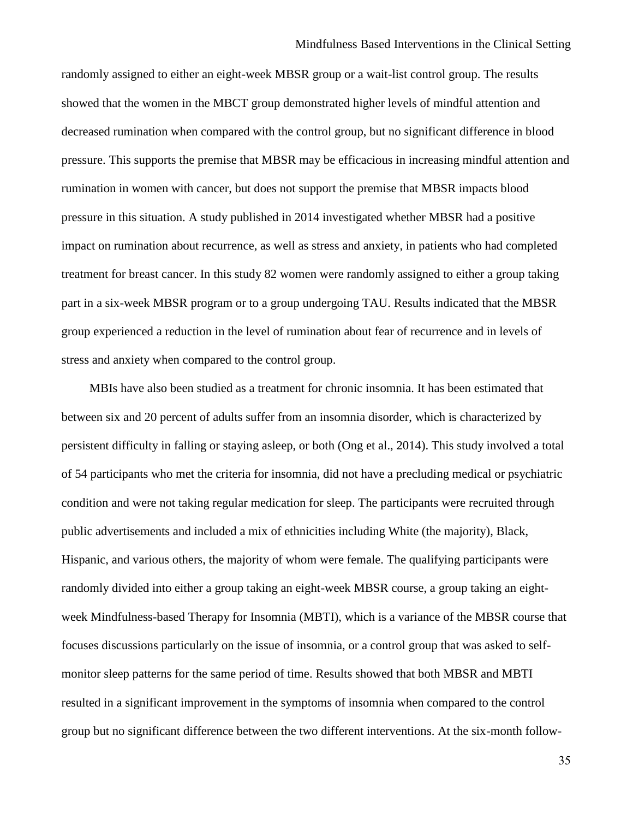randomly assigned to either an eight-week MBSR group or a wait-list control group. The results showed that the women in the MBCT group demonstrated higher levels of mindful attention and decreased rumination when compared with the control group, but no significant difference in blood pressure. This supports the premise that MBSR may be efficacious in increasing mindful attention and rumination in women with cancer, but does not support the premise that MBSR impacts blood pressure in this situation. A study published in 2014 investigated whether MBSR had a positive impact on rumination about recurrence, as well as stress and anxiety, in patients who had completed treatment for breast cancer. In this study 82 women were randomly assigned to either a group taking part in a six-week MBSR program or to a group undergoing TAU. Results indicated that the MBSR group experienced a reduction in the level of rumination about fear of recurrence and in levels of stress and anxiety when compared to the control group.

MBIs have also been studied as a treatment for chronic insomnia. It has been estimated that between six and 20 percent of adults suffer from an insomnia disorder, which is characterized by persistent difficulty in falling or staying asleep, or both (Ong et al., 2014). This study involved a total of 54 participants who met the criteria for insomnia, did not have a precluding medical or psychiatric condition and were not taking regular medication for sleep. The participants were recruited through public advertisements and included a mix of ethnicities including White (the majority), Black, Hispanic, and various others, the majority of whom were female. The qualifying participants were randomly divided into either a group taking an eight-week MBSR course, a group taking an eightweek Mindfulness-based Therapy for Insomnia (MBTI), which is a variance of the MBSR course that focuses discussions particularly on the issue of insomnia, or a control group that was asked to selfmonitor sleep patterns for the same period of time. Results showed that both MBSR and MBTI resulted in a significant improvement in the symptoms of insomnia when compared to the control group but no significant difference between the two different interventions. At the six-month follow-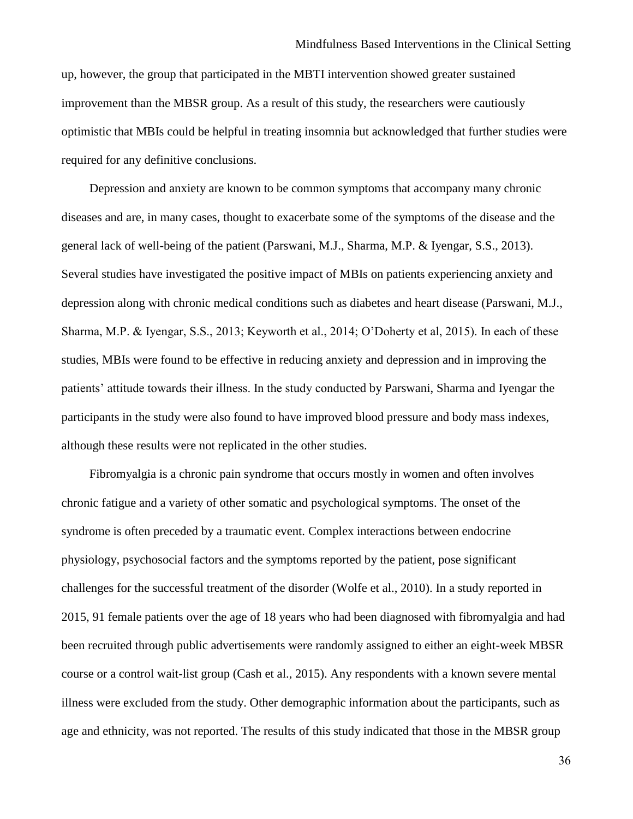up, however, the group that participated in the MBTI intervention showed greater sustained improvement than the MBSR group. As a result of this study, the researchers were cautiously optimistic that MBIs could be helpful in treating insomnia but acknowledged that further studies were required for any definitive conclusions.

Depression and anxiety are known to be common symptoms that accompany many chronic diseases and are, in many cases, thought to exacerbate some of the symptoms of the disease and the general lack of well-being of the patient (Parswani, M.J., Sharma, M.P. & Iyengar, S.S., 2013). Several studies have investigated the positive impact of MBIs on patients experiencing anxiety and depression along with chronic medical conditions such as diabetes and heart disease (Parswani, M.J., Sharma, M.P. & Iyengar, S.S., 2013; Keyworth et al., 2014; O'Doherty et al, 2015). In each of these studies, MBIs were found to be effective in reducing anxiety and depression and in improving the patients' attitude towards their illness. In the study conducted by Parswani, Sharma and Iyengar the participants in the study were also found to have improved blood pressure and body mass indexes, although these results were not replicated in the other studies.

Fibromyalgia is a chronic pain syndrome that occurs mostly in women and often involves chronic fatigue and a variety of other somatic and psychological symptoms. The onset of the syndrome is often preceded by a traumatic event. Complex interactions between endocrine physiology, psychosocial factors and the symptoms reported by the patient, pose significant challenges for the successful treatment of the disorder (Wolfe et al., 2010). In a study reported in 2015, 91 female patients over the age of 18 years who had been diagnosed with fibromyalgia and had been recruited through public advertisements were randomly assigned to either an eight-week MBSR course or a control wait-list group (Cash et al., 2015). Any respondents with a known severe mental illness were excluded from the study. Other demographic information about the participants, such as age and ethnicity, was not reported. The results of this study indicated that those in the MBSR group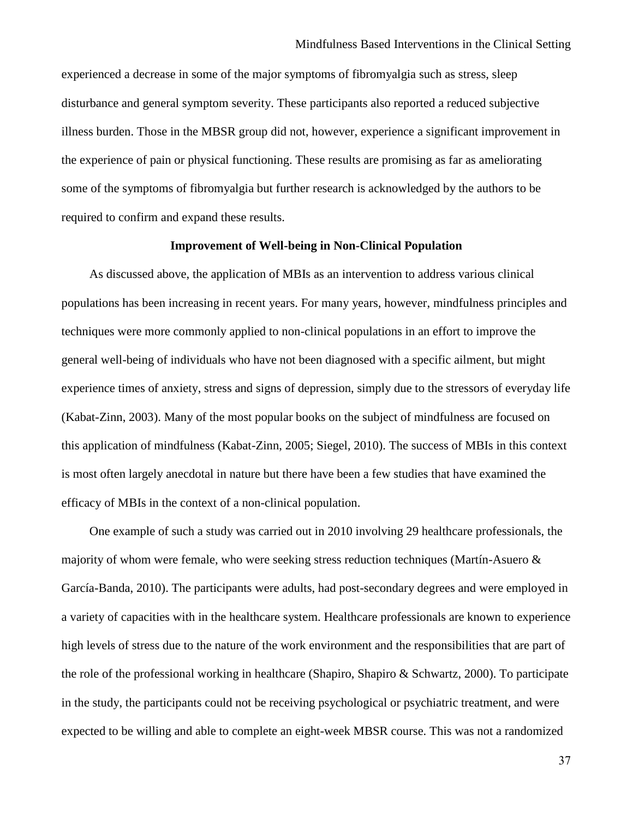experienced a decrease in some of the major symptoms of fibromyalgia such as stress, sleep disturbance and general symptom severity. These participants also reported a reduced subjective illness burden. Those in the MBSR group did not, however, experience a significant improvement in the experience of pain or physical functioning. These results are promising as far as ameliorating some of the symptoms of fibromyalgia but further research is acknowledged by the authors to be required to confirm and expand these results.

#### **Improvement of Well-being in Non-Clinical Population**

As discussed above, the application of MBIs as an intervention to address various clinical populations has been increasing in recent years. For many years, however, mindfulness principles and techniques were more commonly applied to non-clinical populations in an effort to improve the general well-being of individuals who have not been diagnosed with a specific ailment, but might experience times of anxiety, stress and signs of depression, simply due to the stressors of everyday life (Kabat-Zinn, 2003). Many of the most popular books on the subject of mindfulness are focused on this application of mindfulness (Kabat-Zinn, 2005; Siegel, 2010). The success of MBIs in this context is most often largely anecdotal in nature but there have been a few studies that have examined the efficacy of MBIs in the context of a non-clinical population.

One example of such a study was carried out in 2010 involving 29 healthcare professionals, the majority of whom were female, who were seeking stress reduction techniques (Martín-Asuero & García-Banda, 2010). The participants were adults, had post-secondary degrees and were employed in a variety of capacities with in the healthcare system. Healthcare professionals are known to experience high levels of stress due to the nature of the work environment and the responsibilities that are part of the role of the professional working in healthcare (Shapiro, Shapiro & Schwartz, 2000). To participate in the study, the participants could not be receiving psychological or psychiatric treatment, and were expected to be willing and able to complete an eight-week MBSR course. This was not a randomized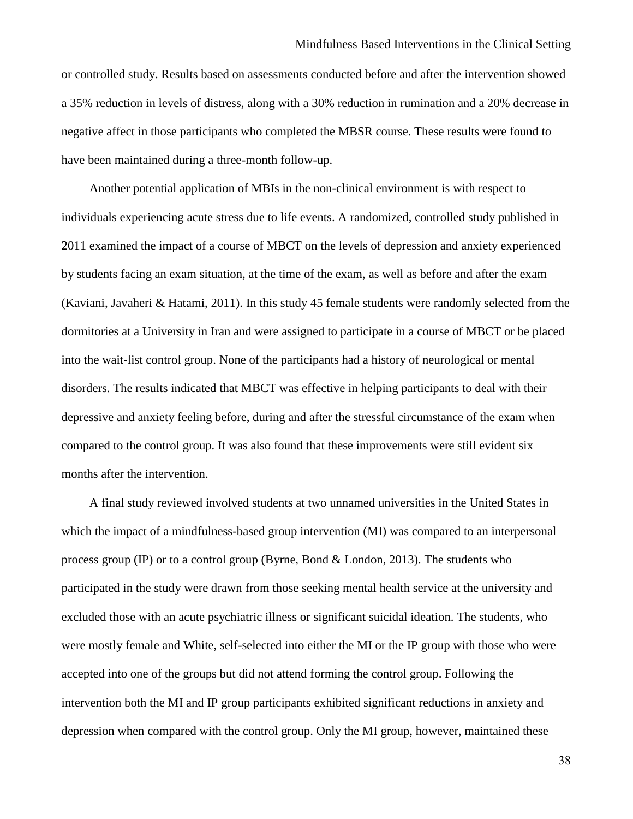or controlled study. Results based on assessments conducted before and after the intervention showed a 35% reduction in levels of distress, along with a 30% reduction in rumination and a 20% decrease in negative affect in those participants who completed the MBSR course. These results were found to have been maintained during a three-month follow-up.

Another potential application of MBIs in the non-clinical environment is with respect to individuals experiencing acute stress due to life events. A randomized, controlled study published in 2011 examined the impact of a course of MBCT on the levels of depression and anxiety experienced by students facing an exam situation, at the time of the exam, as well as before and after the exam (Kaviani, Javaheri & Hatami, 2011). In this study 45 female students were randomly selected from the dormitories at a University in Iran and were assigned to participate in a course of MBCT or be placed into the wait-list control group. None of the participants had a history of neurological or mental disorders. The results indicated that MBCT was effective in helping participants to deal with their depressive and anxiety feeling before, during and after the stressful circumstance of the exam when compared to the control group. It was also found that these improvements were still evident six months after the intervention.

A final study reviewed involved students at two unnamed universities in the United States in which the impact of a mindfulness-based group intervention (MI) was compared to an interpersonal process group (IP) or to a control group (Byrne, Bond  $&$  London, 2013). The students who participated in the study were drawn from those seeking mental health service at the university and excluded those with an acute psychiatric illness or significant suicidal ideation. The students, who were mostly female and White, self-selected into either the MI or the IP group with those who were accepted into one of the groups but did not attend forming the control group. Following the intervention both the MI and IP group participants exhibited significant reductions in anxiety and depression when compared with the control group. Only the MI group, however, maintained these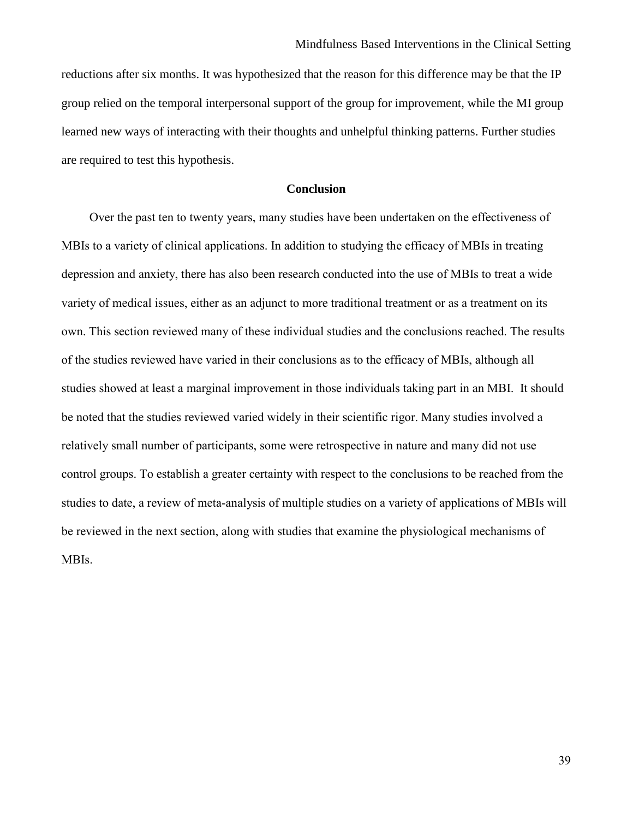reductions after six months. It was hypothesized that the reason for this difference may be that the IP group relied on the temporal interpersonal support of the group for improvement, while the MI group learned new ways of interacting with their thoughts and unhelpful thinking patterns. Further studies are required to test this hypothesis.

#### **Conclusion**

Over the past ten to twenty years, many studies have been undertaken on the effectiveness of MBIs to a variety of clinical applications. In addition to studying the efficacy of MBIs in treating depression and anxiety, there has also been research conducted into the use of MBIs to treat a wide variety of medical issues, either as an adjunct to more traditional treatment or as a treatment on its own. This section reviewed many of these individual studies and the conclusions reached. The results of the studies reviewed have varied in their conclusions as to the efficacy of MBIs, although all studies showed at least a marginal improvement in those individuals taking part in an MBI. It should be noted that the studies reviewed varied widely in their scientific rigor. Many studies involved a relatively small number of participants, some were retrospective in nature and many did not use control groups. To establish a greater certainty with respect to the conclusions to be reached from the studies to date, a review of meta-analysis of multiple studies on a variety of applications of MBIs will be reviewed in the next section, along with studies that examine the physiological mechanisms of MBIs.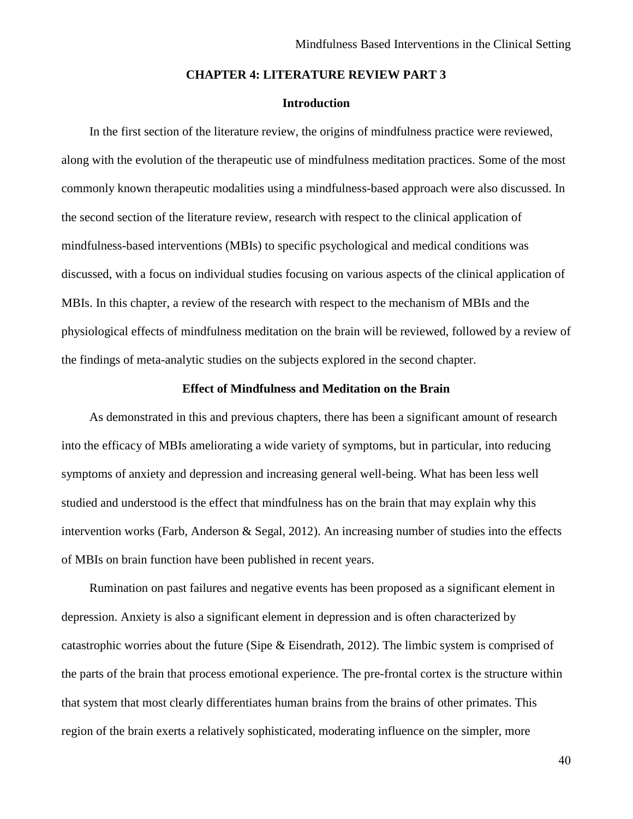#### **CHAPTER 4: LITERATURE REVIEW PART 3**

## **Introduction**

In the first section of the literature review, the origins of mindfulness practice were reviewed, along with the evolution of the therapeutic use of mindfulness meditation practices. Some of the most commonly known therapeutic modalities using a mindfulness-based approach were also discussed. In the second section of the literature review, research with respect to the clinical application of mindfulness-based interventions (MBIs) to specific psychological and medical conditions was discussed, with a focus on individual studies focusing on various aspects of the clinical application of MBIs. In this chapter, a review of the research with respect to the mechanism of MBIs and the physiological effects of mindfulness meditation on the brain will be reviewed, followed by a review of the findings of meta-analytic studies on the subjects explored in the second chapter.

#### **Effect of Mindfulness and Meditation on the Brain**

As demonstrated in this and previous chapters, there has been a significant amount of research into the efficacy of MBIs ameliorating a wide variety of symptoms, but in particular, into reducing symptoms of anxiety and depression and increasing general well-being. What has been less well studied and understood is the effect that mindfulness has on the brain that may explain why this intervention works (Farb, Anderson & Segal, 2012). An increasing number of studies into the effects of MBIs on brain function have been published in recent years.

Rumination on past failures and negative events has been proposed as a significant element in depression. Anxiety is also a significant element in depression and is often characterized by catastrophic worries about the future (Sipe & Eisendrath, 2012). The limbic system is comprised of the parts of the brain that process emotional experience. The pre-frontal cortex is the structure within that system that most clearly differentiates human brains from the brains of other primates. This region of the brain exerts a relatively sophisticated, moderating influence on the simpler, more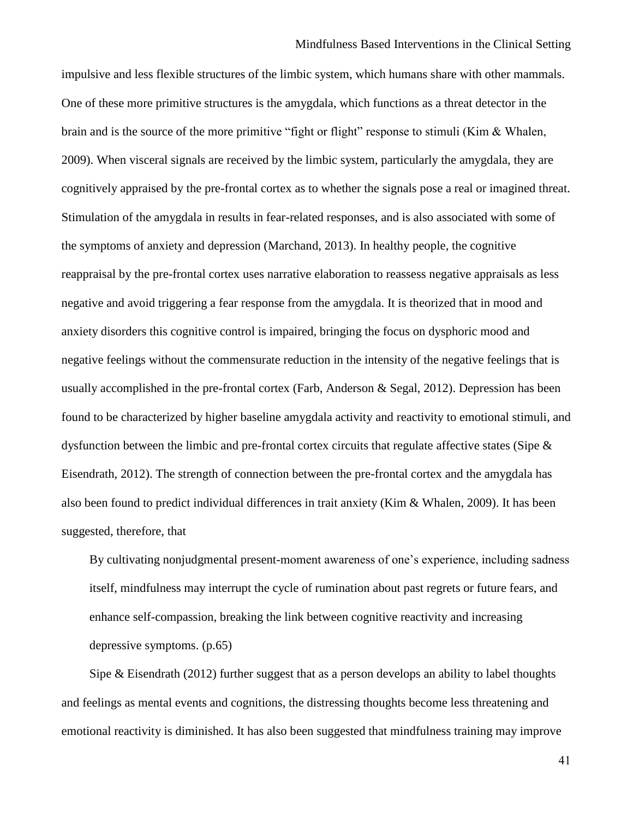impulsive and less flexible structures of the limbic system, which humans share with other mammals. One of these more primitive structures is the amygdala, which functions as a threat detector in the brain and is the source of the more primitive "fight or flight" response to stimuli (Kim & Whalen, 2009). When visceral signals are received by the limbic system, particularly the amygdala, they are cognitively appraised by the pre-frontal cortex as to whether the signals pose a real or imagined threat. Stimulation of the amygdala in results in fear-related responses, and is also associated with some of the symptoms of anxiety and depression (Marchand, 2013). In healthy people, the cognitive reappraisal by the pre-frontal cortex uses narrative elaboration to reassess negative appraisals as less negative and avoid triggering a fear response from the amygdala. It is theorized that in mood and anxiety disorders this cognitive control is impaired, bringing the focus on dysphoric mood and negative feelings without the commensurate reduction in the intensity of the negative feelings that is usually accomplished in the pre-frontal cortex (Farb, Anderson & Segal, 2012). Depression has been found to be characterized by higher baseline amygdala activity and reactivity to emotional stimuli, and dysfunction between the limbic and pre-frontal cortex circuits that regulate affective states (Sipe & Eisendrath, 2012). The strength of connection between the pre-frontal cortex and the amygdala has also been found to predict individual differences in trait anxiety (Kim & Whalen, 2009). It has been suggested, therefore, that

By cultivating nonjudgmental present-moment awareness of one's experience, including sadness itself, mindfulness may interrupt the cycle of rumination about past regrets or future fears, and enhance self-compassion, breaking the link between cognitive reactivity and increasing depressive symptoms. (p.65)

Sipe  $\&$  Eisendrath (2012) further suggest that as a person develops an ability to label thoughts and feelings as mental events and cognitions, the distressing thoughts become less threatening and emotional reactivity is diminished. It has also been suggested that mindfulness training may improve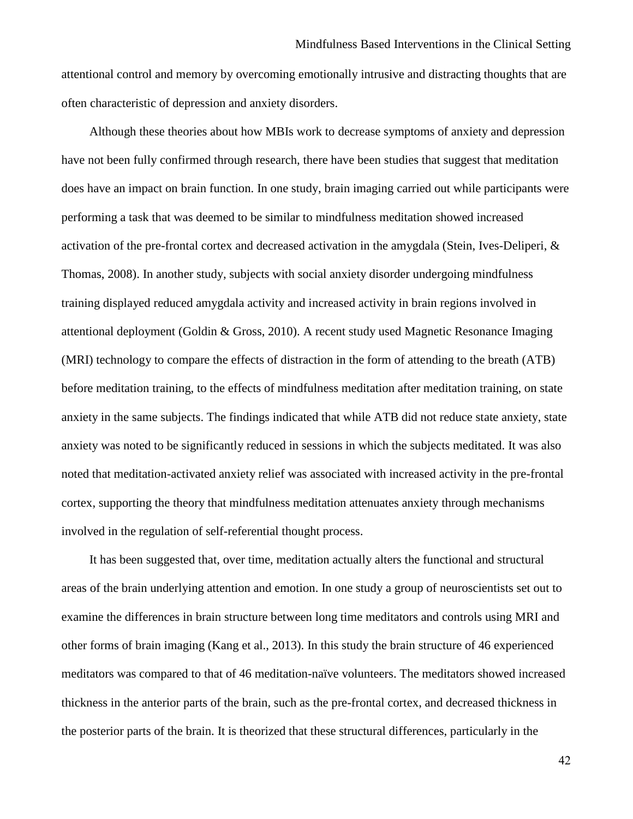attentional control and memory by overcoming emotionally intrusive and distracting thoughts that are often characteristic of depression and anxiety disorders.

Although these theories about how MBIs work to decrease symptoms of anxiety and depression have not been fully confirmed through research, there have been studies that suggest that meditation does have an impact on brain function. In one study, brain imaging carried out while participants were performing a task that was deemed to be similar to mindfulness meditation showed increased activation of the pre-frontal cortex and decreased activation in the amygdala (Stein, Ives-Deliperi, & Thomas, 2008). In another study, subjects with social anxiety disorder undergoing mindfulness training displayed reduced amygdala activity and increased activity in brain regions involved in attentional deployment (Goldin & Gross, 2010). A recent study used Magnetic Resonance Imaging (MRI) technology to compare the effects of distraction in the form of attending to the breath (ATB) before meditation training, to the effects of mindfulness meditation after meditation training, on state anxiety in the same subjects. The findings indicated that while ATB did not reduce state anxiety, state anxiety was noted to be significantly reduced in sessions in which the subjects meditated. It was also noted that meditation-activated anxiety relief was associated with increased activity in the pre-frontal cortex, supporting the theory that mindfulness meditation attenuates anxiety through mechanisms involved in the regulation of self-referential thought process.

It has been suggested that, over time, meditation actually alters the functional and structural areas of the brain underlying attention and emotion. In one study a group of neuroscientists set out to examine the differences in brain structure between long time meditators and controls using MRI and other forms of brain imaging (Kang et al., 2013). In this study the brain structure of 46 experienced meditators was compared to that of 46 meditation-naïve volunteers. The meditators showed increased thickness in the anterior parts of the brain, such as the pre-frontal cortex, and decreased thickness in the posterior parts of the brain. It is theorized that these structural differences, particularly in the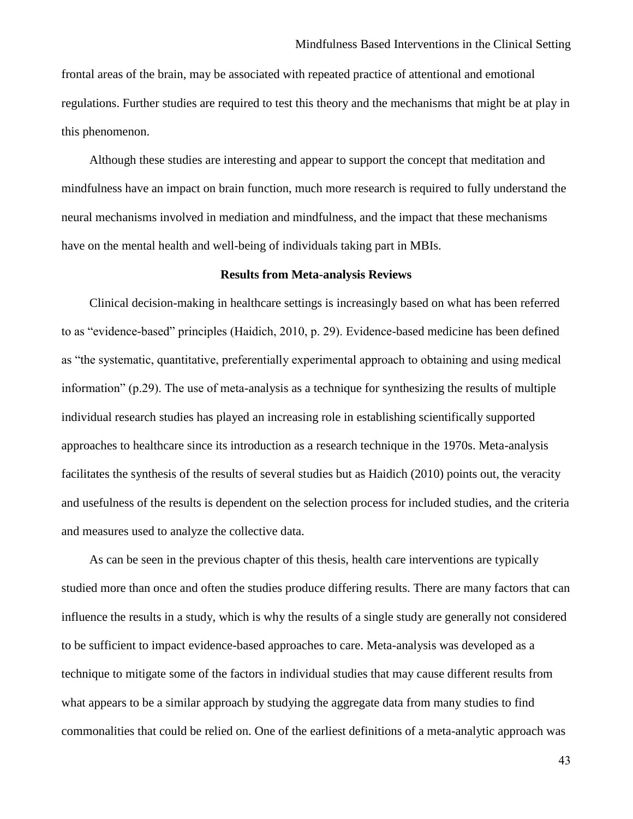frontal areas of the brain, may be associated with repeated practice of attentional and emotional regulations. Further studies are required to test this theory and the mechanisms that might be at play in this phenomenon.

Although these studies are interesting and appear to support the concept that meditation and mindfulness have an impact on brain function, much more research is required to fully understand the neural mechanisms involved in mediation and mindfulness, and the impact that these mechanisms have on the mental health and well-being of individuals taking part in MBIs.

### **Results from Meta-analysis Reviews**

Clinical decision-making in healthcare settings is increasingly based on what has been referred to as "evidence-based" principles (Haidich, 2010, p. 29). Evidence-based medicine has been defined as "the systematic, quantitative, preferentially experimental approach to obtaining and using medical information" (p.29). The use of meta-analysis as a technique for synthesizing the results of multiple individual research studies has played an increasing role in establishing scientifically supported approaches to healthcare since its introduction as a research technique in the 1970s. Meta-analysis facilitates the synthesis of the results of several studies but as Haidich (2010) points out, the veracity and usefulness of the results is dependent on the selection process for included studies, and the criteria and measures used to analyze the collective data.

As can be seen in the previous chapter of this thesis, health care interventions are typically studied more than once and often the studies produce differing results. There are many factors that can influence the results in a study, which is why the results of a single study are generally not considered to be sufficient to impact evidence-based approaches to care. Meta-analysis was developed as a technique to mitigate some of the factors in individual studies that may cause different results from what appears to be a similar approach by studying the aggregate data from many studies to find commonalities that could be relied on. One of the earliest definitions of a meta-analytic approach was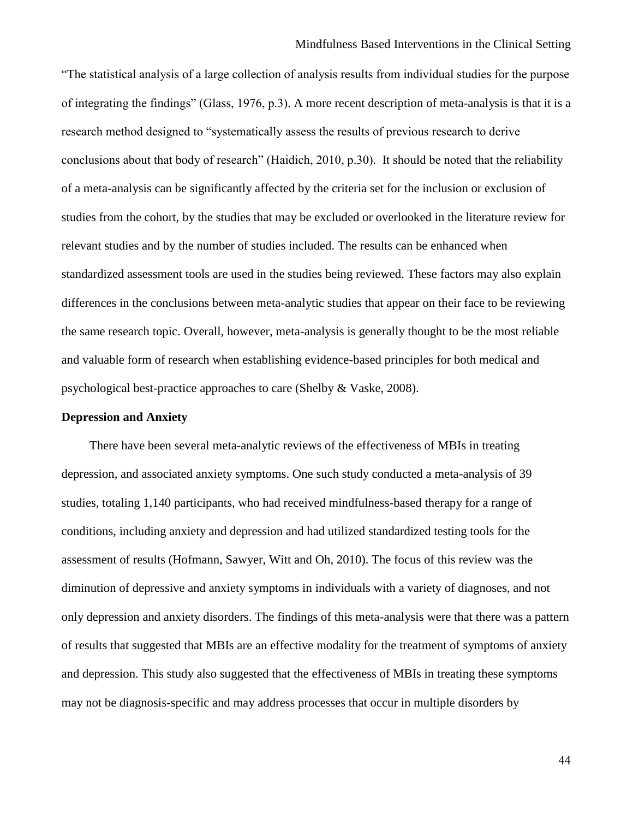#### Mindfulness Based Interventions in the Clinical Setting

"The statistical analysis of a large collection of analysis results from individual studies for the purpose of integrating the findings" (Glass, 1976, p.3). A more recent description of meta-analysis is that it is a research method designed to "systematically assess the results of previous research to derive conclusions about that body of research" (Haidich, 2010, p.30). It should be noted that the reliability of a meta-analysis can be significantly affected by the criteria set for the inclusion or exclusion of studies from the cohort, by the studies that may be excluded or overlooked in the literature review for relevant studies and by the number of studies included. The results can be enhanced when standardized assessment tools are used in the studies being reviewed. These factors may also explain differences in the conclusions between meta-analytic studies that appear on their face to be reviewing the same research topic. Overall, however, meta-analysis is generally thought to be the most reliable and valuable form of research when establishing evidence-based principles for both medical and psychological best-practice approaches to care (Shelby & Vaske, 2008).

#### **Depression and Anxiety**

There have been several meta-analytic reviews of the effectiveness of MBIs in treating depression, and associated anxiety symptoms. One such study conducted a meta-analysis of 39 studies, totaling 1,140 participants, who had received mindfulness-based therapy for a range of conditions, including anxiety and depression and had utilized standardized testing tools for the assessment of results (Hofmann, Sawyer, Witt and Oh, 2010). The focus of this review was the diminution of depressive and anxiety symptoms in individuals with a variety of diagnoses, and not only depression and anxiety disorders. The findings of this meta-analysis were that there was a pattern of results that suggested that MBIs are an effective modality for the treatment of symptoms of anxiety and depression. This study also suggested that the effectiveness of MBIs in treating these symptoms may not be diagnosis-specific and may address processes that occur in multiple disorders by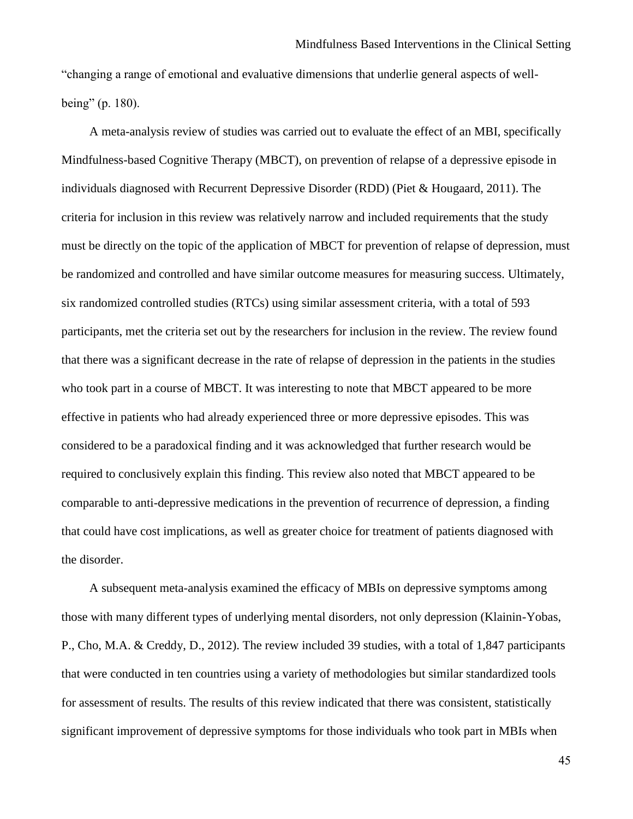"changing a range of emotional and evaluative dimensions that underlie general aspects of wellbeing" (p. 180).

A meta-analysis review of studies was carried out to evaluate the effect of an MBI, specifically Mindfulness-based Cognitive Therapy (MBCT), on prevention of relapse of a depressive episode in individuals diagnosed with Recurrent Depressive Disorder (RDD) (Piet & Hougaard, 2011). The criteria for inclusion in this review was relatively narrow and included requirements that the study must be directly on the topic of the application of MBCT for prevention of relapse of depression, must be randomized and controlled and have similar outcome measures for measuring success. Ultimately, six randomized controlled studies (RTCs) using similar assessment criteria, with a total of 593 participants, met the criteria set out by the researchers for inclusion in the review. The review found that there was a significant decrease in the rate of relapse of depression in the patients in the studies who took part in a course of MBCT. It was interesting to note that MBCT appeared to be more effective in patients who had already experienced three or more depressive episodes. This was considered to be a paradoxical finding and it was acknowledged that further research would be required to conclusively explain this finding. This review also noted that MBCT appeared to be comparable to anti-depressive medications in the prevention of recurrence of depression, a finding that could have cost implications, as well as greater choice for treatment of patients diagnosed with the disorder.

A subsequent meta-analysis examined the efficacy of MBIs on depressive symptoms among those with many different types of underlying mental disorders, not only depression (Klainin-Yobas, P., Cho, M.A. & Creddy, D., 2012). The review included 39 studies, with a total of 1,847 participants that were conducted in ten countries using a variety of methodologies but similar standardized tools for assessment of results. The results of this review indicated that there was consistent, statistically significant improvement of depressive symptoms for those individuals who took part in MBIs when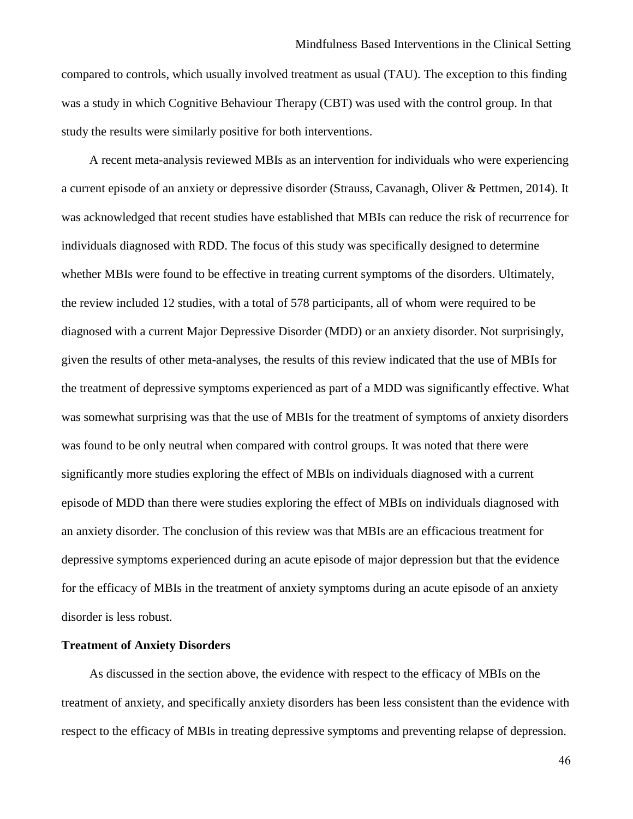compared to controls, which usually involved treatment as usual (TAU). The exception to this finding was a study in which Cognitive Behaviour Therapy (CBT) was used with the control group. In that study the results were similarly positive for both interventions.

A recent meta-analysis reviewed MBIs as an intervention for individuals who were experiencing a current episode of an anxiety or depressive disorder (Strauss, Cavanagh, Oliver & Pettmen, 2014). It was acknowledged that recent studies have established that MBIs can reduce the risk of recurrence for individuals diagnosed with RDD. The focus of this study was specifically designed to determine whether MBIs were found to be effective in treating current symptoms of the disorders. Ultimately, the review included 12 studies, with a total of 578 participants, all of whom were required to be diagnosed with a current Major Depressive Disorder (MDD) or an anxiety disorder. Not surprisingly, given the results of other meta-analyses, the results of this review indicated that the use of MBIs for the treatment of depressive symptoms experienced as part of a MDD was significantly effective. What was somewhat surprising was that the use of MBIs for the treatment of symptoms of anxiety disorders was found to be only neutral when compared with control groups. It was noted that there were significantly more studies exploring the effect of MBIs on individuals diagnosed with a current episode of MDD than there were studies exploring the effect of MBIs on individuals diagnosed with an anxiety disorder. The conclusion of this review was that MBIs are an efficacious treatment for depressive symptoms experienced during an acute episode of major depression but that the evidence for the efficacy of MBIs in the treatment of anxiety symptoms during an acute episode of an anxiety disorder is less robust.

# **Treatment of Anxiety Disorders**

As discussed in the section above, the evidence with respect to the efficacy of MBIs on the treatment of anxiety, and specifically anxiety disorders has been less consistent than the evidence with respect to the efficacy of MBIs in treating depressive symptoms and preventing relapse of depression.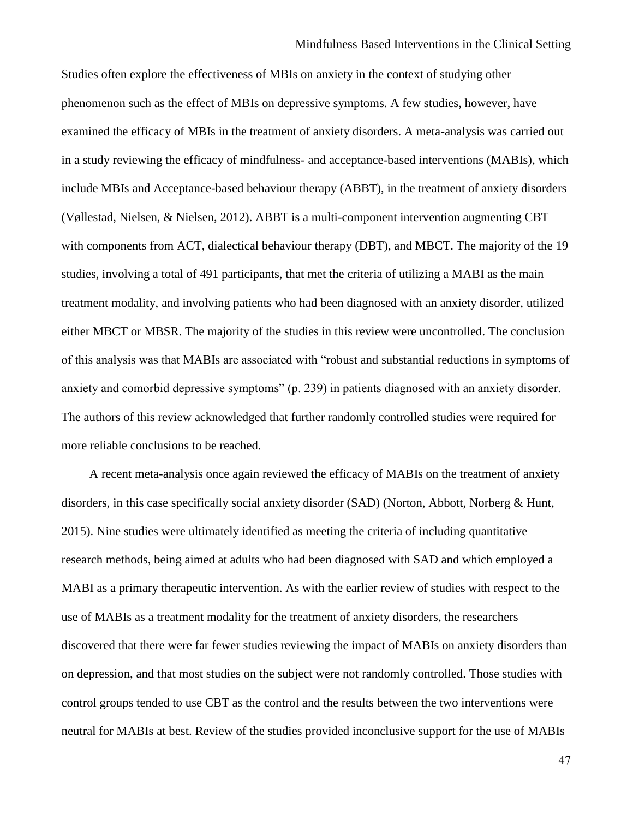Studies often explore the effectiveness of MBIs on anxiety in the context of studying other phenomenon such as the effect of MBIs on depressive symptoms. A few studies, however, have examined the efficacy of MBIs in the treatment of anxiety disorders. A meta-analysis was carried out in a study reviewing the efficacy of mindfulness- and acceptance-based interventions (MABIs), which include MBIs and Acceptance-based behaviour therapy (ABBT), in the treatment of anxiety disorders (Vøllestad, Nielsen, & Nielsen, 2012). ABBT is a multi-component intervention augmenting CBT with components from ACT, dialectical behaviour therapy (DBT), and MBCT. The majority of the 19 studies, involving a total of 491 participants, that met the criteria of utilizing a MABI as the main treatment modality, and involving patients who had been diagnosed with an anxiety disorder, utilized either MBCT or MBSR. The majority of the studies in this review were uncontrolled. The conclusion of this analysis was that MABIs are associated with "robust and substantial reductions in symptoms of anxiety and comorbid depressive symptoms" (p. 239) in patients diagnosed with an anxiety disorder. The authors of this review acknowledged that further randomly controlled studies were required for more reliable conclusions to be reached.

A recent meta-analysis once again reviewed the efficacy of MABIs on the treatment of anxiety disorders, in this case specifically social anxiety disorder (SAD) (Norton, Abbott, Norberg & Hunt, 2015). Nine studies were ultimately identified as meeting the criteria of including quantitative research methods, being aimed at adults who had been diagnosed with SAD and which employed a MABI as a primary therapeutic intervention. As with the earlier review of studies with respect to the use of MABIs as a treatment modality for the treatment of anxiety disorders, the researchers discovered that there were far fewer studies reviewing the impact of MABIs on anxiety disorders than on depression, and that most studies on the subject were not randomly controlled. Those studies with control groups tended to use CBT as the control and the results between the two interventions were neutral for MABIs at best. Review of the studies provided inconclusive support for the use of MABIs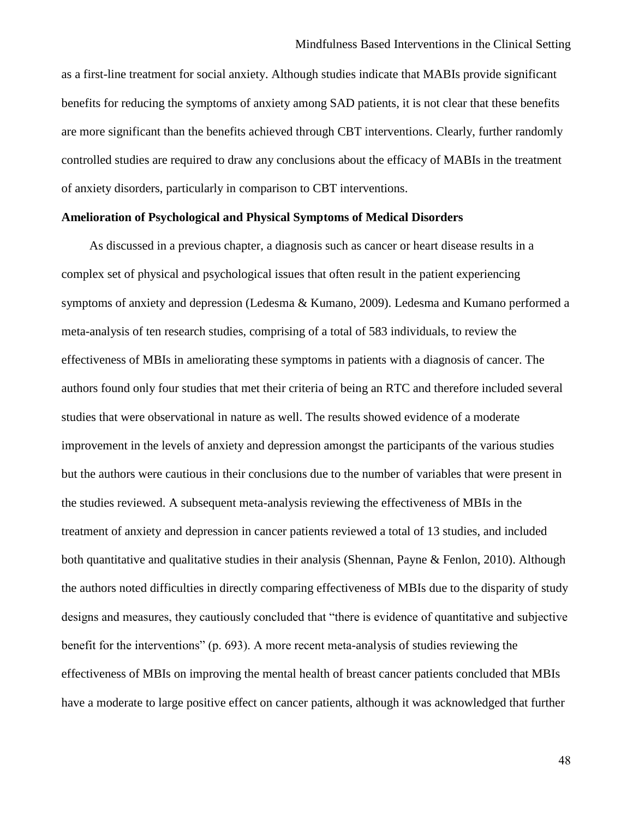as a first-line treatment for social anxiety. Although studies indicate that MABIs provide significant benefits for reducing the symptoms of anxiety among SAD patients, it is not clear that these benefits are more significant than the benefits achieved through CBT interventions. Clearly, further randomly controlled studies are required to draw any conclusions about the efficacy of MABIs in the treatment of anxiety disorders, particularly in comparison to CBT interventions.

# **Amelioration of Psychological and Physical Symptoms of Medical Disorders**

As discussed in a previous chapter, a diagnosis such as cancer or heart disease results in a complex set of physical and psychological issues that often result in the patient experiencing symptoms of anxiety and depression (Ledesma & Kumano, 2009). Ledesma and Kumano performed a meta-analysis of ten research studies, comprising of a total of 583 individuals, to review the effectiveness of MBIs in ameliorating these symptoms in patients with a diagnosis of cancer. The authors found only four studies that met their criteria of being an RTC and therefore included several studies that were observational in nature as well. The results showed evidence of a moderate improvement in the levels of anxiety and depression amongst the participants of the various studies but the authors were cautious in their conclusions due to the number of variables that were present in the studies reviewed. A subsequent meta-analysis reviewing the effectiveness of MBIs in the treatment of anxiety and depression in cancer patients reviewed a total of 13 studies, and included both quantitative and qualitative studies in their analysis (Shennan, Payne & Fenlon, 2010). Although the authors noted difficulties in directly comparing effectiveness of MBIs due to the disparity of study designs and measures, they cautiously concluded that "there is evidence of quantitative and subjective benefit for the interventions" (p. 693). A more recent meta-analysis of studies reviewing the effectiveness of MBIs on improving the mental health of breast cancer patients concluded that MBIs have a moderate to large positive effect on cancer patients, although it was acknowledged that further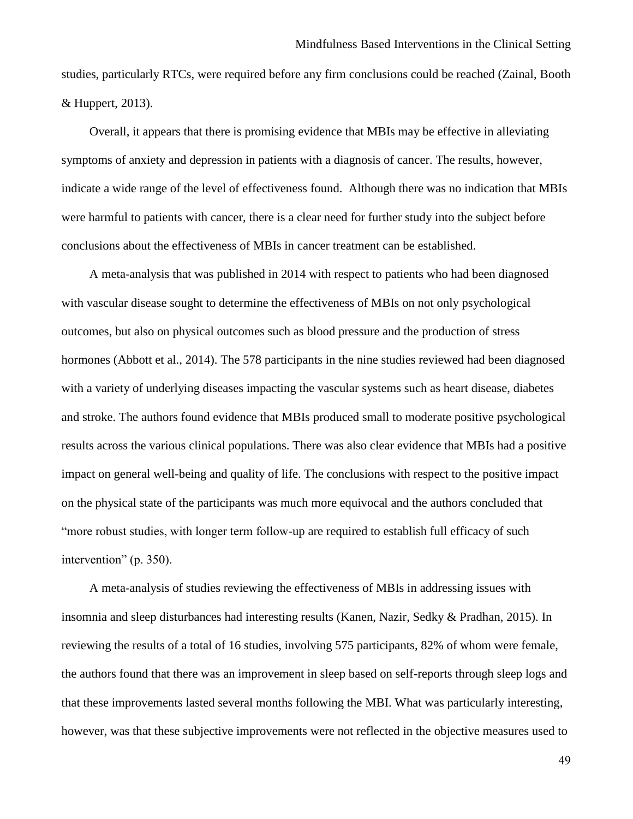studies, particularly RTCs, were required before any firm conclusions could be reached (Zainal, Booth & Huppert, 2013).

Overall, it appears that there is promising evidence that MBIs may be effective in alleviating symptoms of anxiety and depression in patients with a diagnosis of cancer. The results, however, indicate a wide range of the level of effectiveness found. Although there was no indication that MBIs were harmful to patients with cancer, there is a clear need for further study into the subject before conclusions about the effectiveness of MBIs in cancer treatment can be established.

A meta-analysis that was published in 2014 with respect to patients who had been diagnosed with vascular disease sought to determine the effectiveness of MBIs on not only psychological outcomes, but also on physical outcomes such as blood pressure and the production of stress hormones (Abbott et al., 2014). The 578 participants in the nine studies reviewed had been diagnosed with a variety of underlying diseases impacting the vascular systems such as heart disease, diabetes and stroke. The authors found evidence that MBIs produced small to moderate positive psychological results across the various clinical populations. There was also clear evidence that MBIs had a positive impact on general well-being and quality of life. The conclusions with respect to the positive impact on the physical state of the participants was much more equivocal and the authors concluded that "more robust studies, with longer term follow-up are required to establish full efficacy of such intervention" (p. 350).

A meta-analysis of studies reviewing the effectiveness of MBIs in addressing issues with insomnia and sleep disturbances had interesting results (Kanen, Nazir, Sedky & Pradhan, 2015). In reviewing the results of a total of 16 studies, involving 575 participants, 82% of whom were female, the authors found that there was an improvement in sleep based on self-reports through sleep logs and that these improvements lasted several months following the MBI. What was particularly interesting, however, was that these subjective improvements were not reflected in the objective measures used to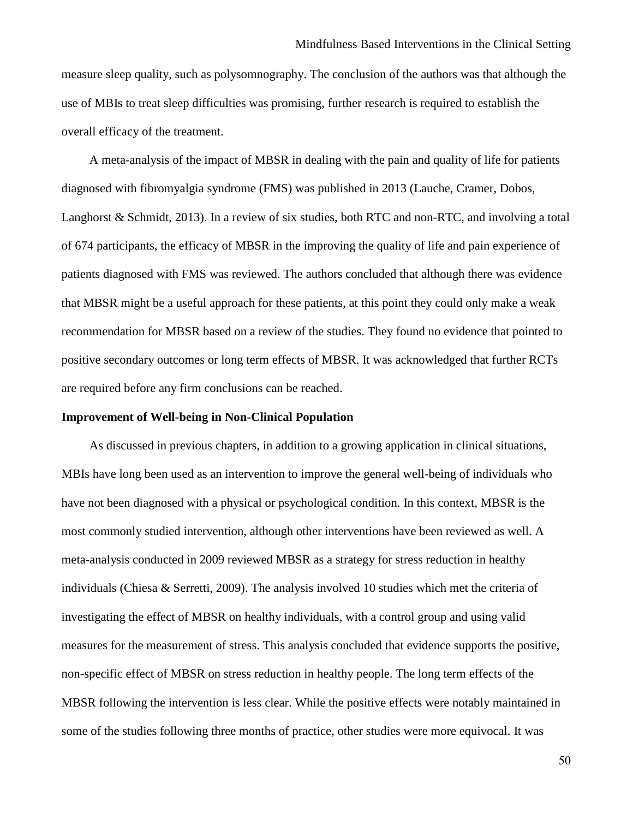measure sleep quality, such as polysomnography. The conclusion of the authors was that although the use of MBIs to treat sleep difficulties was promising, further research is required to establish the overall efficacy of the treatment.

A meta-analysis of the impact of MBSR in dealing with the pain and quality of life for patients diagnosed with fibromyalgia syndrome (FMS) was published in 2013 (Lauche, Cramer, Dobos, Langhorst & Schmidt, 2013). In a review of six studies, both RTC and non-RTC, and involving a total of 674 participants, the efficacy of MBSR in the improving the quality of life and pain experience of patients diagnosed with FMS was reviewed. The authors concluded that although there was evidence that MBSR might be a useful approach for these patients, at this point they could only make a weak recommendation for MBSR based on a review of the studies. They found no evidence that pointed to positive secondary outcomes or long term effects of MBSR. It was acknowledged that further RCTs are required before any firm conclusions can be reached.

#### **Improvement of Well-being in Non-Clinical Population**

As discussed in previous chapters, in addition to a growing application in clinical situations, MBIs have long been used as an intervention to improve the general well-being of individuals who have not been diagnosed with a physical or psychological condition. In this context, MBSR is the most commonly studied intervention, although other interventions have been reviewed as well. A meta-analysis conducted in 2009 reviewed MBSR as a strategy for stress reduction in healthy individuals (Chiesa & Serretti, 2009). The analysis involved 10 studies which met the criteria of investigating the effect of MBSR on healthy individuals, with a control group and using valid measures for the measurement of stress. This analysis concluded that evidence supports the positive, non-specific effect of MBSR on stress reduction in healthy people. The long term effects of the MBSR following the intervention is less clear. While the positive effects were notably maintained in some of the studies following three months of practice, other studies were more equivocal. It was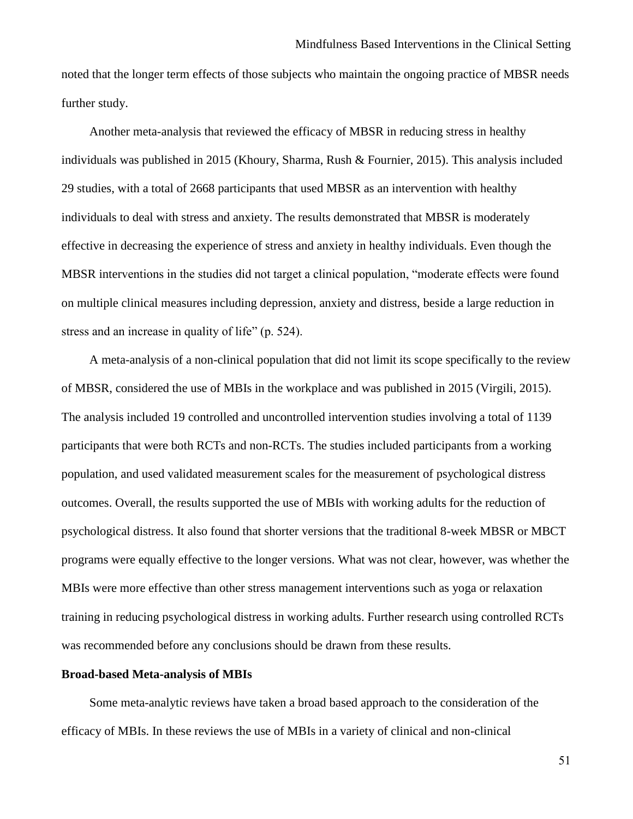noted that the longer term effects of those subjects who maintain the ongoing practice of MBSR needs further study.

Another meta-analysis that reviewed the efficacy of MBSR in reducing stress in healthy individuals was published in 2015 (Khoury, Sharma, Rush & Fournier, 2015). This analysis included 29 studies, with a total of 2668 participants that used MBSR as an intervention with healthy individuals to deal with stress and anxiety. The results demonstrated that MBSR is moderately effective in decreasing the experience of stress and anxiety in healthy individuals. Even though the MBSR interventions in the studies did not target a clinical population, "moderate effects were found on multiple clinical measures including depression, anxiety and distress, beside a large reduction in stress and an increase in quality of life" (p. 524).

A meta-analysis of a non-clinical population that did not limit its scope specifically to the review of MBSR, considered the use of MBIs in the workplace and was published in 2015 (Virgili, 2015). The analysis included 19 controlled and uncontrolled intervention studies involving a total of 1139 participants that were both RCTs and non-RCTs. The studies included participants from a working population, and used validated measurement scales for the measurement of psychological distress outcomes. Overall, the results supported the use of MBIs with working adults for the reduction of psychological distress. It also found that shorter versions that the traditional 8-week MBSR or MBCT programs were equally effective to the longer versions. What was not clear, however, was whether the MBIs were more effective than other stress management interventions such as yoga or relaxation training in reducing psychological distress in working adults. Further research using controlled RCTs was recommended before any conclusions should be drawn from these results.

#### **Broad-based Meta-analysis of MBIs**

Some meta-analytic reviews have taken a broad based approach to the consideration of the efficacy of MBIs. In these reviews the use of MBIs in a variety of clinical and non-clinical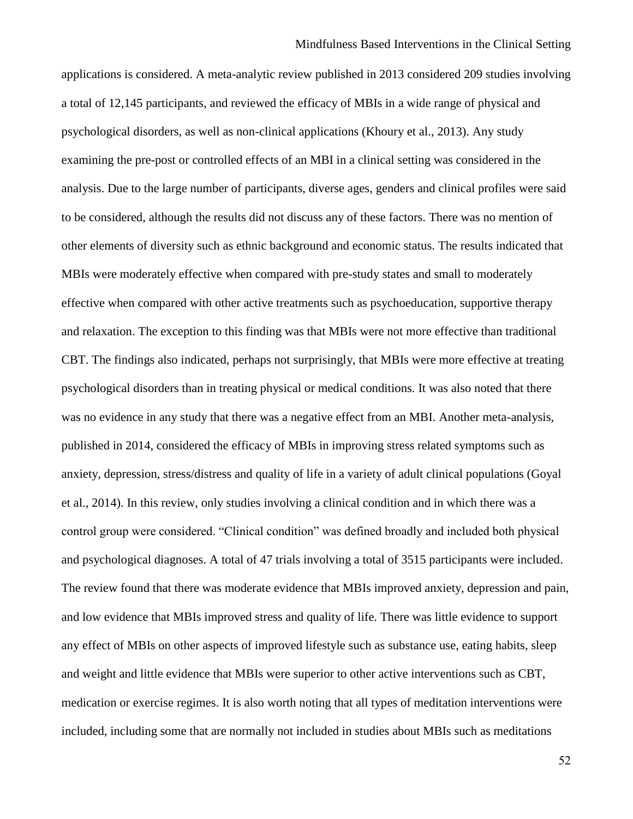applications is considered. A meta-analytic review published in 2013 considered 209 studies involving a total of 12,145 participants, and reviewed the efficacy of MBIs in a wide range of physical and psychological disorders, as well as non-clinical applications (Khoury et al., 2013). Any study examining the pre-post or controlled effects of an MBI in a clinical setting was considered in the analysis. Due to the large number of participants, diverse ages, genders and clinical profiles were said to be considered, although the results did not discuss any of these factors. There was no mention of other elements of diversity such as ethnic background and economic status. The results indicated that MBIs were moderately effective when compared with pre-study states and small to moderately effective when compared with other active treatments such as psychoeducation, supportive therapy and relaxation. The exception to this finding was that MBIs were not more effective than traditional CBT. The findings also indicated, perhaps not surprisingly, that MBIs were more effective at treating psychological disorders than in treating physical or medical conditions. It was also noted that there was no evidence in any study that there was a negative effect from an MBI. Another meta-analysis, published in 2014, considered the efficacy of MBIs in improving stress related symptoms such as anxiety, depression, stress/distress and quality of life in a variety of adult clinical populations (Goyal et al., 2014). In this review, only studies involving a clinical condition and in which there was a control group were considered. "Clinical condition" was defined broadly and included both physical and psychological diagnoses. A total of 47 trials involving a total of 3515 participants were included. The review found that there was moderate evidence that MBIs improved anxiety, depression and pain, and low evidence that MBIs improved stress and quality of life. There was little evidence to support any effect of MBIs on other aspects of improved lifestyle such as substance use, eating habits, sleep and weight and little evidence that MBIs were superior to other active interventions such as CBT, medication or exercise regimes. It is also worth noting that all types of meditation interventions were included, including some that are normally not included in studies about MBIs such as meditations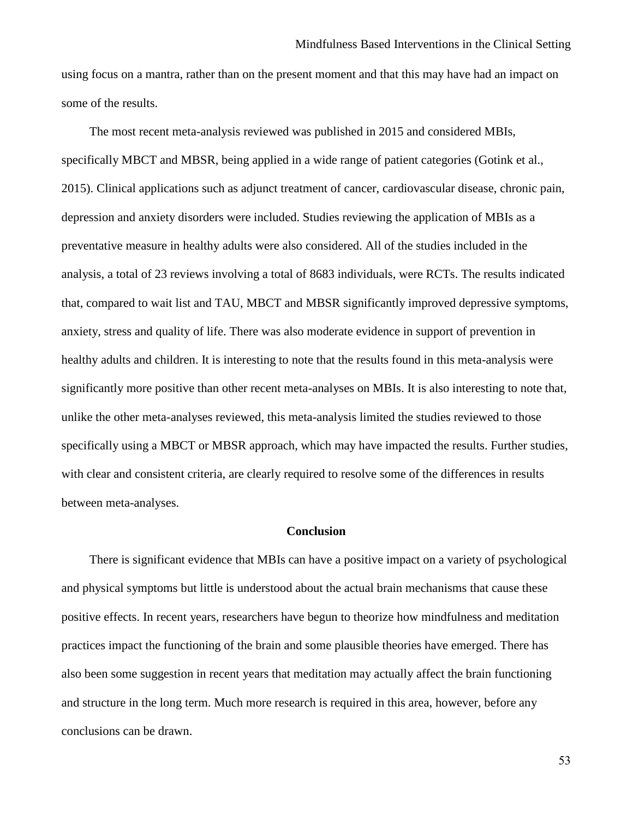using focus on a mantra, rather than on the present moment and that this may have had an impact on some of the results.

The most recent meta-analysis reviewed was published in 2015 and considered MBIs, specifically MBCT and MBSR, being applied in a wide range of patient categories (Gotink et al., 2015). Clinical applications such as adjunct treatment of cancer, cardiovascular disease, chronic pain, depression and anxiety disorders were included. Studies reviewing the application of MBIs as a preventative measure in healthy adults were also considered. All of the studies included in the analysis, a total of 23 reviews involving a total of 8683 individuals, were RCTs. The results indicated that, compared to wait list and TAU, MBCT and MBSR significantly improved depressive symptoms, anxiety, stress and quality of life. There was also moderate evidence in support of prevention in healthy adults and children. It is interesting to note that the results found in this meta-analysis were significantly more positive than other recent meta-analyses on MBIs. It is also interesting to note that, unlike the other meta-analyses reviewed, this meta-analysis limited the studies reviewed to those specifically using a MBCT or MBSR approach, which may have impacted the results. Further studies, with clear and consistent criteria, are clearly required to resolve some of the differences in results between meta-analyses.

### **Conclusion**

There is significant evidence that MBIs can have a positive impact on a variety of psychological and physical symptoms but little is understood about the actual brain mechanisms that cause these positive effects. In recent years, researchers have begun to theorize how mindfulness and meditation practices impact the functioning of the brain and some plausible theories have emerged. There has also been some suggestion in recent years that meditation may actually affect the brain functioning and structure in the long term. Much more research is required in this area, however, before any conclusions can be drawn.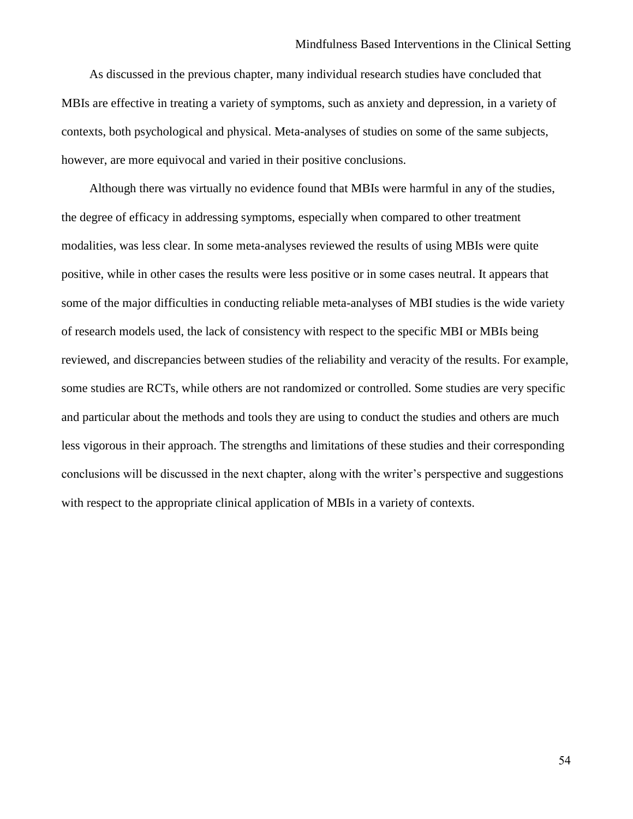As discussed in the previous chapter, many individual research studies have concluded that MBIs are effective in treating a variety of symptoms, such as anxiety and depression, in a variety of contexts, both psychological and physical. Meta-analyses of studies on some of the same subjects, however, are more equivocal and varied in their positive conclusions.

Although there was virtually no evidence found that MBIs were harmful in any of the studies, the degree of efficacy in addressing symptoms, especially when compared to other treatment modalities, was less clear. In some meta-analyses reviewed the results of using MBIs were quite positive, while in other cases the results were less positive or in some cases neutral. It appears that some of the major difficulties in conducting reliable meta-analyses of MBI studies is the wide variety of research models used, the lack of consistency with respect to the specific MBI or MBIs being reviewed, and discrepancies between studies of the reliability and veracity of the results. For example, some studies are RCTs, while others are not randomized or controlled. Some studies are very specific and particular about the methods and tools they are using to conduct the studies and others are much less vigorous in their approach. The strengths and limitations of these studies and their corresponding conclusions will be discussed in the next chapter, along with the writer's perspective and suggestions with respect to the appropriate clinical application of MBIs in a variety of contexts.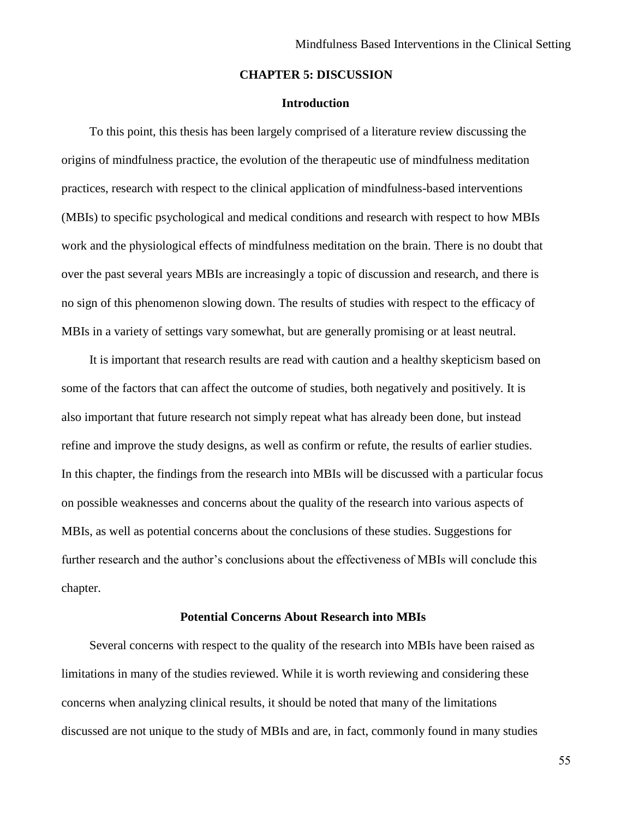### **CHAPTER 5: DISCUSSION**

## **Introduction**

To this point, this thesis has been largely comprised of a literature review discussing the origins of mindfulness practice, the evolution of the therapeutic use of mindfulness meditation practices, research with respect to the clinical application of mindfulness-based interventions (MBIs) to specific psychological and medical conditions and research with respect to how MBIs work and the physiological effects of mindfulness meditation on the brain. There is no doubt that over the past several years MBIs are increasingly a topic of discussion and research, and there is no sign of this phenomenon slowing down. The results of studies with respect to the efficacy of MBIs in a variety of settings vary somewhat, but are generally promising or at least neutral.

It is important that research results are read with caution and a healthy skepticism based on some of the factors that can affect the outcome of studies, both negatively and positively. It is also important that future research not simply repeat what has already been done, but instead refine and improve the study designs, as well as confirm or refute, the results of earlier studies. In this chapter, the findings from the research into MBIs will be discussed with a particular focus on possible weaknesses and concerns about the quality of the research into various aspects of MBIs, as well as potential concerns about the conclusions of these studies. Suggestions for further research and the author's conclusions about the effectiveness of MBIs will conclude this chapter.

### **Potential Concerns About Research into MBIs**

Several concerns with respect to the quality of the research into MBIs have been raised as limitations in many of the studies reviewed. While it is worth reviewing and considering these concerns when analyzing clinical results, it should be noted that many of the limitations discussed are not unique to the study of MBIs and are, in fact, commonly found in many studies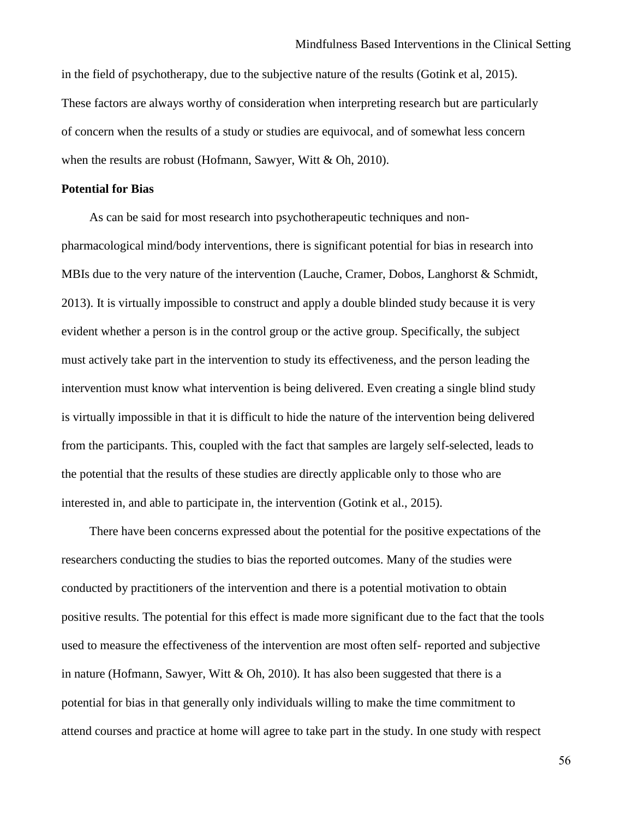in the field of psychotherapy, due to the subjective nature of the results (Gotink et al, 2015). These factors are always worthy of consideration when interpreting research but are particularly of concern when the results of a study or studies are equivocal, and of somewhat less concern when the results are robust (Hofmann, Sawyer, Witt & Oh, 2010).

### **Potential for Bias**

As can be said for most research into psychotherapeutic techniques and nonpharmacological mind/body interventions, there is significant potential for bias in research into MBIs due to the very nature of the intervention (Lauche, Cramer, Dobos, Langhorst & Schmidt, 2013). It is virtually impossible to construct and apply a double blinded study because it is very evident whether a person is in the control group or the active group. Specifically, the subject must actively take part in the intervention to study its effectiveness, and the person leading the intervention must know what intervention is being delivered. Even creating a single blind study is virtually impossible in that it is difficult to hide the nature of the intervention being delivered from the participants. This, coupled with the fact that samples are largely self-selected, leads to the potential that the results of these studies are directly applicable only to those who are interested in, and able to participate in, the intervention (Gotink et al., 2015).

There have been concerns expressed about the potential for the positive expectations of the researchers conducting the studies to bias the reported outcomes. Many of the studies were conducted by practitioners of the intervention and there is a potential motivation to obtain positive results. The potential for this effect is made more significant due to the fact that the tools used to measure the effectiveness of the intervention are most often self- reported and subjective in nature (Hofmann, Sawyer, Witt & Oh, 2010). It has also been suggested that there is a potential for bias in that generally only individuals willing to make the time commitment to attend courses and practice at home will agree to take part in the study. In one study with respect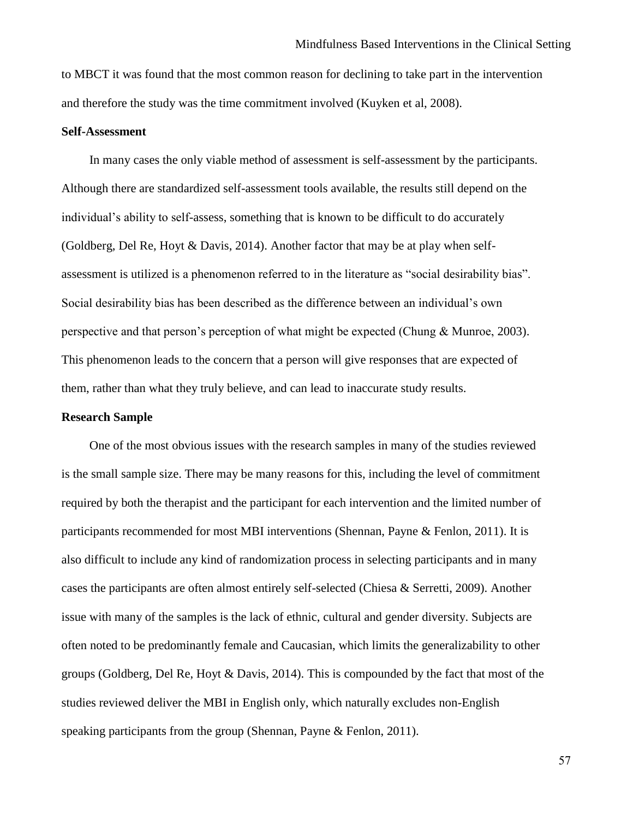to MBCT it was found that the most common reason for declining to take part in the intervention and therefore the study was the time commitment involved (Kuyken et al, 2008).

#### **Self-Assessment**

In many cases the only viable method of assessment is self-assessment by the participants. Although there are standardized self-assessment tools available, the results still depend on the individual's ability to self-assess, something that is known to be difficult to do accurately (Goldberg, Del Re, Hoyt & Davis, 2014). Another factor that may be at play when selfassessment is utilized is a phenomenon referred to in the literature as "social desirability bias". Social desirability bias has been described as the difference between an individual's own perspective and that person's perception of what might be expected (Chung & Munroe, 2003). This phenomenon leads to the concern that a person will give responses that are expected of them, rather than what they truly believe, and can lead to inaccurate study results.

### **Research Sample**

One of the most obvious issues with the research samples in many of the studies reviewed is the small sample size. There may be many reasons for this, including the level of commitment required by both the therapist and the participant for each intervention and the limited number of participants recommended for most MBI interventions (Shennan, Payne & Fenlon, 2011). It is also difficult to include any kind of randomization process in selecting participants and in many cases the participants are often almost entirely self-selected (Chiesa & Serretti, 2009). Another issue with many of the samples is the lack of ethnic, cultural and gender diversity. Subjects are often noted to be predominantly female and Caucasian, which limits the generalizability to other groups (Goldberg, Del Re, Hoyt & Davis, 2014). This is compounded by the fact that most of the studies reviewed deliver the MBI in English only, which naturally excludes non-English speaking participants from the group (Shennan, Payne & Fenlon, 2011).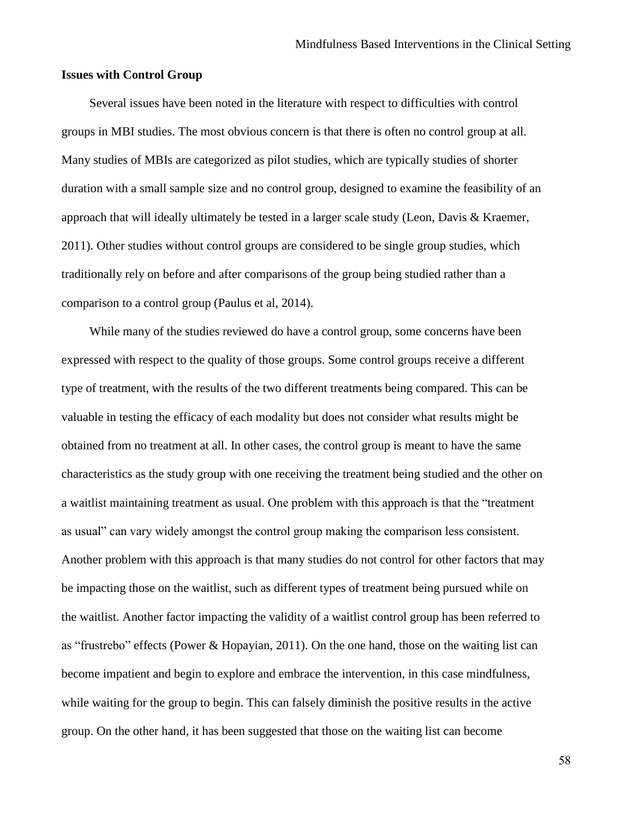### **Issues with Control Group**

Several issues have been noted in the literature with respect to difficulties with control groups in MBI studies. The most obvious concern is that there is often no control group at all. Many studies of MBIs are categorized as pilot studies, which are typically studies of shorter duration with a small sample size and no control group, designed to examine the feasibility of an approach that will ideally ultimately be tested in a larger scale study (Leon, Davis & Kraemer, 2011). Other studies without control groups are considered to be single group studies, which traditionally rely on before and after comparisons of the group being studied rather than a comparison to a control group (Paulus et al, 2014).

While many of the studies reviewed do have a control group, some concerns have been expressed with respect to the quality of those groups. Some control groups receive a different type of treatment, with the results of the two different treatments being compared. This can be valuable in testing the efficacy of each modality but does not consider what results might be obtained from no treatment at all. In other cases, the control group is meant to have the same characteristics as the study group with one receiving the treatment being studied and the other on a waitlist maintaining treatment as usual. One problem with this approach is that the "treatment as usual" can vary widely amongst the control group making the comparison less consistent. Another problem with this approach is that many studies do not control for other factors that may be impacting those on the waitlist, such as different types of treatment being pursued while on the waitlist. Another factor impacting the validity of a waitlist control group has been referred to as "frustrebo" effects (Power & Hopayian, 2011). On the one hand, those on the waiting list can become impatient and begin to explore and embrace the intervention, in this case mindfulness, while waiting for the group to begin. This can falsely diminish the positive results in the active group. On the other hand, it has been suggested that those on the waiting list can become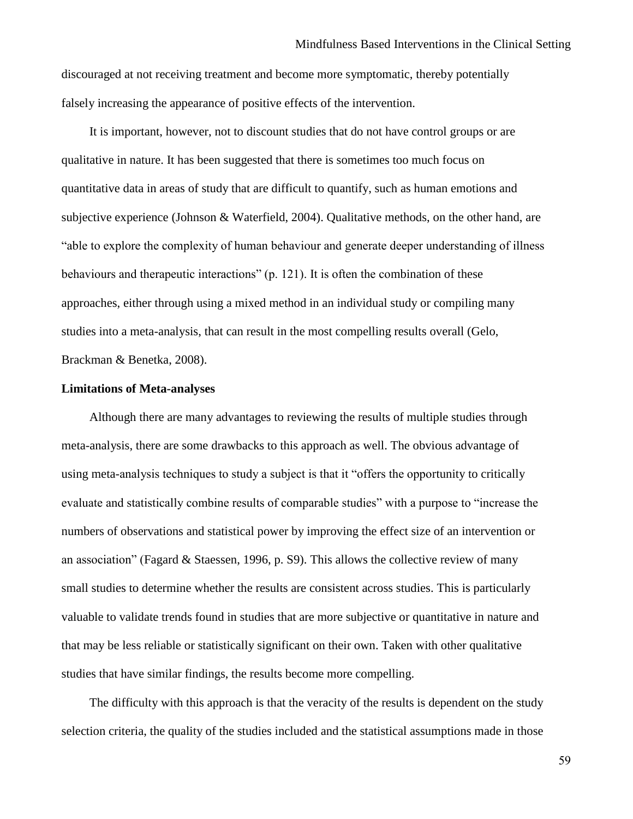discouraged at not receiving treatment and become more symptomatic, thereby potentially falsely increasing the appearance of positive effects of the intervention.

It is important, however, not to discount studies that do not have control groups or are qualitative in nature. It has been suggested that there is sometimes too much focus on quantitative data in areas of study that are difficult to quantify, such as human emotions and subjective experience (Johnson & Waterfield, 2004). Qualitative methods, on the other hand, are "able to explore the complexity of human behaviour and generate deeper understanding of illness behaviours and therapeutic interactions" (p. 121). It is often the combination of these approaches, either through using a mixed method in an individual study or compiling many studies into a meta-analysis, that can result in the most compelling results overall (Gelo, Brackman & Benetka, 2008).

#### **Limitations of Meta-analyses**

Although there are many advantages to reviewing the results of multiple studies through meta-analysis, there are some drawbacks to this approach as well. The obvious advantage of using meta-analysis techniques to study a subject is that it "offers the opportunity to critically evaluate and statistically combine results of comparable studies" with a purpose to "increase the numbers of observations and statistical power by improving the effect size of an intervention or an association" (Fagard & Staessen, 1996, p. S9). This allows the collective review of many small studies to determine whether the results are consistent across studies. This is particularly valuable to validate trends found in studies that are more subjective or quantitative in nature and that may be less reliable or statistically significant on their own. Taken with other qualitative studies that have similar findings, the results become more compelling.

The difficulty with this approach is that the veracity of the results is dependent on the study selection criteria, the quality of the studies included and the statistical assumptions made in those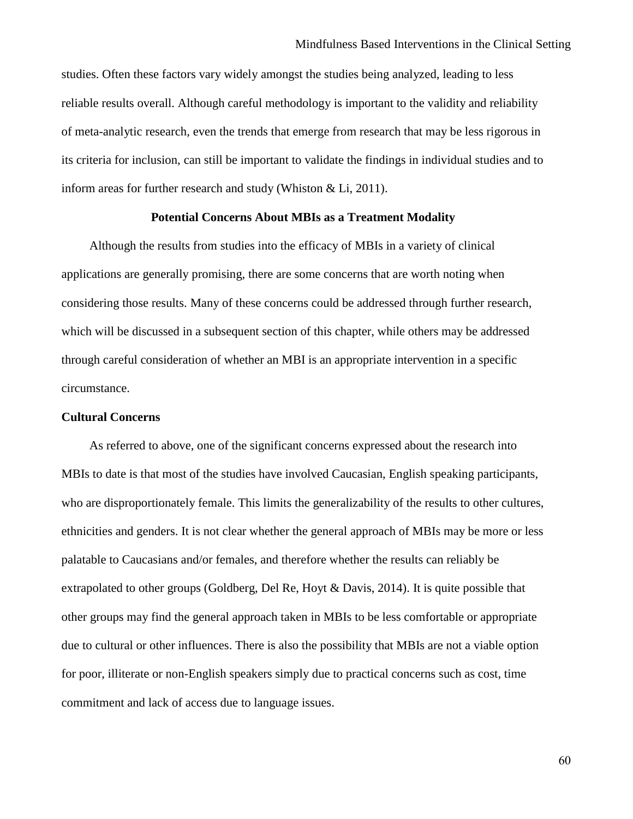studies. Often these factors vary widely amongst the studies being analyzed, leading to less reliable results overall. Although careful methodology is important to the validity and reliability of meta-analytic research, even the trends that emerge from research that may be less rigorous in its criteria for inclusion, can still be important to validate the findings in individual studies and to inform areas for further research and study (Whiston & Li, 2011).

### **Potential Concerns About MBIs as a Treatment Modality**

Although the results from studies into the efficacy of MBIs in a variety of clinical applications are generally promising, there are some concerns that are worth noting when considering those results. Many of these concerns could be addressed through further research, which will be discussed in a subsequent section of this chapter, while others may be addressed through careful consideration of whether an MBI is an appropriate intervention in a specific circumstance.

## **Cultural Concerns**

As referred to above, one of the significant concerns expressed about the research into MBIs to date is that most of the studies have involved Caucasian, English speaking participants, who are disproportionately female. This limits the generalizability of the results to other cultures, ethnicities and genders. It is not clear whether the general approach of MBIs may be more or less palatable to Caucasians and/or females, and therefore whether the results can reliably be extrapolated to other groups (Goldberg, Del Re, Hoyt & Davis, 2014). It is quite possible that other groups may find the general approach taken in MBIs to be less comfortable or appropriate due to cultural or other influences. There is also the possibility that MBIs are not a viable option for poor, illiterate or non-English speakers simply due to practical concerns such as cost, time commitment and lack of access due to language issues.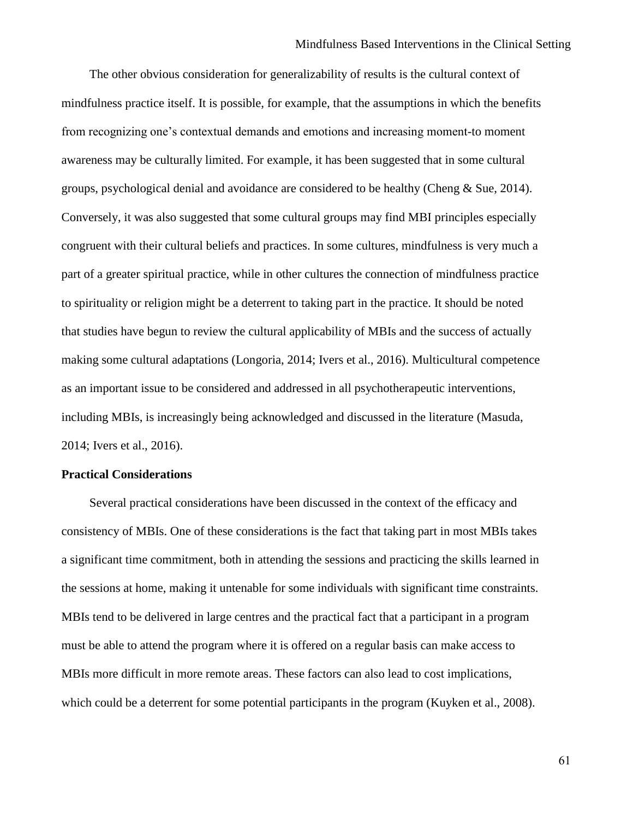The other obvious consideration for generalizability of results is the cultural context of mindfulness practice itself. It is possible, for example, that the assumptions in which the benefits from recognizing one's contextual demands and emotions and increasing moment-to moment awareness may be culturally limited. For example, it has been suggested that in some cultural groups, psychological denial and avoidance are considered to be healthy (Cheng  $&$  Sue, 2014). Conversely, it was also suggested that some cultural groups may find MBI principles especially congruent with their cultural beliefs and practices. In some cultures, mindfulness is very much a part of a greater spiritual practice, while in other cultures the connection of mindfulness practice to spirituality or religion might be a deterrent to taking part in the practice. It should be noted that studies have begun to review the cultural applicability of MBIs and the success of actually making some cultural adaptations (Longoria, 2014; Ivers et al., 2016). Multicultural competence as an important issue to be considered and addressed in all psychotherapeutic interventions, including MBIs, is increasingly being acknowledged and discussed in the literature (Masuda, 2014; Ivers et al., 2016).

# **Practical Considerations**

Several practical considerations have been discussed in the context of the efficacy and consistency of MBIs. One of these considerations is the fact that taking part in most MBIs takes a significant time commitment, both in attending the sessions and practicing the skills learned in the sessions at home, making it untenable for some individuals with significant time constraints. MBIs tend to be delivered in large centres and the practical fact that a participant in a program must be able to attend the program where it is offered on a regular basis can make access to MBIs more difficult in more remote areas. These factors can also lead to cost implications, which could be a deterrent for some potential participants in the program (Kuyken et al., 2008).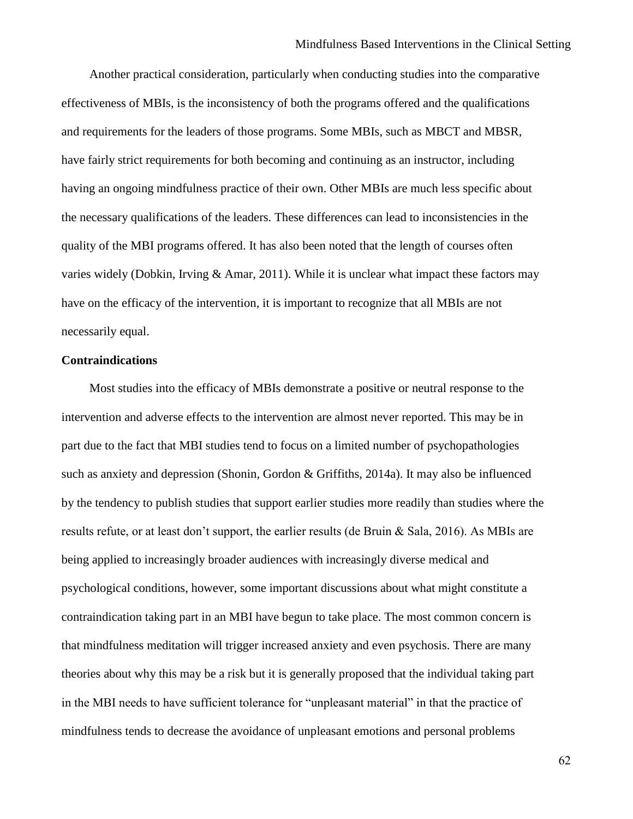Another practical consideration, particularly when conducting studies into the comparative effectiveness of MBIs, is the inconsistency of both the programs offered and the qualifications and requirements for the leaders of those programs. Some MBIs, such as MBCT and MBSR, have fairly strict requirements for both becoming and continuing as an instructor, including having an ongoing mindfulness practice of their own. Other MBIs are much less specific about the necessary qualifications of the leaders. These differences can lead to inconsistencies in the quality of the MBI programs offered. It has also been noted that the length of courses often varies widely (Dobkin, Irving & Amar, 2011). While it is unclear what impact these factors may have on the efficacy of the intervention, it is important to recognize that all MBIs are not necessarily equal.

## **Contraindications**

Most studies into the efficacy of MBIs demonstrate a positive or neutral response to the intervention and adverse effects to the intervention are almost never reported. This may be in part due to the fact that MBI studies tend to focus on a limited number of psychopathologies such as anxiety and depression (Shonin, Gordon & Griffiths, 2014a). It may also be influenced by the tendency to publish studies that support earlier studies more readily than studies where the results refute, or at least don't support, the earlier results (de Bruin & Sala, 2016). As MBIs are being applied to increasingly broader audiences with increasingly diverse medical and psychological conditions, however, some important discussions about what might constitute a contraindication taking part in an MBI have begun to take place. The most common concern is that mindfulness meditation will trigger increased anxiety and even psychosis. There are many theories about why this may be a risk but it is generally proposed that the individual taking part in the MBI needs to have sufficient tolerance for "unpleasant material" in that the practice of mindfulness tends to decrease the avoidance of unpleasant emotions and personal problems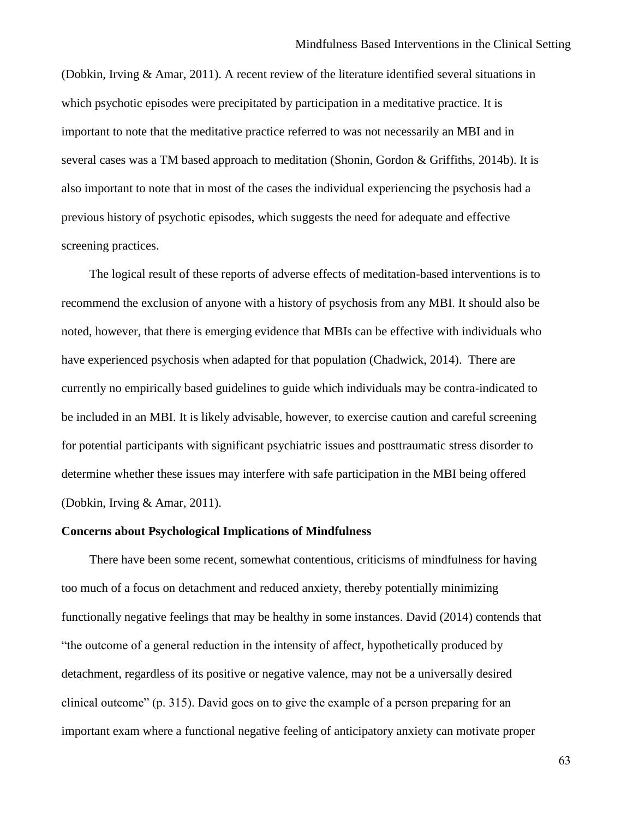(Dobkin, Irving & Amar, 2011). A recent review of the literature identified several situations in which psychotic episodes were precipitated by participation in a meditative practice. It is important to note that the meditative practice referred to was not necessarily an MBI and in several cases was a TM based approach to meditation (Shonin, Gordon & Griffiths, 2014b). It is also important to note that in most of the cases the individual experiencing the psychosis had a previous history of psychotic episodes, which suggests the need for adequate and effective screening practices.

The logical result of these reports of adverse effects of meditation-based interventions is to recommend the exclusion of anyone with a history of psychosis from any MBI. It should also be noted, however, that there is emerging evidence that MBIs can be effective with individuals who have experienced psychosis when adapted for that population (Chadwick, 2014). There are currently no empirically based guidelines to guide which individuals may be contra-indicated to be included in an MBI. It is likely advisable, however, to exercise caution and careful screening for potential participants with significant psychiatric issues and posttraumatic stress disorder to determine whether these issues may interfere with safe participation in the MBI being offered (Dobkin, Irving & Amar, 2011).

#### **Concerns about Psychological Implications of Mindfulness**

There have been some recent, somewhat contentious, criticisms of mindfulness for having too much of a focus on detachment and reduced anxiety, thereby potentially minimizing functionally negative feelings that may be healthy in some instances. David (2014) contends that "the outcome of a general reduction in the intensity of affect, hypothetically produced by detachment, regardless of its positive or negative valence, may not be a universally desired clinical outcome" (p. 315). David goes on to give the example of a person preparing for an important exam where a functional negative feeling of anticipatory anxiety can motivate proper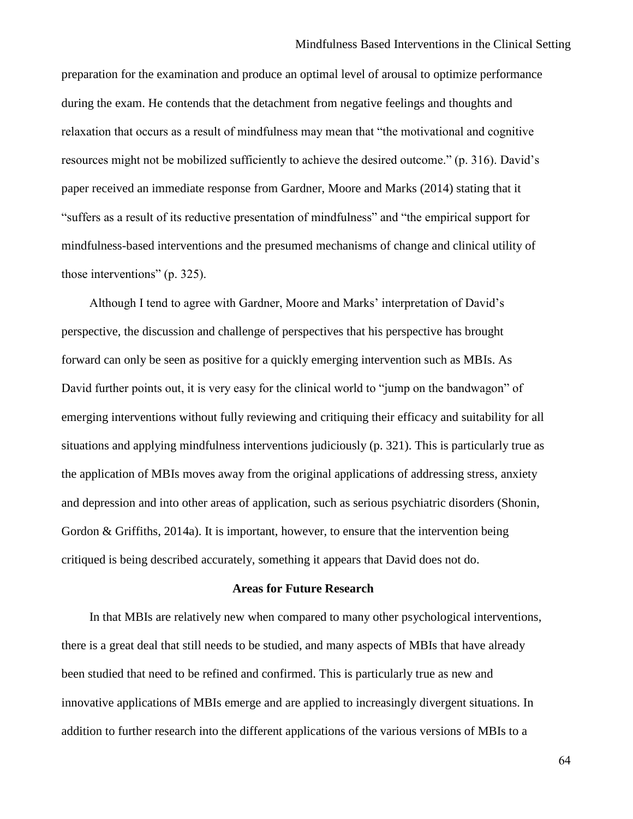preparation for the examination and produce an optimal level of arousal to optimize performance during the exam. He contends that the detachment from negative feelings and thoughts and relaxation that occurs as a result of mindfulness may mean that "the motivational and cognitive resources might not be mobilized sufficiently to achieve the desired outcome." (p. 316). David's paper received an immediate response from Gardner, Moore and Marks (2014) stating that it "suffers as a result of its reductive presentation of mindfulness" and "the empirical support for mindfulness-based interventions and the presumed mechanisms of change and clinical utility of those interventions" (p. 325).

Although I tend to agree with Gardner, Moore and Marks' interpretation of David's perspective, the discussion and challenge of perspectives that his perspective has brought forward can only be seen as positive for a quickly emerging intervention such as MBIs. As David further points out, it is very easy for the clinical world to "jump on the bandwagon" of emerging interventions without fully reviewing and critiquing their efficacy and suitability for all situations and applying mindfulness interventions judiciously (p. 321). This is particularly true as the application of MBIs moves away from the original applications of addressing stress, anxiety and depression and into other areas of application, such as serious psychiatric disorders (Shonin, Gordon & Griffiths, 2014a). It is important, however, to ensure that the intervention being critiqued is being described accurately, something it appears that David does not do.

### **Areas for Future Research**

In that MBIs are relatively new when compared to many other psychological interventions, there is a great deal that still needs to be studied, and many aspects of MBIs that have already been studied that need to be refined and confirmed. This is particularly true as new and innovative applications of MBIs emerge and are applied to increasingly divergent situations. In addition to further research into the different applications of the various versions of MBIs to a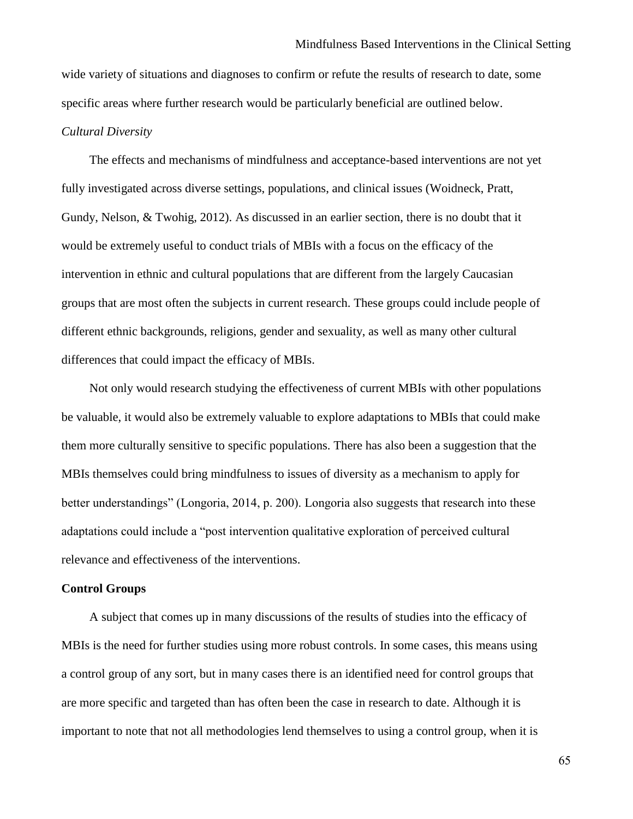wide variety of situations and diagnoses to confirm or refute the results of research to date, some specific areas where further research would be particularly beneficial are outlined below.

## *Cultural Diversity*

The effects and mechanisms of mindfulness and acceptance-based interventions are not yet fully investigated across diverse settings, populations, and clinical issues (Woidneck, Pratt, Gundy, Nelson, & Twohig, 2012). As discussed in an earlier section, there is no doubt that it would be extremely useful to conduct trials of MBIs with a focus on the efficacy of the intervention in ethnic and cultural populations that are different from the largely Caucasian groups that are most often the subjects in current research. These groups could include people of different ethnic backgrounds, religions, gender and sexuality, as well as many other cultural differences that could impact the efficacy of MBIs.

Not only would research studying the effectiveness of current MBIs with other populations be valuable, it would also be extremely valuable to explore adaptations to MBIs that could make them more culturally sensitive to specific populations. There has also been a suggestion that the MBIs themselves could bring mindfulness to issues of diversity as a mechanism to apply for better understandings" (Longoria, 2014, p. 200). Longoria also suggests that research into these adaptations could include a "post intervention qualitative exploration of perceived cultural relevance and effectiveness of the interventions.

## **Control Groups**

A subject that comes up in many discussions of the results of studies into the efficacy of MBIs is the need for further studies using more robust controls. In some cases, this means using a control group of any sort, but in many cases there is an identified need for control groups that are more specific and targeted than has often been the case in research to date. Although it is important to note that not all methodologies lend themselves to using a control group, when it is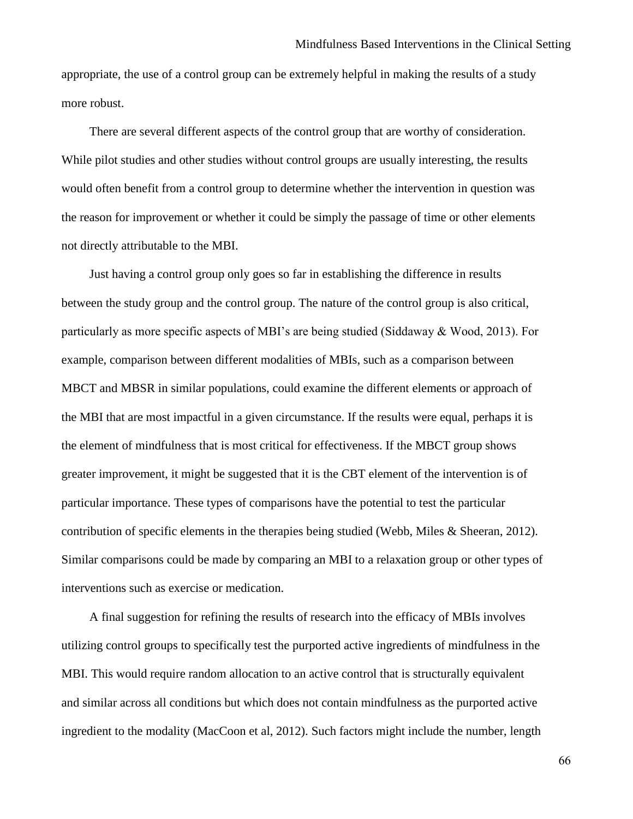appropriate, the use of a control group can be extremely helpful in making the results of a study more robust.

There are several different aspects of the control group that are worthy of consideration. While pilot studies and other studies without control groups are usually interesting, the results would often benefit from a control group to determine whether the intervention in question was the reason for improvement or whether it could be simply the passage of time or other elements not directly attributable to the MBI.

Just having a control group only goes so far in establishing the difference in results between the study group and the control group. The nature of the control group is also critical, particularly as more specific aspects of MBI's are being studied (Siddaway & Wood, 2013). For example, comparison between different modalities of MBIs, such as a comparison between MBCT and MBSR in similar populations, could examine the different elements or approach of the MBI that are most impactful in a given circumstance. If the results were equal, perhaps it is the element of mindfulness that is most critical for effectiveness. If the MBCT group shows greater improvement, it might be suggested that it is the CBT element of the intervention is of particular importance. These types of comparisons have the potential to test the particular contribution of specific elements in the therapies being studied (Webb, Miles & Sheeran, 2012). Similar comparisons could be made by comparing an MBI to a relaxation group or other types of interventions such as exercise or medication.

A final suggestion for refining the results of research into the efficacy of MBIs involves utilizing control groups to specifically test the purported active ingredients of mindfulness in the MBI. This would require random allocation to an active control that is structurally equivalent and similar across all conditions but which does not contain mindfulness as the purported active ingredient to the modality (MacCoon et al, 2012). Such factors might include the number, length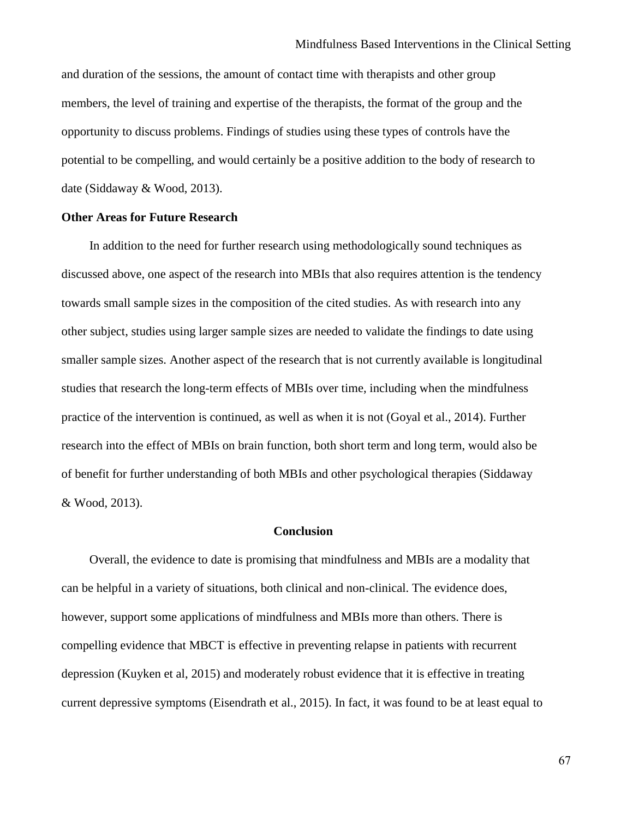and duration of the sessions, the amount of contact time with therapists and other group members, the level of training and expertise of the therapists, the format of the group and the opportunity to discuss problems. Findings of studies using these types of controls have the potential to be compelling, and would certainly be a positive addition to the body of research to date (Siddaway & Wood, 2013).

## **Other Areas for Future Research**

In addition to the need for further research using methodologically sound techniques as discussed above, one aspect of the research into MBIs that also requires attention is the tendency towards small sample sizes in the composition of the cited studies. As with research into any other subject, studies using larger sample sizes are needed to validate the findings to date using smaller sample sizes. Another aspect of the research that is not currently available is longitudinal studies that research the long-term effects of MBIs over time, including when the mindfulness practice of the intervention is continued, as well as when it is not (Goyal et al., 2014). Further research into the effect of MBIs on brain function, both short term and long term, would also be of benefit for further understanding of both MBIs and other psychological therapies (Siddaway & Wood, 2013).

#### **Conclusion**

Overall, the evidence to date is promising that mindfulness and MBIs are a modality that can be helpful in a variety of situations, both clinical and non-clinical. The evidence does, however, support some applications of mindfulness and MBIs more than others. There is compelling evidence that MBCT is effective in preventing relapse in patients with recurrent depression (Kuyken et al, 2015) and moderately robust evidence that it is effective in treating current depressive symptoms (Eisendrath et al., 2015). In fact, it was found to be at least equal to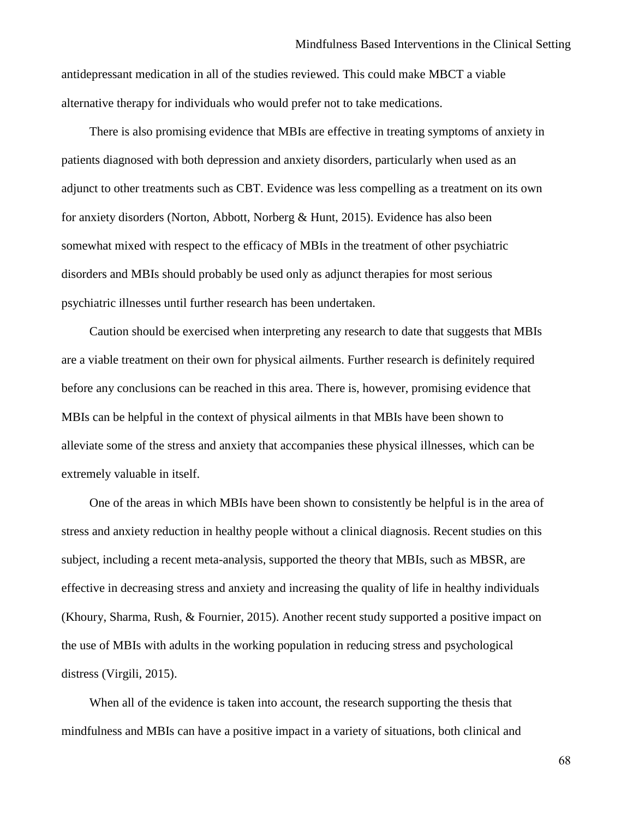antidepressant medication in all of the studies reviewed. This could make MBCT a viable alternative therapy for individuals who would prefer not to take medications.

There is also promising evidence that MBIs are effective in treating symptoms of anxiety in patients diagnosed with both depression and anxiety disorders, particularly when used as an adjunct to other treatments such as CBT. Evidence was less compelling as a treatment on its own for anxiety disorders (Norton, Abbott, Norberg & Hunt, 2015). Evidence has also been somewhat mixed with respect to the efficacy of MBIs in the treatment of other psychiatric disorders and MBIs should probably be used only as adjunct therapies for most serious psychiatric illnesses until further research has been undertaken.

Caution should be exercised when interpreting any research to date that suggests that MBIs are a viable treatment on their own for physical ailments. Further research is definitely required before any conclusions can be reached in this area. There is, however, promising evidence that MBIs can be helpful in the context of physical ailments in that MBIs have been shown to alleviate some of the stress and anxiety that accompanies these physical illnesses, which can be extremely valuable in itself.

One of the areas in which MBIs have been shown to consistently be helpful is in the area of stress and anxiety reduction in healthy people without a clinical diagnosis. Recent studies on this subject, including a recent meta-analysis, supported the theory that MBIs, such as MBSR, are effective in decreasing stress and anxiety and increasing the quality of life in healthy individuals (Khoury, Sharma, Rush, & Fournier, 2015). Another recent study supported a positive impact on the use of MBIs with adults in the working population in reducing stress and psychological distress (Virgili, 2015).

When all of the evidence is taken into account, the research supporting the thesis that mindfulness and MBIs can have a positive impact in a variety of situations, both clinical and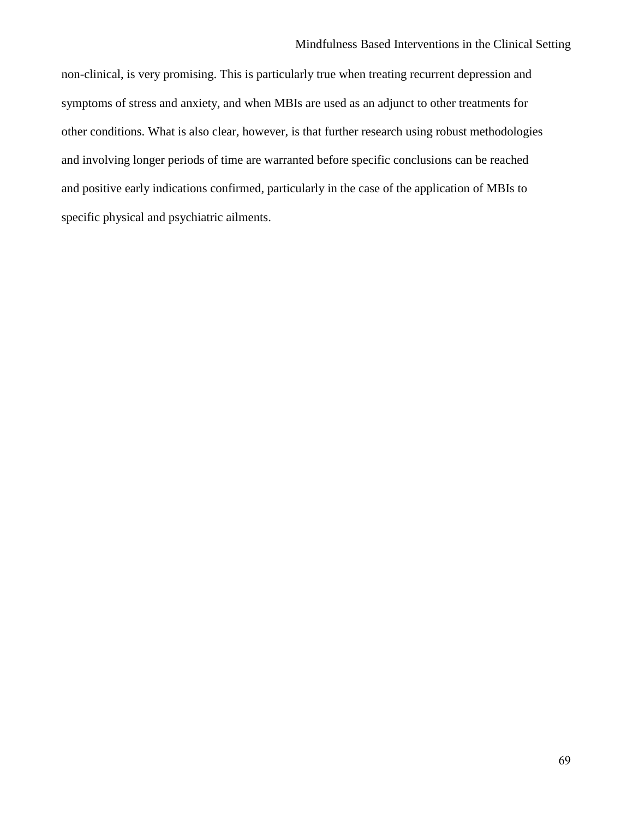non-clinical, is very promising. This is particularly true when treating recurrent depression and symptoms of stress and anxiety, and when MBIs are used as an adjunct to other treatments for other conditions. What is also clear, however, is that further research using robust methodologies and involving longer periods of time are warranted before specific conclusions can be reached and positive early indications confirmed, particularly in the case of the application of MBIs to specific physical and psychiatric ailments.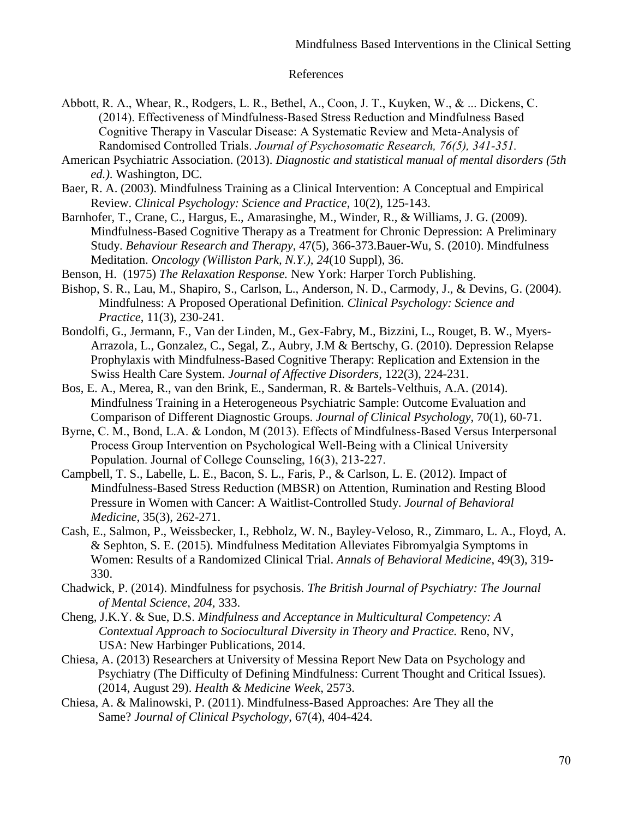#### References

- Abbott, R. A., Whear, R., Rodgers, L. R., Bethel, A., Coon, J. T., Kuyken, W., & ... Dickens, C. (2014). Effectiveness of Mindfulness-Based Stress Reduction and Mindfulness Based Cognitive Therapy in Vascular Disease: A Systematic Review and Meta-Analysis of Randomised Controlled Trials. *Journal of Psychosomatic Research, 76(5), 341-351.*
- American Psychiatric Association. (2013). *Diagnostic and statistical manual of mental disorders (5th ed.)*. Washington, DC.
- Baer, R. A. (2003). Mindfulness Training as a Clinical Intervention: A Conceptual and Empirical Review. *Clinical Psychology: Science and Practice*, 10(2), 125-143.
- Barnhofer, T., Crane, C., Hargus, E., Amarasinghe, M., Winder, R., & Williams, J. G. (2009). Mindfulness-Based Cognitive Therapy as a Treatment for Chronic Depression: A Preliminary Study. *Behaviour Research and Therapy*, 47(5), 366-373.Bauer-Wu, S. (2010). Mindfulness Meditation. *Oncology (Williston Park, N.Y.), 24*(10 Suppl), 36.
- Benson, H. (1975) *The Relaxation Response.* New York: Harper Torch Publishing.
- Bishop, S. R., Lau, M., Shapiro, S., Carlson, L., Anderson, N. D., Carmody, J., & Devins, G. (2004). Mindfulness: A Proposed Operational Definition. *Clinical Psychology: Science and Practice*, 11(3), 230-241.
- Bondolfi, G., Jermann, F., Van der Linden, M., Gex-Fabry, M., Bizzini, L., Rouget, B. W., Myers-Arrazola, L., Gonzalez, C., Segal, Z., Aubry, J.M & Bertschy, G. (2010). Depression Relapse Prophylaxis with Mindfulness-Based Cognitive Therapy: Replication and Extension in the Swiss Health Care System. *Journal of Affective Disorders*, 122(3), 224-231.
- Bos, E. A., Merea, R., van den Brink, E., Sanderman, R. & Bartels-Velthuis, A.A. (2014). Mindfulness Training in a Heterogeneous Psychiatric Sample: Outcome Evaluation and Comparison of Different Diagnostic Groups. *Journal of Clinical Psychology*, 70(1), 60-71.
- Byrne, C. M., Bond, L.A. & London, M (2013). Effects of Mindfulness-Based Versus Interpersonal Process Group Intervention on Psychological Well-Being with a Clinical University Population. Journal of College Counseling, 16(3), 213-227.
- Campbell, T. S., Labelle, L. E., Bacon, S. L., Faris, P., & Carlson, L. E. (2012). Impact of Mindfulness-Based Stress Reduction (MBSR) on Attention, Rumination and Resting Blood Pressure in Women with Cancer: A Waitlist-Controlled Study. *Journal of Behavioral Medicine*, 35(3), 262-271.
- Cash, E., Salmon, P., Weissbecker, I., Rebholz, W. N., Bayley-Veloso, R., Zimmaro, L. A., Floyd, A. & Sephton, S. E. (2015). Mindfulness Meditation Alleviates Fibromyalgia Symptoms in Women: Results of a Randomized Clinical Trial. *Annals of Behavioral Medicine*, 49(3), 319- 330.
- Chadwick, P. (2014). Mindfulness for psychosis. *The British Journal of Psychiatry: The Journal of Mental Science, 204*, 333.
- Cheng, J.K.Y. & Sue, D.S. *Mindfulness and Acceptance in Multicultural Competency: A Contextual Approach to Sociocultural Diversity in Theory and Practice.* Reno, NV, USA: New Harbinger Publications, 2014.
- Chiesa, A. (2013) Researchers at University of Messina Report New Data on Psychology and Psychiatry (The Difficulty of Defining Mindfulness: Current Thought and Critical Issues). (2014, August 29). *Health & Medicine Week*, 2573.
- Chiesa, A. & Malinowski, P. (2011). Mindfulness-Based Approaches: Are They all the Same? *Journal of Clinical Psychology*, 67(4), 404-424.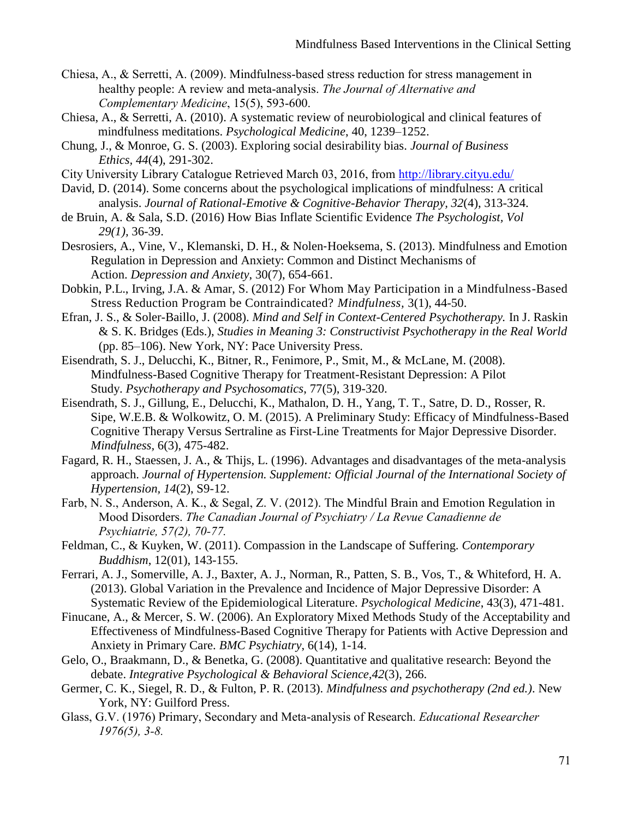- Chiesa, A., & Serretti, A. (2009). Mindfulness-based stress reduction for stress management in healthy people: A review and meta-analysis. *The Journal of Alternative and Complementary Medicine*, 15(5), 593-600.
- Chiesa, A., & Serretti, A. (2010). A systematic review of neurobiological and clinical features of mindfulness meditations. *Psychological Medicine*, 40, 1239–1252.
- Chung, J., & Monroe, G. S. (2003). Exploring social desirability bias. *Journal of Business Ethics, 44*(4), 291-302.
- City University Library Catalogue Retrieved March 03, 2016, from<http://library.cityu.edu/>
- David, D. (2014). Some concerns about the psychological implications of mindfulness: A critical analysis. *Journal of Rational-Emotive & Cognitive-Behavior Therapy, 32*(4), 313-324.
- de Bruin, A. & Sala, S.D. (2016) How Bias Inflate Scientific Evidence *The Psychologist, Vol 29(1),* 36-39.
- Desrosiers, A., Vine, V., Klemanski, D. H., & Nolen‐Hoeksema, S. (2013). Mindfulness and Emotion Regulation in Depression and Anxiety: Common and Distinct Mechanisms of Action. *Depression and Anxiety*, 30(7), 654-661.
- Dobkin, P.L., Irving, J.A. & Amar, S. (2012) For Whom May Participation in a Mindfulness-Based Stress Reduction Program be Contraindicated? *Mindfulness,* 3[\(1\),](http://link.springer.com/journal/12671/3/1/page/1) 44-50.
- Efran, J. S., & Soler-Baillo, J. (2008). *Mind and Self in Context-Centered Psychotherapy.* In J. Raskin & S. K. Bridges (Eds.), *Studies in Meaning 3: Constructivist Psychotherapy in the Real World* (pp. 85–106). New York, NY: Pace University Press.
- Eisendrath, S. J., Delucchi, K., Bitner, R., Fenimore, P., Smit, M., & McLane, M. (2008). Mindfulness-Based Cognitive Therapy for Treatment-Resistant Depression: A Pilot Study. *Psychotherapy and Psychosomatics*, 77(5), 319-320.
- Eisendrath, S. J., Gillung, E., Delucchi, K., Mathalon, D. H., Yang, T. T., Satre, D. D., Rosser, R. Sipe, W.E.B. & Wolkowitz, O. M. (2015). A Preliminary Study: Efficacy of Mindfulness-Based Cognitive Therapy Versus Sertraline as First-Line Treatments for Major Depressive Disorder. *Mindfulness,* 6(3), 475-482.
- Fagard, R. H., Staessen, J. A., & Thijs, L. (1996). Advantages and disadvantages of the meta-analysis approach. *Journal of Hypertension. Supplement: Official Journal of the International Society of Hypertension, 14*(2), S9-12.
- Farb, N. S., Anderson, A. K., & Segal, Z. V. (2012). The Mindful Brain and Emotion Regulation in Mood Disorders. *The Canadian Journal of Psychiatry / La Revue Canadienne de Psychiatrie, 57(2), 70-77.*
- Feldman, C., & Kuyken, W. (2011). Compassion in the Landscape of Suffering. *Contemporary Buddhism*, 12(01), 143-155.
- Ferrari, A. J., Somerville, A. J., Baxter, A. J., Norman, R., Patten, S. B., Vos, T., & Whiteford, H. A. (2013). Global Variation in the Prevalence and Incidence of Major Depressive Disorder: A Systematic Review of the Epidemiological Literature. *Psychological Medicine*, 43(3), 471-481.
- Finucane, A., & Mercer, S. W. (2006). An Exploratory Mixed Methods Study of the Acceptability and Effectiveness of Mindfulness-Based Cognitive Therapy for Patients with Active Depression and Anxiety in Primary Care. *BMC Psychiatry*, 6(14), 1-14.
- Gelo, O., Braakmann, D., & Benetka, G. (2008). Quantitative and qualitative research: Beyond the debate. *Integrative Psychological & Behavioral Science,42*(3), 266.
- Germer, C. K., Siegel, R. D., & Fulton, P. R. (2013). *Mindfulness and psychotherapy (2nd ed.)*. New York, NY: Guilford Press.
- Glass, G.V. (1976) Primary, Secondary and Meta-analysis of Research. *Educational Researcher 1976(5), 3-8.*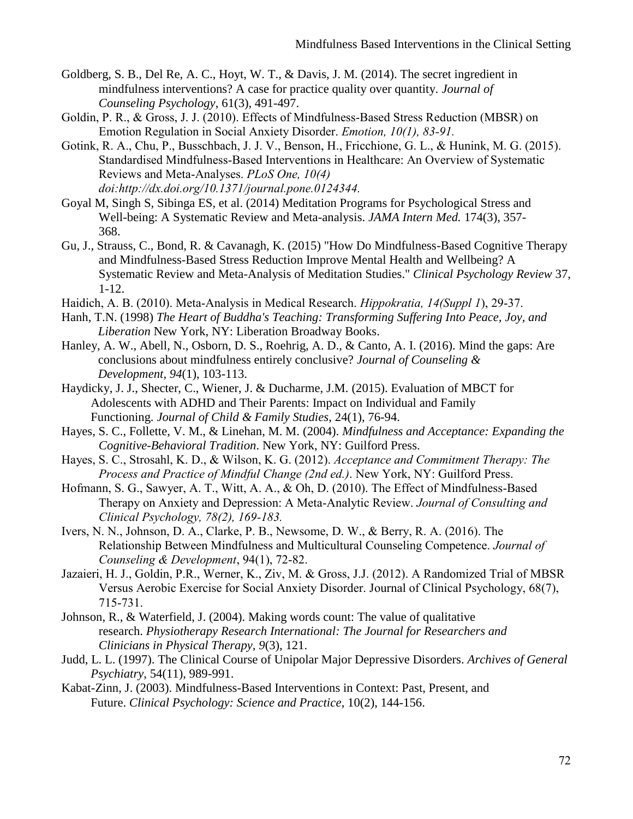- Goldberg, S. B., Del Re, A. C., Hoyt, W. T., & Davis, J. M. (2014). The secret ingredient in mindfulness interventions? A case for practice quality over quantity. *Journal of Counseling Psychology*, 61(3), 491-497.
- Goldin, P. R., & Gross, J. J. (2010). Effects of Mindfulness-Based Stress Reduction (MBSR) on Emotion Regulation in Social Anxiety Disorder. *Emotion, 10(1), 83-91.*
- Gotink, R. A., Chu, P., Busschbach, J. J. V., Benson, H., Fricchione, G. L., & Hunink, M. G. (2015). Standardised Mindfulness-Based Interventions in Healthcare: An Overview of Systematic Reviews and Meta-Analyses. *PLoS One, 10(4) doi:http://dx.doi.org/10.1371/journal.pone.0124344.*
- Goyal M, Singh S, Sibinga ES, et al. (2014) Meditation Programs for Psychological Stress and Well-being: A Systematic Review and Meta-analysis. *JAMA Intern Med.* 174(3), 357- 368.
- Gu, J., Strauss, C., Bond, R. & Cavanagh, K. (2015) "How Do Mindfulness-Based Cognitive Therapy and Mindfulness-Based Stress Reduction Improve Mental Health and Wellbeing? A Systematic Review and Meta-Analysis of Meditation Studies." *Clinical Psychology Review* 37, 1-12.
- Haidich, A. B. (2010). Meta-Analysis in Medical Research. *Hippokratia, 14(Suppl 1*), 29-37.
- Hanh, T.N. (1998) *The Heart of Buddha's Teaching: Transforming Suffering Into Peace, Joy, and Liberation* New York, NY: Liberation Broadway Books.
- Hanley, A. W., Abell, N., Osborn, D. S., Roehrig, A. D., & Canto, A. I. (2016). Mind the gaps: Are conclusions about mindfulness entirely conclusive? *Journal of Counseling & Development, 94*(1), 103-113.
- Haydicky, J. J., Shecter, C., Wiener, J. & Ducharme, J.M. (2015). Evaluation of MBCT for Adolescents with ADHD and Their Parents: Impact on Individual and Family Functioning. *Journal of Child & Family Studies*, 24(1), 76-94.
- Hayes, S. C., Follette, V. M., & Linehan, M. M. (2004). *Mindfulness and Acceptance: Expanding the Cognitive-Behavioral Tradition*. New York, NY: Guilford Press.
- Hayes, S. C., Strosahl, K. D., & Wilson, K. G. (2012). *Acceptance and Commitment Therapy: The Process and Practice of Mindful Change (2nd ed.)*. New York, NY: Guilford Press.
- Hofmann, S. G., Sawyer, A. T., Witt, A. A., & Oh, D. (2010). The Effect of Mindfulness-Based Therapy on Anxiety and Depression: A Meta-Analytic Review. *Journal of Consulting and Clinical Psychology, 78(2), 169-183.*
- Ivers, N. N., Johnson, D. A., Clarke, P. B., Newsome, D. W., & Berry, R. A. (2016). The Relationship Between Mindfulness and Multicultural Counseling Competence. *Journal of Counseling & Development*, 94(1), 72-82.
- Jazaieri, H. J., Goldin, P.R., Werner, K., Ziv, M. & Gross, J.J. (2012). A Randomized Trial of MBSR Versus Aerobic Exercise for Social Anxiety Disorder. Journal of Clinical Psychology, 68(7), 715-731.
- Johnson, R., & Waterfield, J. (2004). Making words count: The value of qualitative research. *Physiotherapy Research International: The Journal for Researchers and Clinicians in Physical Therapy, 9*(3), 121.
- Judd, L. L. (1997). The Clinical Course of Unipolar Major Depressive Disorders. *Archives of General Psychiatry*, 54(11), 989-991.
- Kabat-Zinn, J. (2003). Mindfulness-Based Interventions in Context: Past, Present, and Future. *Clinical Psychology: Science and Practice*, 10(2), 144-156.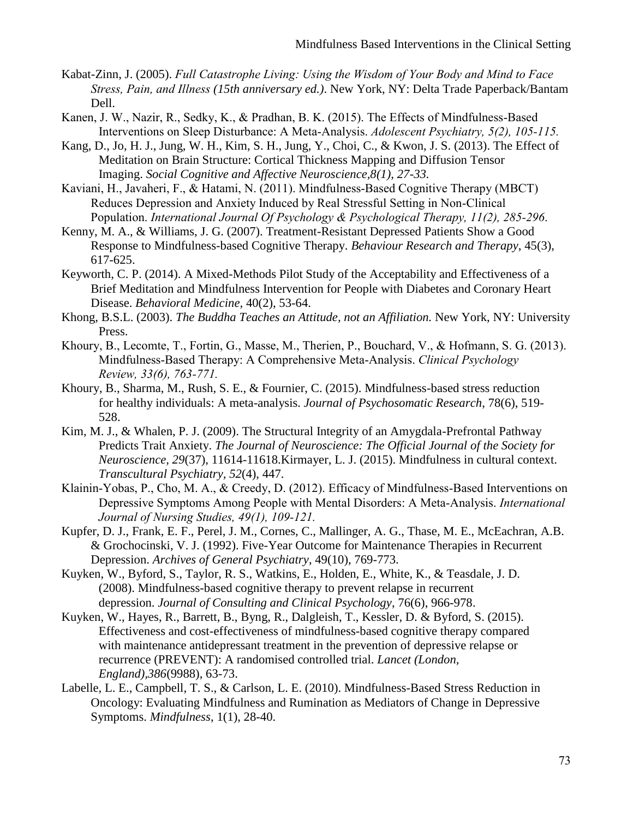- Kabat-Zinn, J. (2005). *Full Catastrophe Living: Using the Wisdom of Your Body and Mind to Face Stress, Pain, and Illness (15th anniversary ed.)*. New York, NY: Delta Trade Paperback/Bantam Dell.
- Kanen, J. W., Nazir, R., Sedky, K., & Pradhan, B. K. (2015). The Effects of Mindfulness-Based Interventions on Sleep Disturbance: A Meta-Analysis. *Adolescent Psychiatry, 5(2), 105-115.*
- Kang, D., Jo, H. J., Jung, W. H., Kim, S. H., Jung, Y., Choi, C., & Kwon, J. S. (2013). The Effect of Meditation on Brain Structure: Cortical Thickness Mapping and Diffusion Tensor Imaging. *Social Cognitive and Affective Neuroscience,8(1), 27-33.*
- Kaviani, H., Javaheri, F., & Hatami, N. (2011). Mindfulness-Based Cognitive Therapy (MBCT) Reduces Depression and Anxiety Induced by Real Stressful Setting in Non-Clinical Population. *International Journal Of Psychology & Psychological Therapy, 11(2), 285-296*.
- Kenny, M. A., & Williams, J. G. (2007). Treatment-Resistant Depressed Patients Show a Good Response to Mindfulness-based Cognitive Therapy. *Behaviour Research and Therapy*, 45(3), 617-625.
- Keyworth, C. P. (2014). A Mixed-Methods Pilot Study of the Acceptability and Effectiveness of a Brief Meditation and Mindfulness Intervention for People with Diabetes and Coronary Heart Disease. *Behavioral Medicine,* 40(2), 53-64.
- Khong, B.S.L. (2003). *The Buddha Teaches an Attitude, not an Affiliation.* New York, NY: University Press.
- Khoury, B., Lecomte, T., Fortin, G., Masse, M., Therien, P., Bouchard, V., & Hofmann, S. G. (2013). Mindfulness-Based Therapy: A Comprehensive Meta-Analysis. *Clinical Psychology Review, 33(6), 763-771.*
- Khoury, B., Sharma, M., Rush, S. E., & Fournier, C. (2015). Mindfulness-based stress reduction for healthy individuals: A meta-analysis. *Journal of Psychosomatic Research*, 78(6), 519- 528.
- Kim, M. J., & Whalen, P. J. (2009). The Structural Integrity of an Amygdala-Prefrontal Pathway Predicts Trait Anxiety. *The Journal of Neuroscience: The Official Journal of the Society for Neuroscience, 29*(37), 11614-11618.Kirmayer, L. J. (2015). Mindfulness in cultural context. *Transcultural Psychiatry, 52*(4), 447.
- Klainin-Yobas, P., Cho, M. A., & Creedy, D. (2012). Efficacy of Mindfulness-Based Interventions on Depressive Symptoms Among People with Mental Disorders: A Meta-Analysis. *International Journal of Nursing Studies, 49(1), 109-121.*
- Kupfer, D. J., Frank, E. F., Perel, J. M., Cornes, C., Mallinger, A. G., Thase, M. E., McEachran, A.B. & Grochocinski, V. J. (1992). Five-Year Outcome for Maintenance Therapies in Recurrent Depression. *Archives of General Psychiatry*, 49(10), 769-773.
- Kuyken, W., Byford, S., Taylor, R. S., Watkins, E., Holden, E., White, K., & Teasdale, J. D. (2008). Mindfulness-based cognitive therapy to prevent relapse in recurrent depression. *Journal of Consulting and Clinical Psychology*, 76(6), 966-978.
- Kuyken, W., Hayes, R., Barrett, B., Byng, R., Dalgleish, T., Kessler, D. & Byford, S. (2015). Effectiveness and cost-effectiveness of mindfulness-based cognitive therapy compared with maintenance antidepressant treatment in the prevention of depressive relapse or recurrence (PREVENT): A randomised controlled trial. *Lancet (London, England),386*(9988), 63-73.
- Labelle, L. E., Campbell, T. S., & Carlson, L. E. (2010). Mindfulness-Based Stress Reduction in Oncology: Evaluating Mindfulness and Rumination as Mediators of Change in Depressive Symptoms. *Mindfulness*, 1(1), 28-40.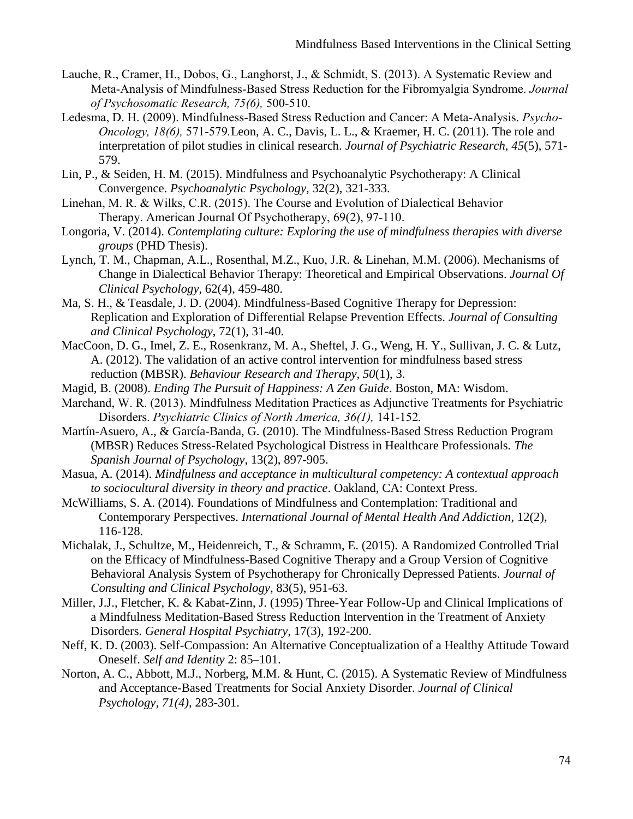- Lauche, R., Cramer, H., Dobos, G., Langhorst, J., & Schmidt, S. (2013). A Systematic Review and Meta-Analysis of Mindfulness-Based Stress Reduction for the Fibromyalgia Syndrome. *Journal of Psychosomatic Research, 75(6),* 500-510.
- Ledesma, D. H. (2009). Mindfulness-Based Stress Reduction and Cancer: A Meta-Analysis. *Psycho-Oncology, 18(6),* 571-579*.*Leon, A. C., Davis, L. L., & Kraemer, H. C. (2011). The role and interpretation of pilot studies in clinical research. *Journal of Psychiatric Research, 45*(5), 571- 579.
- Lin, P., & Seiden, H. M. (2015). Mindfulness and Psychoanalytic Psychotherapy: A Clinical Convergence. *Psychoanalytic Psychology*, 32(2), 321-333.
- Linehan, M. R. & Wilks, C.R. (2015). The Course and Evolution of Dialectical Behavior Therapy. American Journal Of Psychotherapy, 69(2), 97-110.
- Longoria, V. (2014). *Contemplating culture: Exploring the use of mindfulness therapies with diverse groups* (PHD Thesis).
- Lynch, T. M., Chapman, A.L., Rosenthal, M.Z., Kuo, J.R. & Linehan, M.M. (2006). Mechanisms of Change in Dialectical Behavior Therapy: Theoretical and Empirical Observations. *Journal Of Clinical Psychology*, 62(4), 459-480.
- Ma, S. H., & Teasdale, J. D. (2004). Mindfulness-Based Cognitive Therapy for Depression: Replication and Exploration of Differential Relapse Prevention Effects. *Journal of Consulting and Clinical Psychology*, 72(1), 31-40.
- MacCoon, D. G., Imel, Z. E., Rosenkranz, M. A., Sheftel, J. G., Weng, H. Y., Sullivan, J. C. & Lutz, A. (2012). The validation of an active control intervention for mindfulness based stress reduction (MBSR). *Behaviour Research and Therapy, 50*(1), 3.
- Magid, B. (2008). *Ending The Pursuit of Happiness: A Zen Guide*. Boston, MA: Wisdom.
- Marchand, W. R. (2013). Mindfulness Meditation Practices as Adjunctive Treatments for Psychiatric Disorders. *Psychiatric Clinics of North America, 36(1),* 141-152*.*
- Martín-Asuero, A., & García-Banda, G. (2010). The Mindfulness-Based Stress Reduction Program (MBSR) Reduces Stress-Related Psychological Distress in Healthcare Professionals*. The Spanish Journal of Psychology*, 13(2), 897-905.
- Masua, A. (2014). *Mindfulness and acceptance in multicultural competency: A contextual approach to sociocultural diversity in theory and practice*. Oakland, CA: Context Press.
- McWilliams, S. A. (2014). Foundations of Mindfulness and Contemplation: Traditional and Contemporary Perspectives. *International Journal of Mental Health And Addiction*, 12(2), 116-128.
- Michalak, J., Schultze, M., Heidenreich, T., & Schramm, E. (2015). A Randomized Controlled Trial on the Efficacy of Mindfulness-Based Cognitive Therapy and a Group Version of Cognitive Behavioral Analysis System of Psychotherapy for Chronically Depressed Patients. *Journal of Consulting and Clinical Psychology*, 83(5), 951-63.
- Miller, J.J., Fletcher, K. & Kabat-Zinn, J. (1995) Three-Year Follow-Up and Clinical Implications of a Mindfulness Meditation-Based Stress Reduction Intervention in the Treatment of Anxiety Disorders. *General Hospital Psychiatry*, 17(3), 192-200.
- Neff, K. D. (2003). Self-Compassion: An Alternative Conceptualization of a Healthy Attitude Toward Oneself. *Self and Identity* 2: 85–101.
- Norton, A. C., Abbott, M.J., Norberg, M.M. & Hunt, C. (2015). A Systematic Review of Mindfulness and Acceptance-Based Treatments for Social Anxiety Disorder. *Journal of Clinical Psychology, 71(4),* 283-301.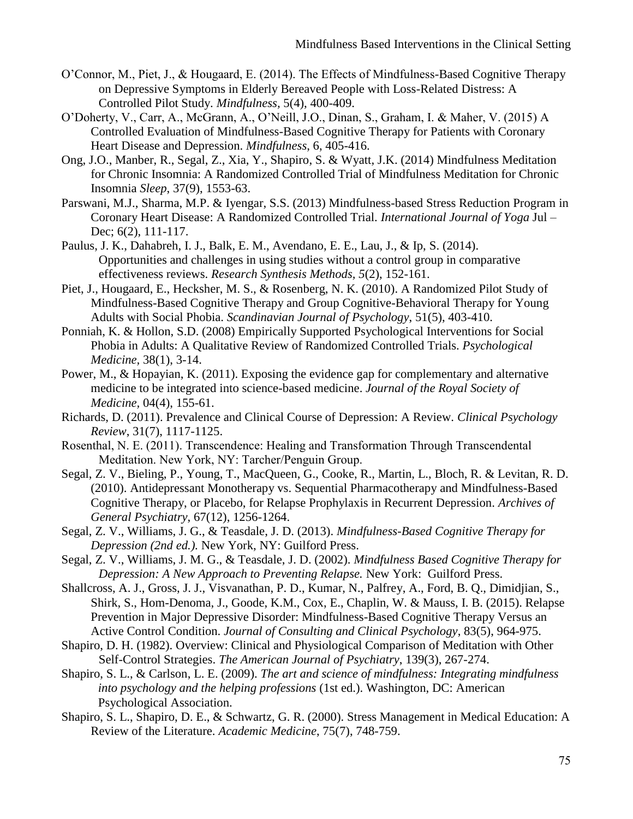- O'Connor, M., Piet, J., & Hougaard, E. (2014). The Effects of Mindfulness-Based Cognitive Therapy on Depressive Symptoms in Elderly Bereaved People with Loss-Related Distress: A Controlled Pilot Study. *Mindfulness,* 5(4), 400-409.
- O'Doherty, V., Carr, A., McGrann, A., O'Neill, J.O., Dinan, S., Graham, I. & Maher, V. (2015) A Controlled Evaluation of Mindfulness-Based Cognitive Therapy for Patients with Coronary Heart Disease and Depression. *Mindfulness*, 6, 405-416.
- Ong, J.O., Manber, R., Segal, Z., Xia, Y., Shapiro, S. & Wyatt, J.K. (2014) Mindfulness Meditation for Chronic Insomnia: A Randomized Controlled Trial of Mindfulness Meditation for Chronic Insomnia *Sleep*, 37(9), 1553-63.
- Parswani, M.J., Sharma, M.P. & Iyengar, S.S. (2013) Mindfulness-based Stress Reduction Program in Coronary Heart Disease: A Randomized Controlled Trial. *International Journal of Yoga* Jul – Dec; 6(2), 111-117.
- Paulus, J. K., Dahabreh, I. J., Balk, E. M., Avendano, E. E., Lau, J., & Ip, S. (2014). Opportunities and challenges in using studies without a control group in comparative effectiveness reviews. *Research Synthesis Methods, 5*(2), 152-161.
- Piet, J., Hougaard, E., Hecksher, M. S., & Rosenberg, N. K. (2010). A Randomized Pilot Study of Mindfulness-Based Cognitive Therapy and Group Cognitive-Behavioral Therapy for Young Adults with Social Phobia. *Scandinavian Journal of Psychology*, 51(5), 403-410.
- Ponniah, K. & Hollon, S.D. (2008) Empirically Supported Psychological Interventions for Social Phobia in Adults: A Qualitative Review of Randomized Controlled Trials. *Psychological Medicine,* 38(1), 3-14.
- Power, M., & Hopayian, K. (2011). Exposing the evidence gap for complementary and alternative medicine to be integrated into science-based medicine. *Journal of the Royal Society of Medicine,* 04(4), 155-61.
- Richards, D. (2011). Prevalence and Clinical Course of Depression: A Review. *Clinical Psychology Review*, 31(7), 1117-1125.
- Rosenthal, N. E. (2011). Transcendence: Healing and Transformation Through Transcendental Meditation. New York, NY: Tarcher/Penguin Group.
- Segal, Z. V., Bieling, P., Young, T., MacQueen, G., Cooke, R., Martin, L., Bloch, R. & Levitan, R. D. (2010). Antidepressant Monotherapy vs. Sequential Pharmacotherapy and Mindfulness-Based Cognitive Therapy, or Placebo, for Relapse Prophylaxis in Recurrent Depression. *Archives of General Psychiatry*, 67(12), 1256-1264.
- Segal, Z. V., Williams, J. G., & Teasdale, J. D. (2013). *Mindfulness-Based Cognitive Therapy for Depression (2nd ed.).* New York, NY: Guilford Press.
- Segal, Z. V., Williams, J. M. G., & Teasdale, J. D. (2002). *Mindfulness Based Cognitive Therapy for Depression: A New Approach to Preventing Relapse.* New York: Guilford Press.
- Shallcross, A. J., Gross, J. J., Visvanathan, P. D., Kumar, N., Palfrey, A., Ford, B. Q., Dimidjian, S., Shirk, S., Hom-Denoma, J., Goode, K.M., Cox, E., Chaplin, W. & Mauss, I. B. (2015). Relapse Prevention in Major Depressive Disorder: Mindfulness-Based Cognitive Therapy Versus an Active Control Condition. *Journal of Consulting and Clinical Psychology*, 83(5), 964-975.
- Shapiro, D. H. (1982). Overview: Clinical and Physiological Comparison of Meditation with Other Self-Control Strategies. *The American Journal of Psychiatry*, 139(3), 267-274.
- Shapiro, S. L., & Carlson, L. E. (2009). *The art and science of mindfulness: Integrating mindfulness into psychology and the helping professions* (1st ed.). Washington, DC: American Psychological Association.
- Shapiro, S. L., Shapiro, D. E., & Schwartz, G. R. (2000). Stress Management in Medical Education: A Review of the Literature. *Academic Medicine*, 75(7), 748-759.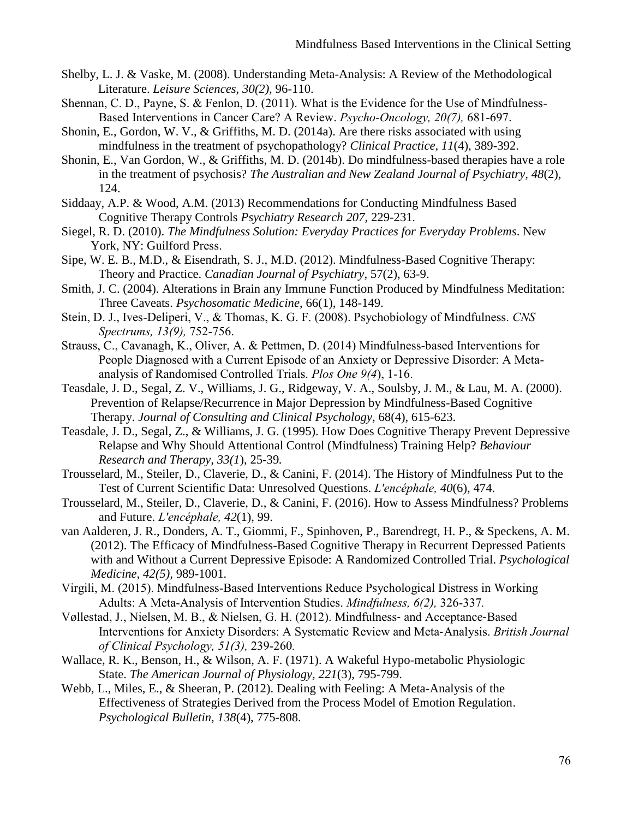- Shelby, L. J. & Vaske, M. (2008). Understanding Meta-Analysis: A Review of the Methodological Literature. *Leisure Sciences, 30(2),* 96-110.
- Shennan, C. D., Payne, S. & Fenlon, D. (2011). What is the Evidence for the Use of Mindfulness-Based Interventions in Cancer Care? A Review. *Psycho-Oncology, 20(7),* 681-697.
- Shonin, E., Gordon, W. V., & Griffiths, M. D. (2014a). Are there risks associated with using mindfulness in the treatment of psychopathology? *Clinical Practice, 11*(4), 389-392.
- Shonin, E., Van Gordon, W., & Griffiths, M. D. (2014b). Do mindfulness-based therapies have a role in the treatment of psychosis? *The Australian and New Zealand Journal of Psychiatry, 48*(2), 124.
- Siddaay, A.P. & Wood, A.M. (2013) Recommendations for Conducting Mindfulness Based Cognitive Therapy Controls *Psychiatry Research 207,* 229-231*.*
- Siegel, R. D. (2010). *The Mindfulness Solution: Everyday Practices for Everyday Problems*. New York, NY: Guilford Press.
- Sipe, W. E. B., M.D., & Eisendrath, S. J., M.D. (2012). Mindfulness-Based Cognitive Therapy: Theory and Practice. *Canadian Journal of Psychiatry*, 57(2), 63-9.
- Smith, J. C. (2004). Alterations in Brain any Immune Function Produced by Mindfulness Meditation: Three Caveats. *Psychosomatic Medicine*, 66(1), 148-149.
- Stein, D. J., Ives-Deliperi, V., & Thomas, K. G. F. (2008). Psychobiology of Mindfulness. *CNS Spectrums, 13(9),* 752-756.
- Strauss, C., Cavanagh, K., Oliver, A. & Pettmen, D. (2014) Mindfulness-based Interventions for People Diagnosed with a Current Episode of an Anxiety or Depressive Disorder: A Metaanalysis of Randomised Controlled Trials. *Plos One 9(4*), 1-16.
- Teasdale, J. D., Segal, Z. V., Williams, J. G., Ridgeway, V. A., Soulsby, J. M., & Lau, M. A. (2000). Prevention of Relapse/Recurrence in Major Depression by Mindfulness-Based Cognitive Therapy. *Journal of Consulting and Clinical Psychology*, 68(4), 615-623.
- Teasdale, J. D., Segal, Z., & Williams, J. G. (1995). How Does Cognitive Therapy Prevent Depressive Relapse and Why Should Attentional Control (Mindfulness) Training Help? *Behaviour Research and Therapy, 33(1*), 25-39*.*
- Trousselard, M., Steiler, D., Claverie, D., & Canini, F. (2014). The History of Mindfulness Put to the Test of Current Scientific Data: Unresolved Questions. *L'encéphale, 40*(6), 474.
- Trousselard, M., Steiler, D., Claverie, D., & Canini, F. (2016). How to Assess Mindfulness? Problems and Future. *L'encéphale, 42*(1), 99.
- van Aalderen, J. R., Donders, A. T., Giommi, F., Spinhoven, P., Barendregt, H. P., & Speckens, A. M. (2012). The Efficacy of Mindfulness-Based Cognitive Therapy in Recurrent Depressed Patients with and Without a Current Depressive Episode: A Randomized Controlled Trial. *Psychological Medicine, 42(5),* 989-1001*.*
- Virgili, M. (2015). Mindfulness-Based Interventions Reduce Psychological Distress in Working Adults: A Meta-Analysis of Intervention Studies. *Mindfulness, 6(2),* 326-337*.*
- Vøllestad, J., Nielsen, M. B., & Nielsen, G. H. (2012). Mindfulness‐ and Acceptance‐Based Interventions for Anxiety Disorders: A Systematic Review and Meta‐Analysis. *British Journal of Clinical Psychology, 51(3),* 239-260*.*
- Wallace, R. K., Benson, H., & Wilson, A. F. (1971). A Wakeful Hypo-metabolic Physiologic State. *The American Journal of Physiology, 221*(3), 795-799.
- Webb, L., Miles, E., & Sheeran, P. (2012). Dealing with Feeling: A Meta-Analysis of the Effectiveness of Strategies Derived from the Process Model of Emotion Regulation. *Psychological Bulletin, 138*(4), 775-808.